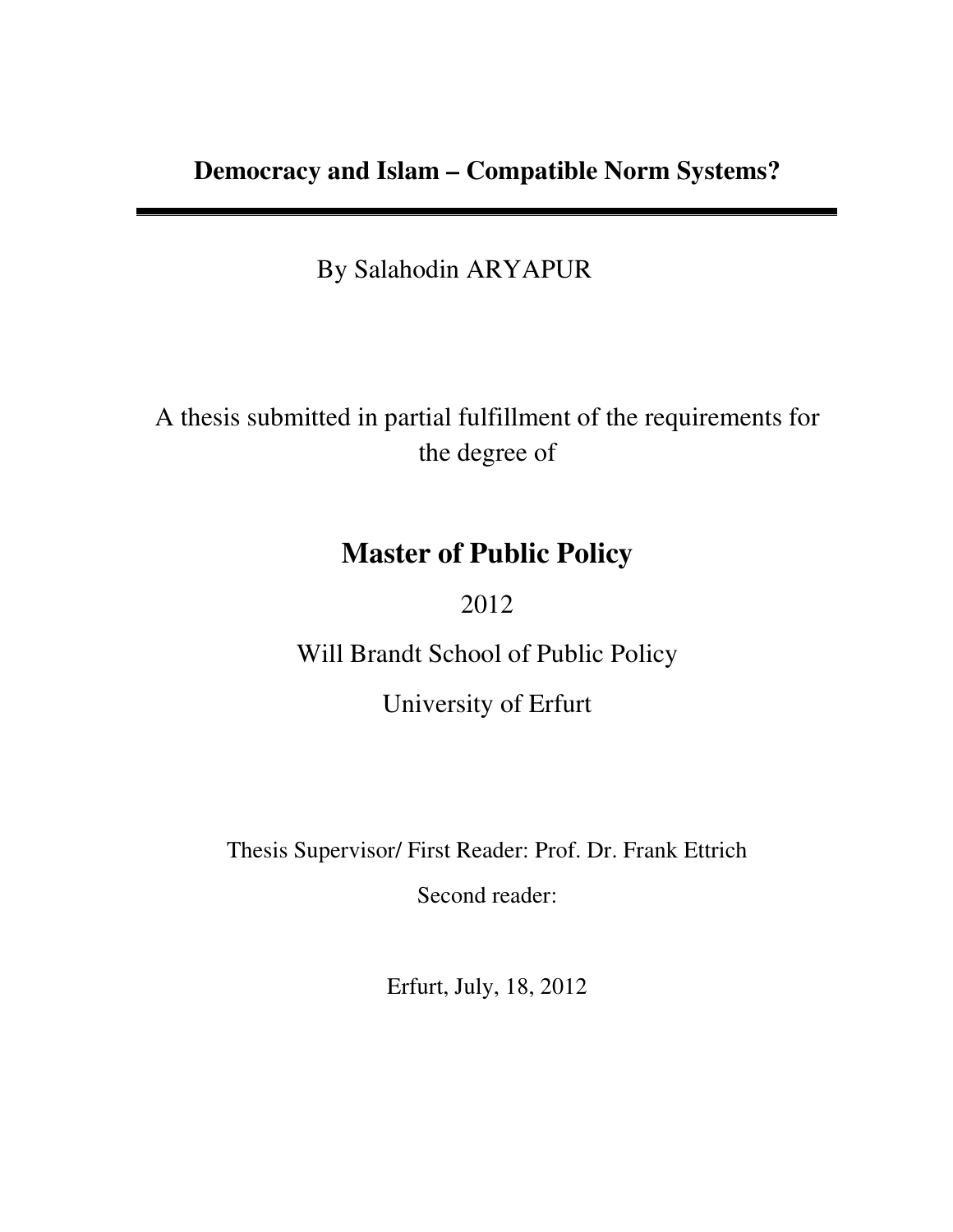By Salahodin ARYAPUR

A thesis submitted in partial fulfillment of the requirements for the degree of

# **Master of Public Policy**

2012

Will Brandt School of Public Policy

University of Erfurt

Thesis Supervisor/ First Reader: Prof. Dr. Frank Ettrich

Second reader:

Erfurt, July, 18, 2012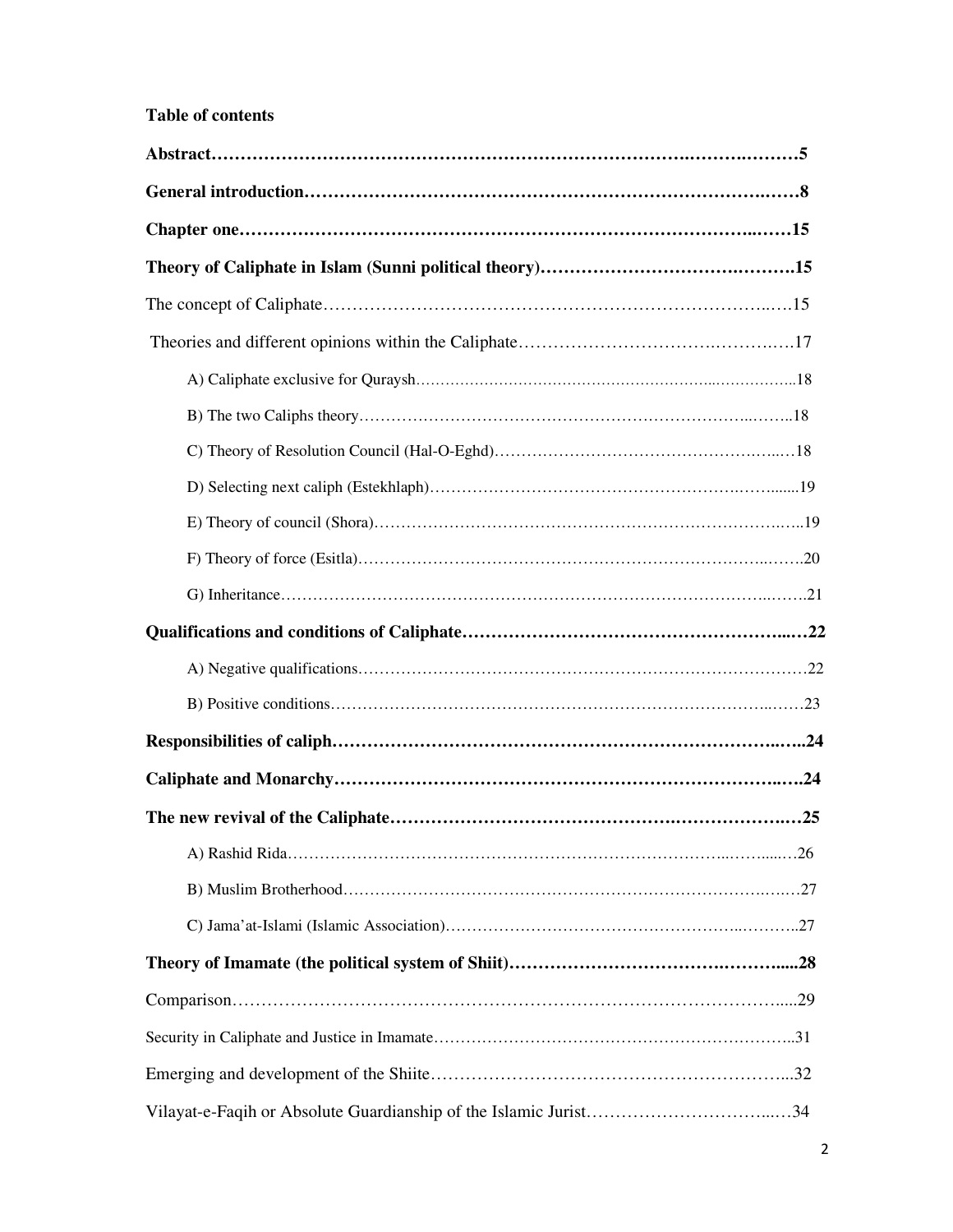## **Table of contents**

| Vilayat-e-Faqih or Absolute Guardianship of the Islamic Jurist34 |  |
|------------------------------------------------------------------|--|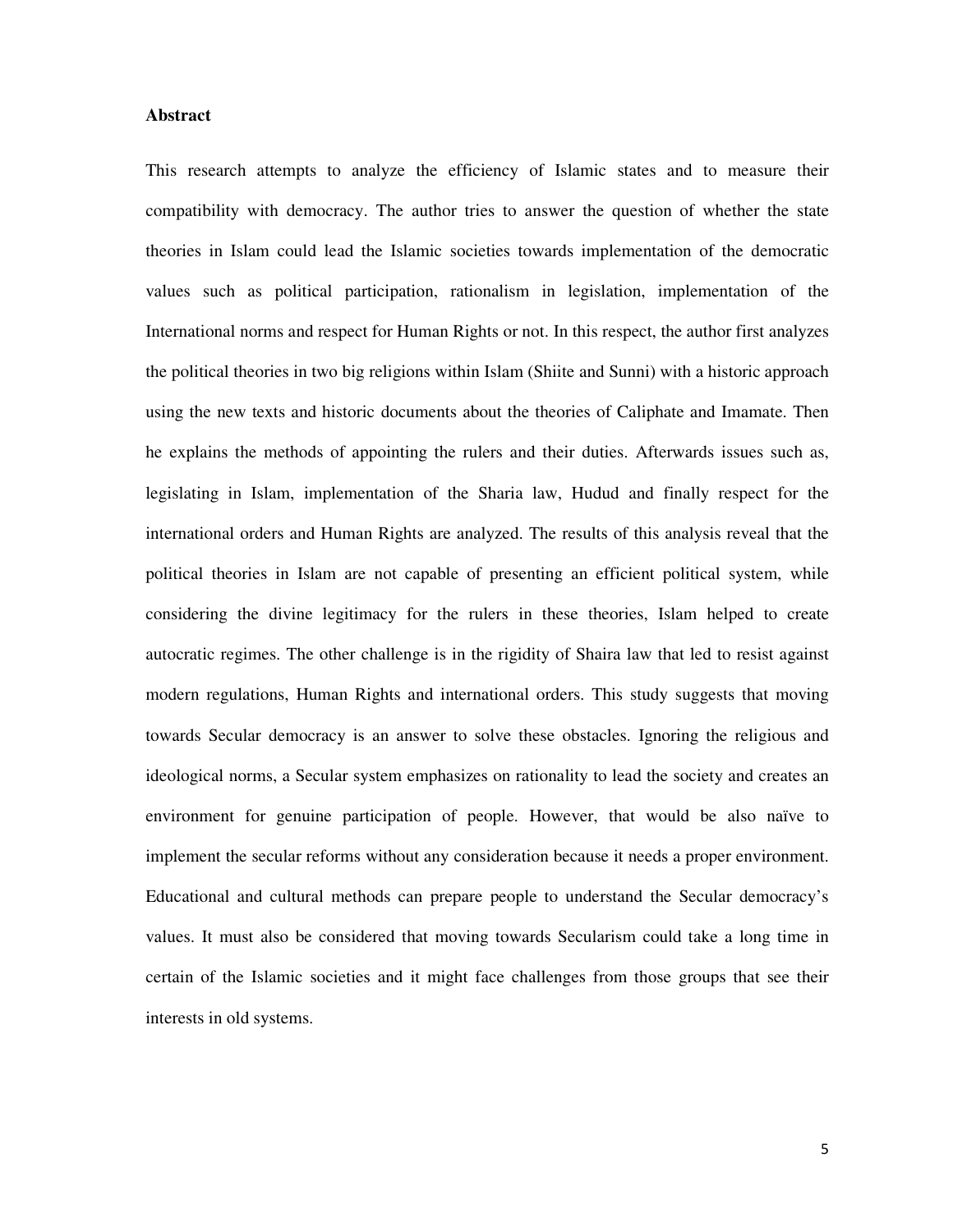## **Abstract**

This research attempts to analyze the efficiency of Islamic states and to measure their compatibility with democracy. The author tries to answer the question of whether the state theories in Islam could lead the Islamic societies towards implementation of the democratic values such as political participation, rationalism in legislation, implementation of the International norms and respect for Human Rights or not. In this respect, the author first analyzes the political theories in two big religions within Islam (Shiite and Sunni) with a historic approach using the new texts and historic documents about the theories of Caliphate and Imamate. Then he explains the methods of appointing the rulers and their duties. Afterwards issues such as, legislating in Islam, implementation of the Sharia law, Hudud and finally respect for the international orders and Human Rights are analyzed. The results of this analysis reveal that the political theories in Islam are not capable of presenting an efficient political system, while considering the divine legitimacy for the rulers in these theories, Islam helped to create autocratic regimes. The other challenge is in the rigidity of Shaira law that led to resist against modern regulations, Human Rights and international orders. This study suggests that moving towards Secular democracy is an answer to solve these obstacles. Ignoring the religious and ideological norms, a Secular system emphasizes on rationality to lead the society and creates an environment for genuine participation of people. However, that would be also naïve to implement the secular reforms without any consideration because it needs a proper environment. Educational and cultural methods can prepare people to understand the Secular democracy's values. It must also be considered that moving towards Secularism could take a long time in certain of the Islamic societies and it might face challenges from those groups that see their interests in old systems.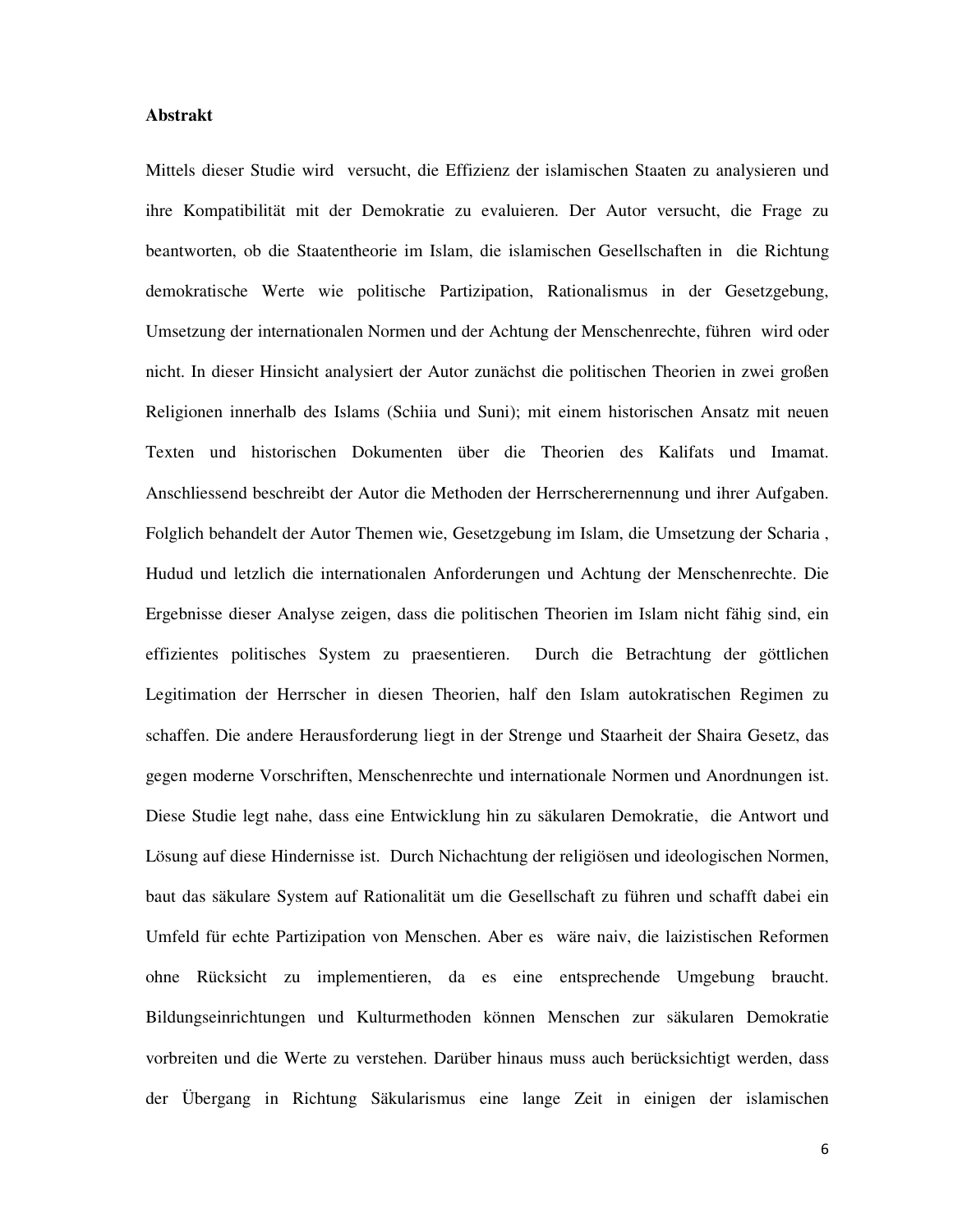## **Abstrakt**

Mittels dieser Studie wird versucht, die Effizienz der islamischen Staaten zu analysieren und ihre Kompatibilität mit der Demokratie zu evaluieren. Der Autor versucht, die Frage zu beantworten, ob die Staatentheorie im Islam, die islamischen Gesellschaften in die Richtung demokratische Werte wie politische Partizipation, Rationalismus in der Gesetzgebung, Umsetzung der internationalen Normen und der Achtung der Menschenrechte, führen wird oder nicht. In dieser Hinsicht analysiert der Autor zunächst die politischen Theorien in zwei großen Religionen innerhalb des Islams (Schiia und Suni); mit einem historischen Ansatz mit neuen Texten und historischen Dokumenten über die Theorien des Kalifats und Imamat. Anschliessend beschreibt der Autor die Methoden der Herrscherernennung und ihrer Aufgaben. Folglich behandelt der Autor Themen wie, Gesetzgebung im Islam, die Umsetzung der Scharia , Hudud und letzlich die internationalen Anforderungen und Achtung der Menschenrechte. Die Ergebnisse dieser Analyse zeigen, dass die politischen Theorien im Islam nicht fähig sind, ein effizientes politisches System zu praesentieren. Durch die Betrachtung der göttlichen Legitimation der Herrscher in diesen Theorien, half den Islam autokratischen Regimen zu schaffen. Die andere Herausforderung liegt in der Strenge und Staarheit der Shaira Gesetz, das gegen moderne Vorschriften, Menschenrechte und internationale Normen und Anordnungen ist. Diese Studie legt nahe, dass eine Entwicklung hin zu säkularen Demokratie, die Antwort und Lösung auf diese Hindernisse ist. Durch Nichachtung der religiösen und ideologischen Normen, baut das säkulare System auf Rationalität um die Gesellschaft zu führen und schafft dabei ein Umfeld für echte Partizipation von Menschen. Aber es wäre naiv, die laizistischen Reformen ohne Rücksicht zu implementieren, da es eine entsprechende Umgebung braucht. Bildungseinrichtungen und Kulturmethoden können Menschen zur säkularen Demokratie vorbreiten und die Werte zu verstehen. Darüber hinaus muss auch berücksichtigt werden, dass der Übergang in Richtung Säkularismus eine lange Zeit in einigen der islamischen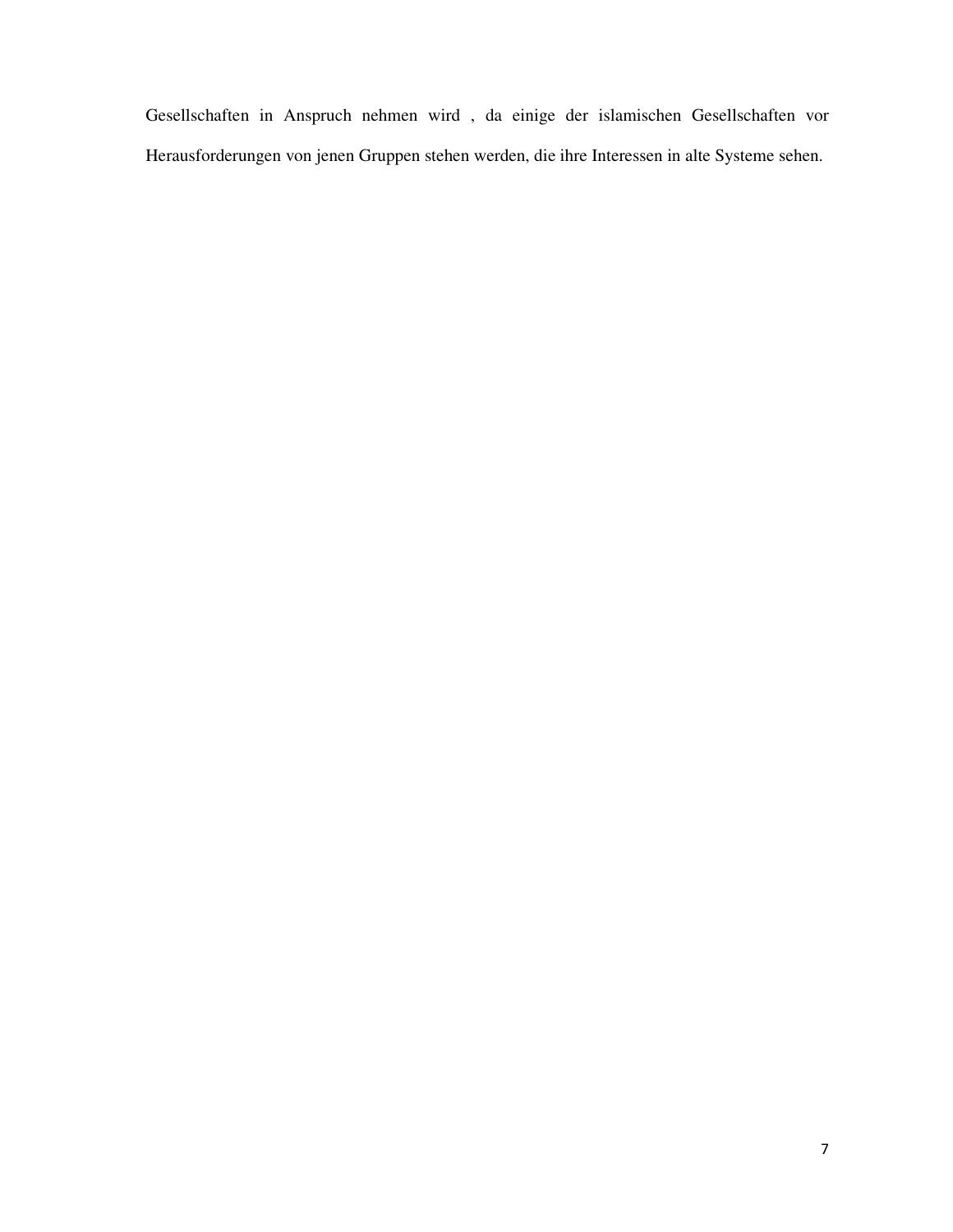Gesellschaften in Anspruch nehmen wird , da einige der islamischen Gesellschaften vor Herausforderungen von jenen Gruppen stehen werden, die ihre Interessen in alte Systeme sehen.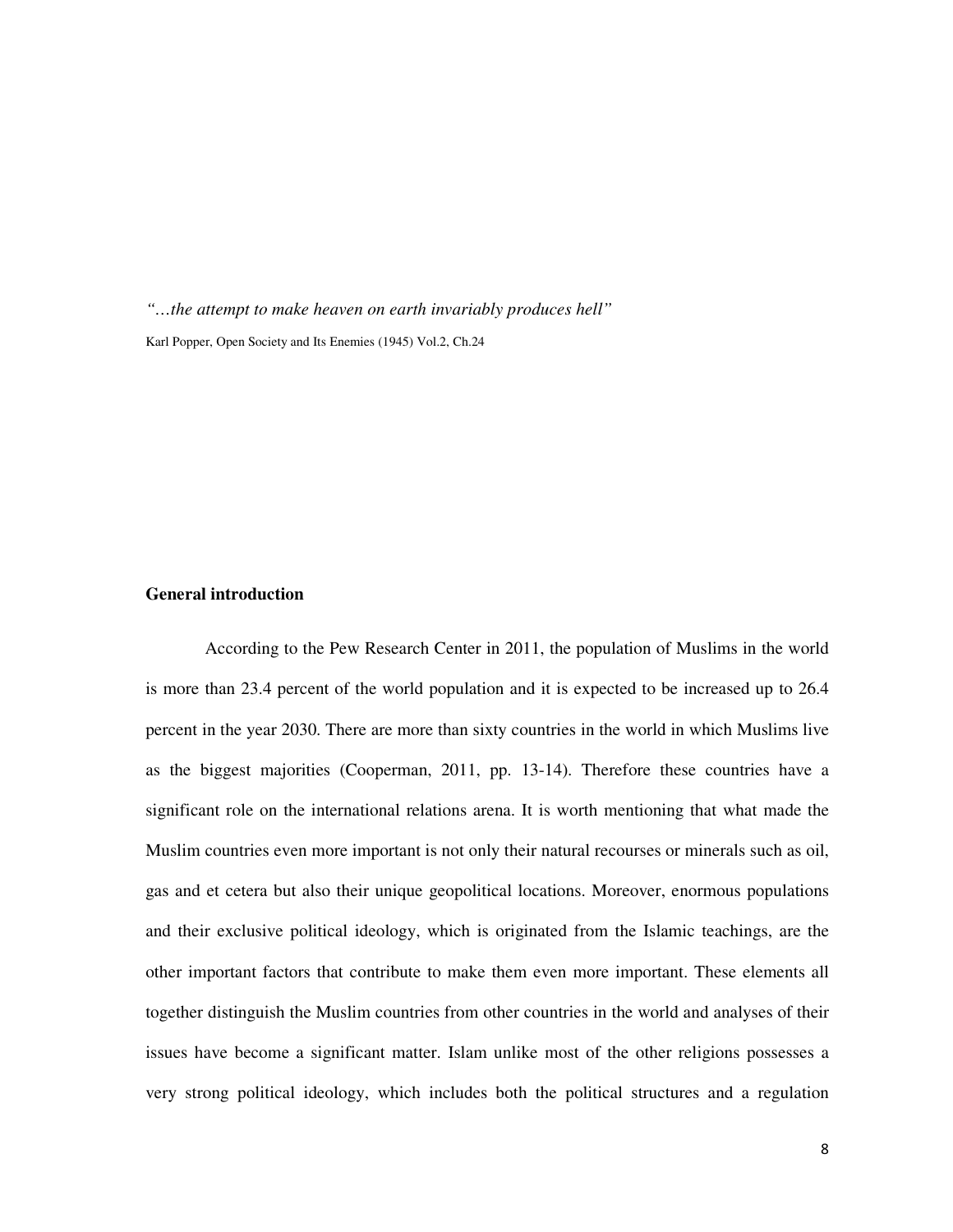*"…the attempt to make heaven on earth invariably produces hell"* Karl Popper, Open Society and Its Enemies (1945) Vol.2, Ch.24

## **General introduction**

According to the Pew Research Center in 2011, the population of Muslims in the world is more than 23.4 percent of the world population and it is expected to be increased up to 26.4 percent in the year 2030. There are more than sixty countries in the world in which Muslims live as the biggest majorities (Cooperman, 2011, pp. 13-14). Therefore these countries have a significant role on the international relations arena. It is worth mentioning that what made the Muslim countries even more important is not only their natural recourses or minerals such as oil, gas and et cetera but also their unique geopolitical locations. Moreover, enormous populations and their exclusive political ideology, which is originated from the Islamic teachings, are the other important factors that contribute to make them even more important. These elements all together distinguish the Muslim countries from other countries in the world and analyses of their issues have become a significant matter. Islam unlike most of the other religions possesses a very strong political ideology, which includes both the political structures and a regulation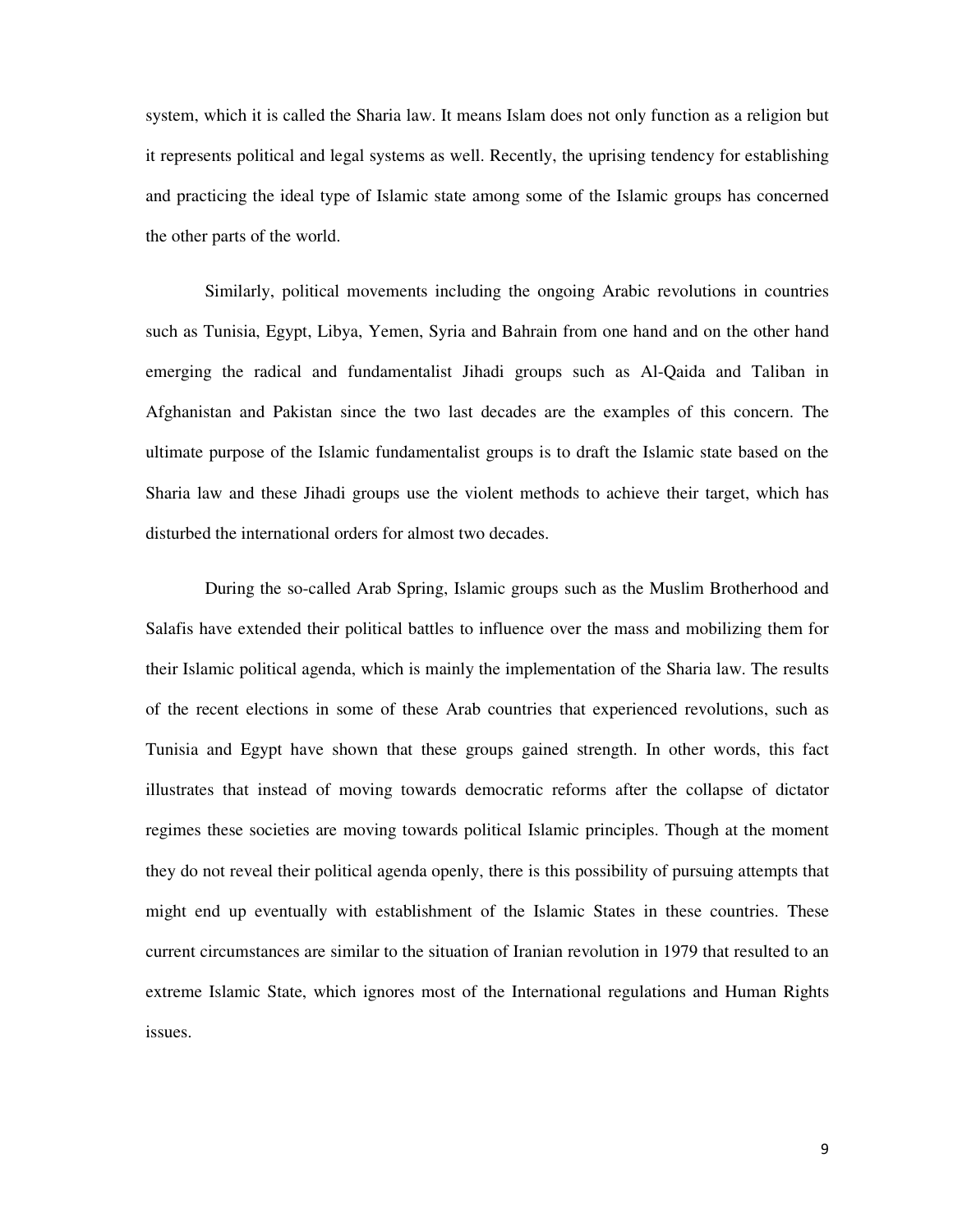system, which it is called the Sharia law. It means Islam does not only function as a religion but it represents political and legal systems as well. Recently, the uprising tendency for establishing and practicing the ideal type of Islamic state among some of the Islamic groups has concerned the other parts of the world.

Similarly, political movements including the ongoing Arabic revolutions in countries such as Tunisia, Egypt, Libya, Yemen, Syria and Bahrain from one hand and on the other hand emerging the radical and fundamentalist Jihadi groups such as Al-Qaida and Taliban in Afghanistan and Pakistan since the two last decades are the examples of this concern. The ultimate purpose of the Islamic fundamentalist groups is to draft the Islamic state based on the Sharia law and these Jihadi groups use the violent methods to achieve their target, which has disturbed the international orders for almost two decades.

During the so-called Arab Spring, Islamic groups such as the Muslim Brotherhood and Salafis have extended their political battles to influence over the mass and mobilizing them for their Islamic political agenda, which is mainly the implementation of the Sharia law. The results of the recent elections in some of these Arab countries that experienced revolutions, such as Tunisia and Egypt have shown that these groups gained strength. In other words, this fact illustrates that instead of moving towards democratic reforms after the collapse of dictator regimes these societies are moving towards political Islamic principles. Though at the moment they do not reveal their political agenda openly, there is this possibility of pursuing attempts that might end up eventually with establishment of the Islamic States in these countries. These current circumstances are similar to the situation of Iranian revolution in 1979 that resulted to an extreme Islamic State, which ignores most of the International regulations and Human Rights issues.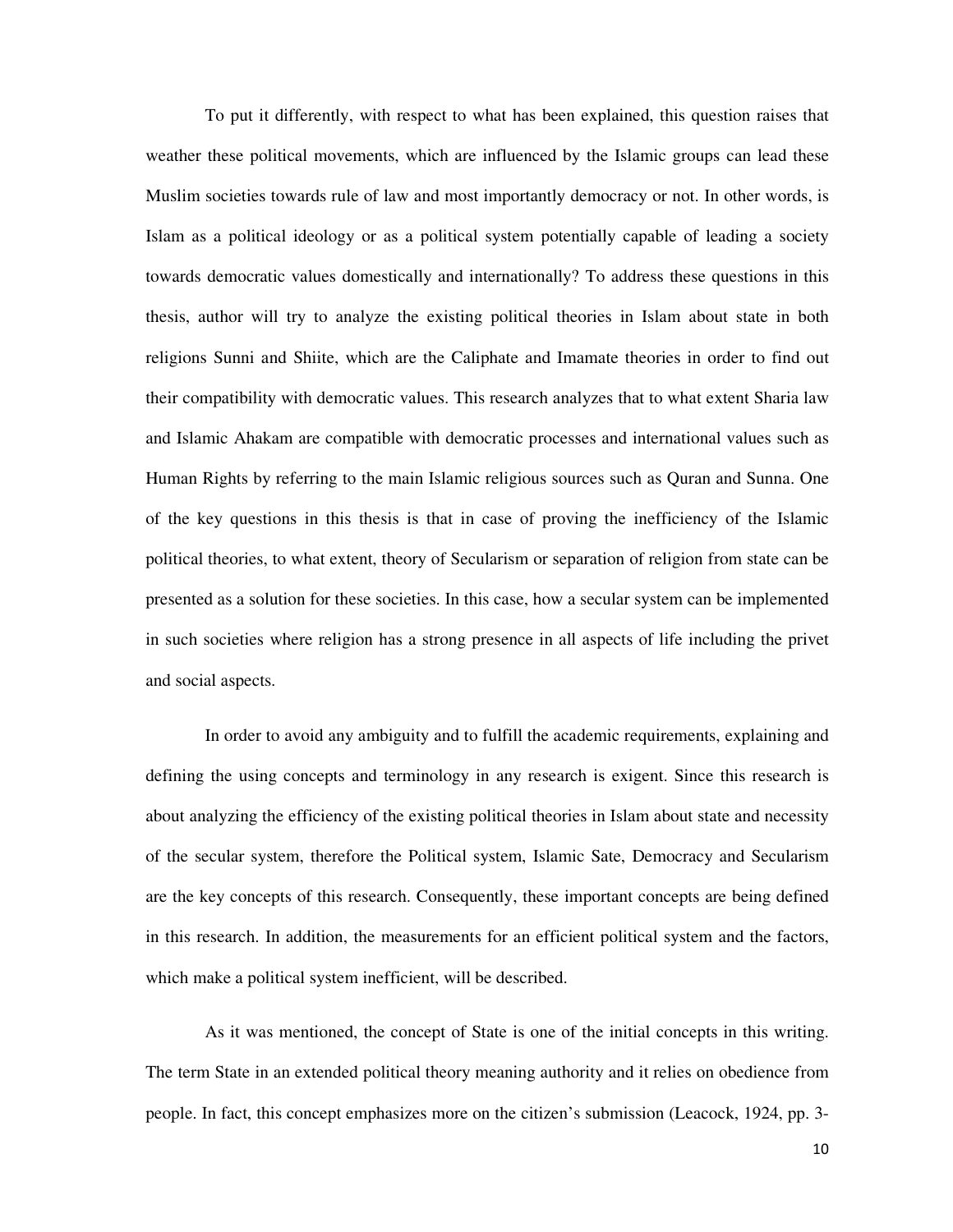To put it differently, with respect to what has been explained, this question raises that weather these political movements, which are influenced by the Islamic groups can lead these Muslim societies towards rule of law and most importantly democracy or not. In other words, is Islam as a political ideology or as a political system potentially capable of leading a society towards democratic values domestically and internationally? To address these questions in this thesis, author will try to analyze the existing political theories in Islam about state in both religions Sunni and Shiite, which are the Caliphate and Imamate theories in order to find out their compatibility with democratic values. This research analyzes that to what extent Sharia law and Islamic Ahakam are compatible with democratic processes and international values such as Human Rights by referring to the main Islamic religious sources such as Quran and Sunna. One of the key questions in this thesis is that in case of proving the inefficiency of the Islamic political theories, to what extent, theory of Secularism or separation of religion from state can be presented as a solution for these societies. In this case, how a secular system can be implemented in such societies where religion has a strong presence in all aspects of life including the privet and social aspects.

In order to avoid any ambiguity and to fulfill the academic requirements, explaining and defining the using concepts and terminology in any research is exigent. Since this research is about analyzing the efficiency of the existing political theories in Islam about state and necessity of the secular system, therefore the Political system, Islamic Sate, Democracy and Secularism are the key concepts of this research. Consequently, these important concepts are being defined in this research. In addition, the measurements for an efficient political system and the factors, which make a political system inefficient, will be described.

As it was mentioned, the concept of State is one of the initial concepts in this writing. The term State in an extended political theory meaning authority and it relies on obedience from people. In fact, this concept emphasizes more on the citizen's submission (Leacock, 1924, pp. 3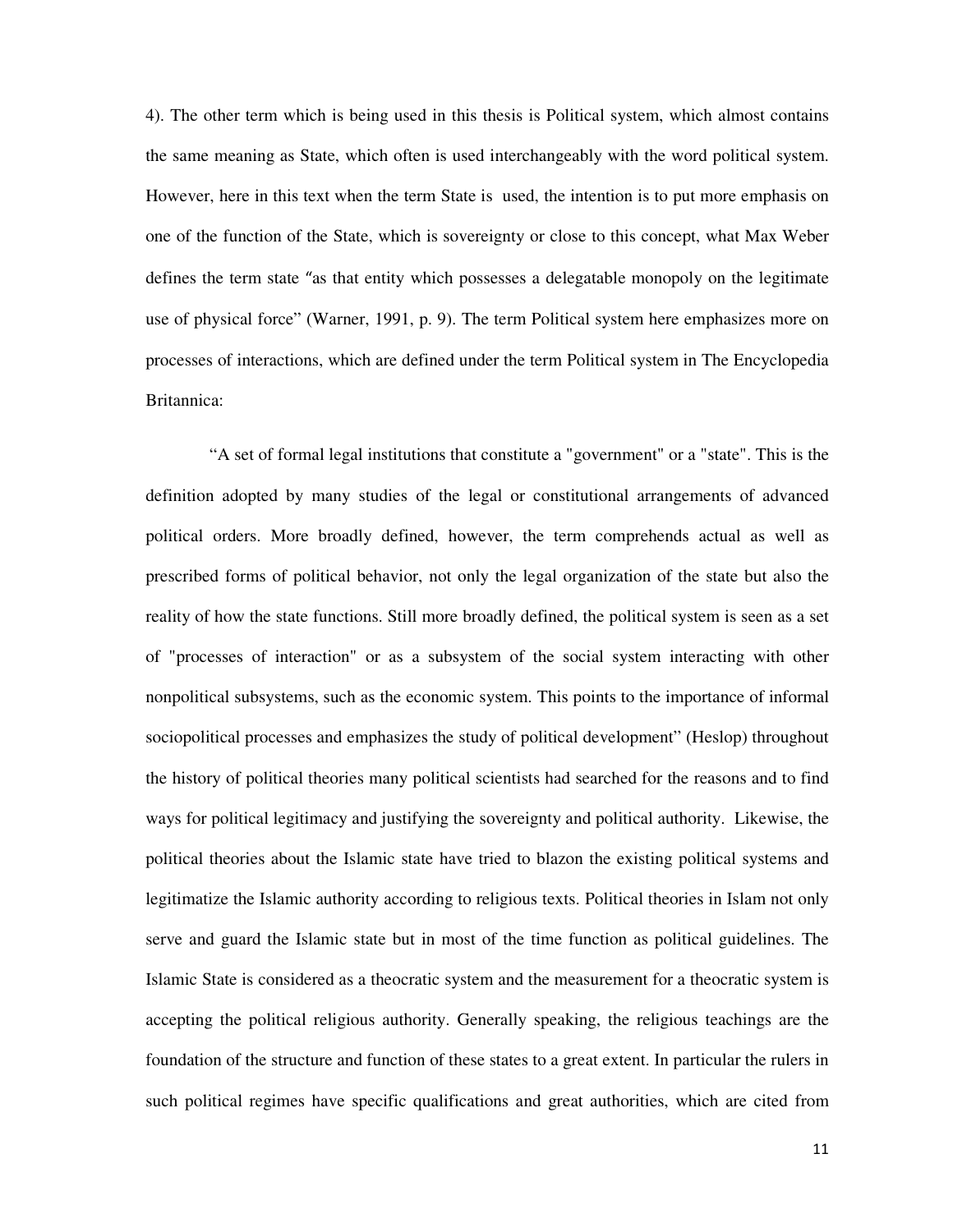4). The other term which is being used in this thesis is Political system, which almost contains the same meaning as State, which often is used interchangeably with the word political system. However, here in this text when the term State is used, the intention is to put more emphasis on one of the function of the State, which is sovereignty or close to this concept, what Max Weber defines the term state "as that entity which possesses a delegatable monopoly on the legitimate use of physical force" (Warner, 1991, p. 9). The term Political system here emphasizes more on processes of interactions, which are defined under the term Political system in The Encyclopedia Britannica:

 "A set of formal legal institutions that constitute a "government" or a "state". This is the definition adopted by many studies of the legal or constitutional arrangements of advanced political orders. More broadly defined, however, the term comprehends actual as well as prescribed forms of political behavior, not only the legal organization of the state but also the reality of how the state functions. Still more broadly defined, the political system is seen as a set of "processes of interaction" or as a subsystem of the social system interacting with other nonpolitical subsystems, such as the economic system. This points to the importance of informal sociopolitical processes and emphasizes the study of political development" (Heslop) throughout the history of political theories many political scientists had searched for the reasons and to find ways for political legitimacy and justifying the sovereignty and political authority. Likewise, the political theories about the Islamic state have tried to blazon the existing political systems and legitimatize the Islamic authority according to religious texts. Political theories in Islam not only serve and guard the Islamic state but in most of the time function as political guidelines. The Islamic State is considered as a theocratic system and the measurement for a theocratic system is accepting the political religious authority. Generally speaking, the religious teachings are the foundation of the structure and function of these states to a great extent. In particular the rulers in such political regimes have specific qualifications and great authorities, which are cited from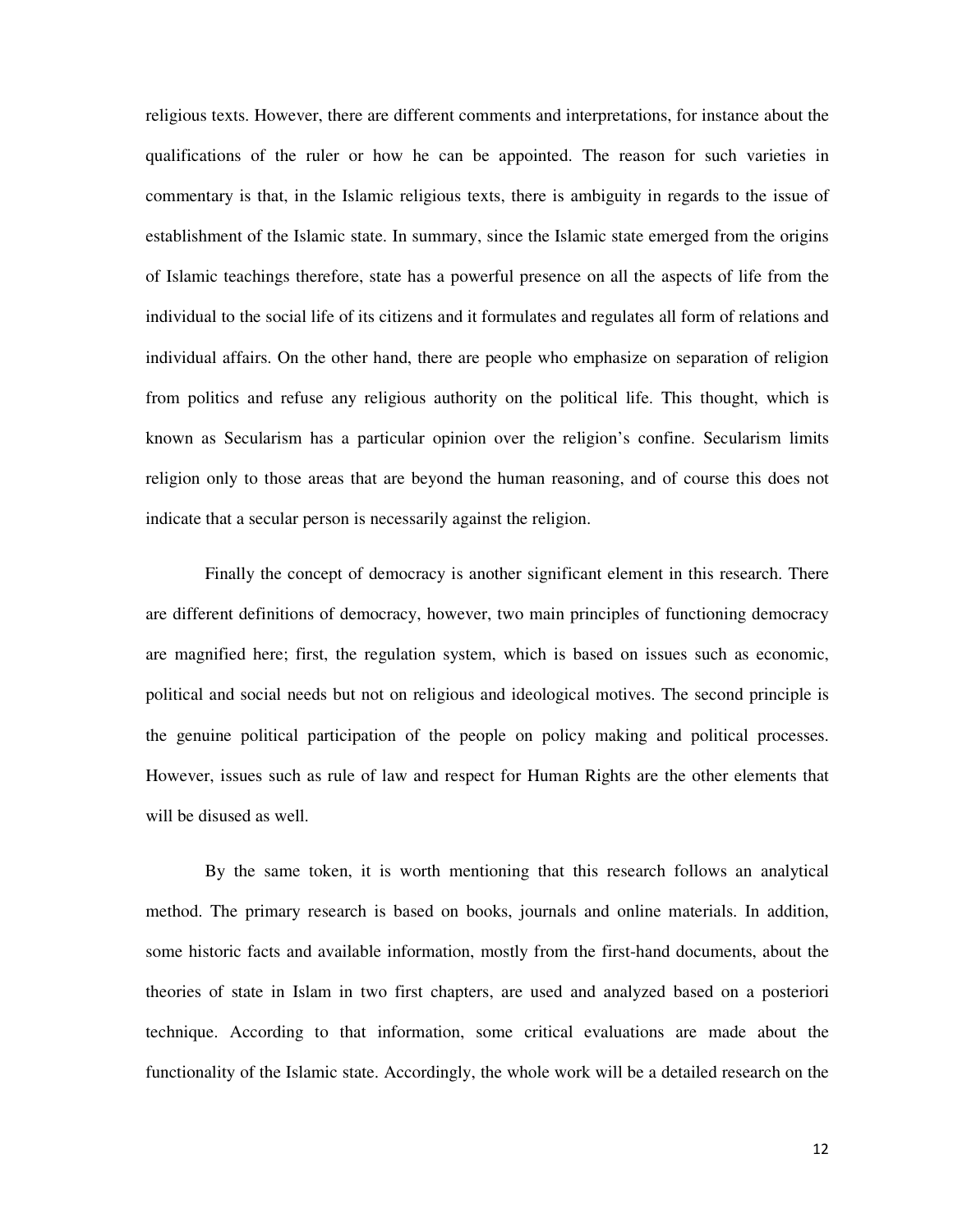religious texts. However, there are different comments and interpretations, for instance about the qualifications of the ruler or how he can be appointed. The reason for such varieties in commentary is that, in the Islamic religious texts, there is ambiguity in regards to the issue of establishment of the Islamic state. In summary, since the Islamic state emerged from the origins of Islamic teachings therefore, state has a powerful presence on all the aspects of life from the individual to the social life of its citizens and it formulates and regulates all form of relations and individual affairs. On the other hand, there are people who emphasize on separation of religion from politics and refuse any religious authority on the political life. This thought, which is known as Secularism has a particular opinion over the religion's confine. Secularism limits religion only to those areas that are beyond the human reasoning, and of course this does not indicate that a secular person is necessarily against the religion.

Finally the concept of democracy is another significant element in this research. There are different definitions of democracy, however, two main principles of functioning democracy are magnified here; first, the regulation system, which is based on issues such as economic, political and social needs but not on religious and ideological motives. The second principle is the genuine political participation of the people on policy making and political processes. However, issues such as rule of law and respect for Human Rights are the other elements that will be disused as well.

By the same token, it is worth mentioning that this research follows an analytical method. The primary research is based on books, journals and online materials. In addition, some historic facts and available information, mostly from the first-hand documents, about the theories of state in Islam in two first chapters, are used and analyzed based on a posteriori technique. According to that information, some critical evaluations are made about the functionality of the Islamic state. Accordingly, the whole work will be a detailed research on the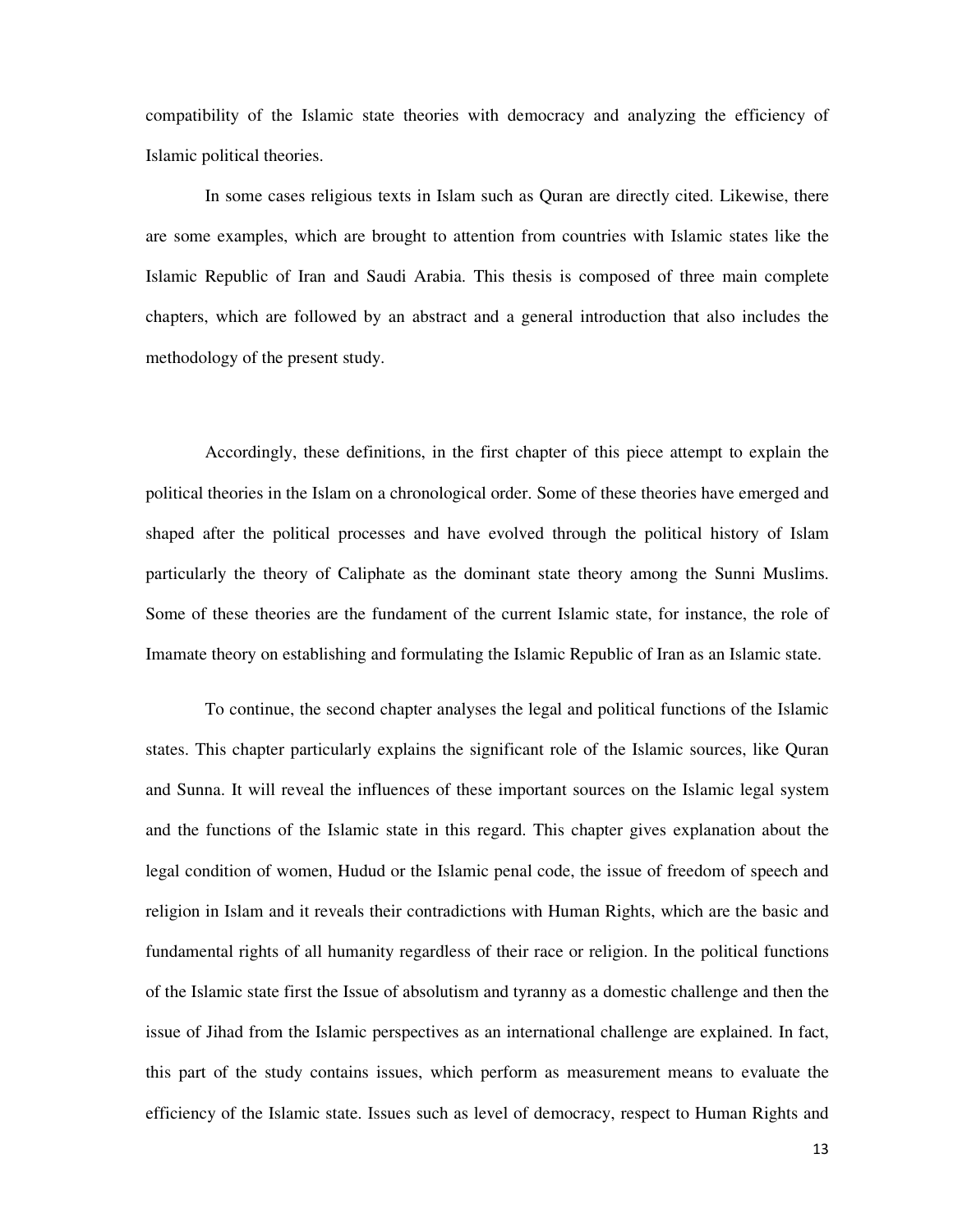compatibility of the Islamic state theories with democracy and analyzing the efficiency of Islamic political theories.

In some cases religious texts in Islam such as Quran are directly cited. Likewise, there are some examples, which are brought to attention from countries with Islamic states like the Islamic Republic of Iran and Saudi Arabia. This thesis is composed of three main complete chapters, which are followed by an abstract and a general introduction that also includes the methodology of the present study.

Accordingly, these definitions, in the first chapter of this piece attempt to explain the political theories in the Islam on a chronological order. Some of these theories have emerged and shaped after the political processes and have evolved through the political history of Islam particularly the theory of Caliphate as the dominant state theory among the Sunni Muslims. Some of these theories are the fundament of the current Islamic state, for instance, the role of Imamate theory on establishing and formulating the Islamic Republic of Iran as an Islamic state.

To continue, the second chapter analyses the legal and political functions of the Islamic states. This chapter particularly explains the significant role of the Islamic sources, like Quran and Sunna. It will reveal the influences of these important sources on the Islamic legal system and the functions of the Islamic state in this regard. This chapter gives explanation about the legal condition of women, Hudud or the Islamic penal code, the issue of freedom of speech and religion in Islam and it reveals their contradictions with Human Rights, which are the basic and fundamental rights of all humanity regardless of their race or religion. In the political functions of the Islamic state first the Issue of absolutism and tyranny as a domestic challenge and then the issue of Jihad from the Islamic perspectives as an international challenge are explained. In fact, this part of the study contains issues, which perform as measurement means to evaluate the efficiency of the Islamic state. Issues such as level of democracy, respect to Human Rights and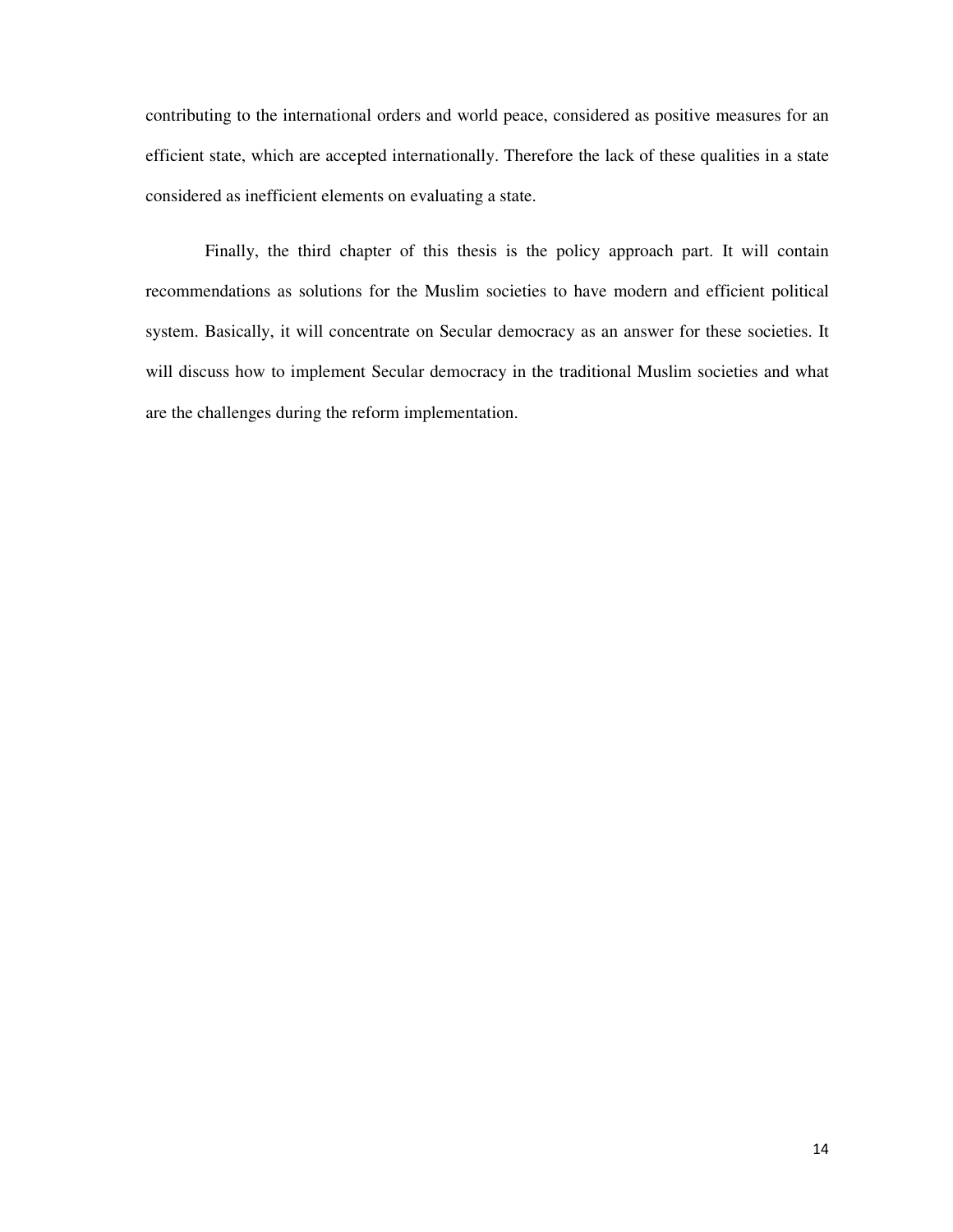contributing to the international orders and world peace, considered as positive measures for an efficient state, which are accepted internationally. Therefore the lack of these qualities in a state considered as inefficient elements on evaluating a state.

Finally, the third chapter of this thesis is the policy approach part. It will contain recommendations as solutions for the Muslim societies to have modern and efficient political system. Basically, it will concentrate on Secular democracy as an answer for these societies. It will discuss how to implement Secular democracy in the traditional Muslim societies and what are the challenges during the reform implementation.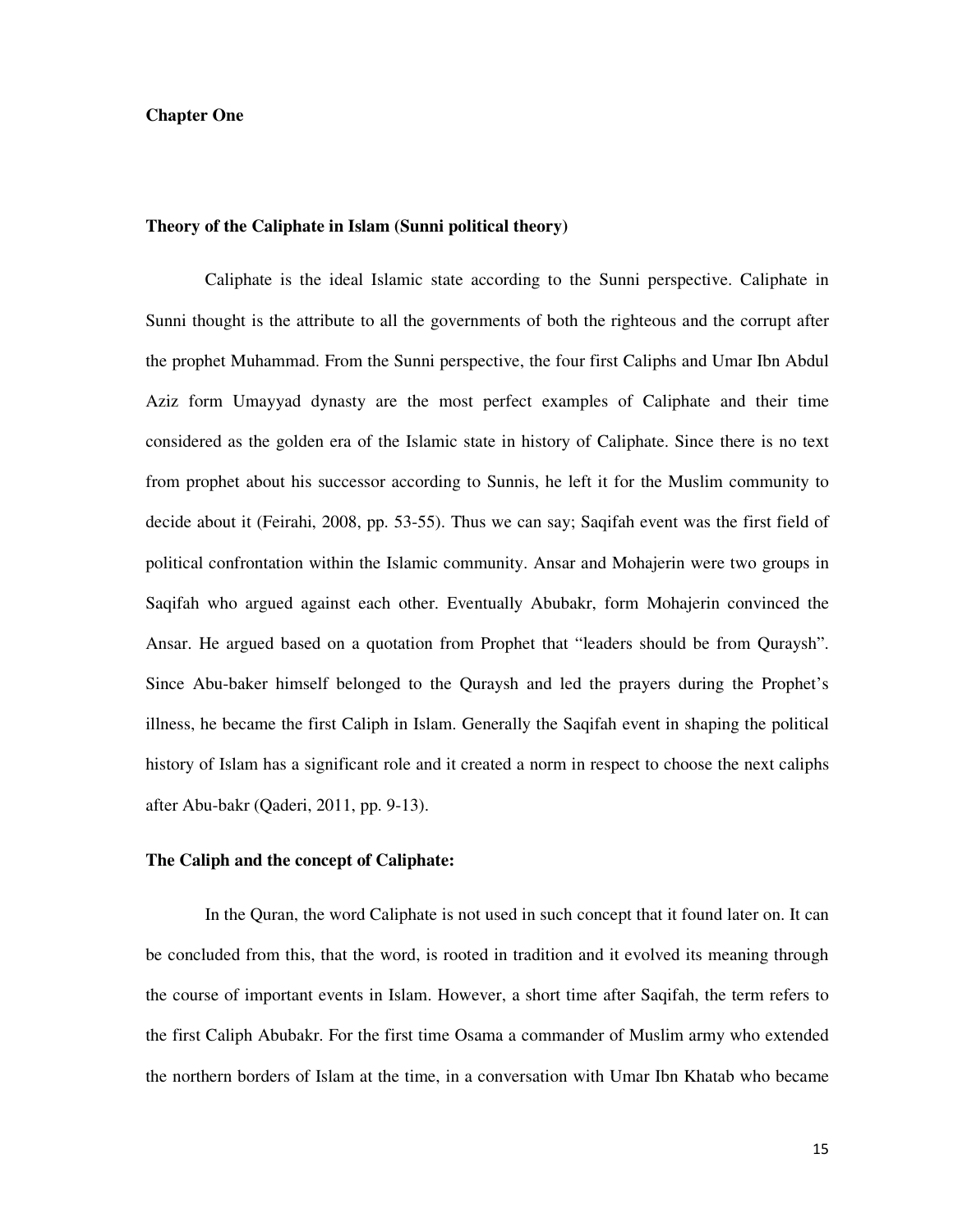## **Chapter One**

## **Theory of the Caliphate in Islam (Sunni political theory)**

Caliphate is the ideal Islamic state according to the Sunni perspective. Caliphate in Sunni thought is the attribute to all the governments of both the righteous and the corrupt after the prophet Muhammad. From the Sunni perspective, the four first Caliphs and Umar Ibn Abdul Aziz form Umayyad dynasty are the most perfect examples of Caliphate and their time considered as the golden era of the Islamic state in history of Caliphate. Since there is no text from prophet about his successor according to Sunnis, he left it for the Muslim community to decide about it (Feirahi, 2008, pp. 53-55). Thus we can say; Saqifah event was the first field of political confrontation within the Islamic community. Ansar and Mohajerin were two groups in Saqifah who argued against each other. Eventually Abubakr, form Mohajerin convinced the Ansar. He argued based on a quotation from Prophet that "leaders should be from Quraysh". Since Abu-baker himself belonged to the Quraysh and led the prayers during the Prophet's illness, he became the first Caliph in Islam. Generally the Saqifah event in shaping the political history of Islam has a significant role and it created a norm in respect to choose the next caliphs after Abu-bakr (Qaderi, 2011, pp. 9-13).

#### **The Caliph and the concept of Caliphate:**

In the Quran, the word Caliphate is not used in such concept that it found later on. It can be concluded from this, that the word, is rooted in tradition and it evolved its meaning through the course of important events in Islam. However, a short time after Saqifah, the term refers to the first Caliph Abubakr. For the first time Osama a commander of Muslim army who extended the northern borders of Islam at the time, in a conversation with Umar Ibn Khatab who became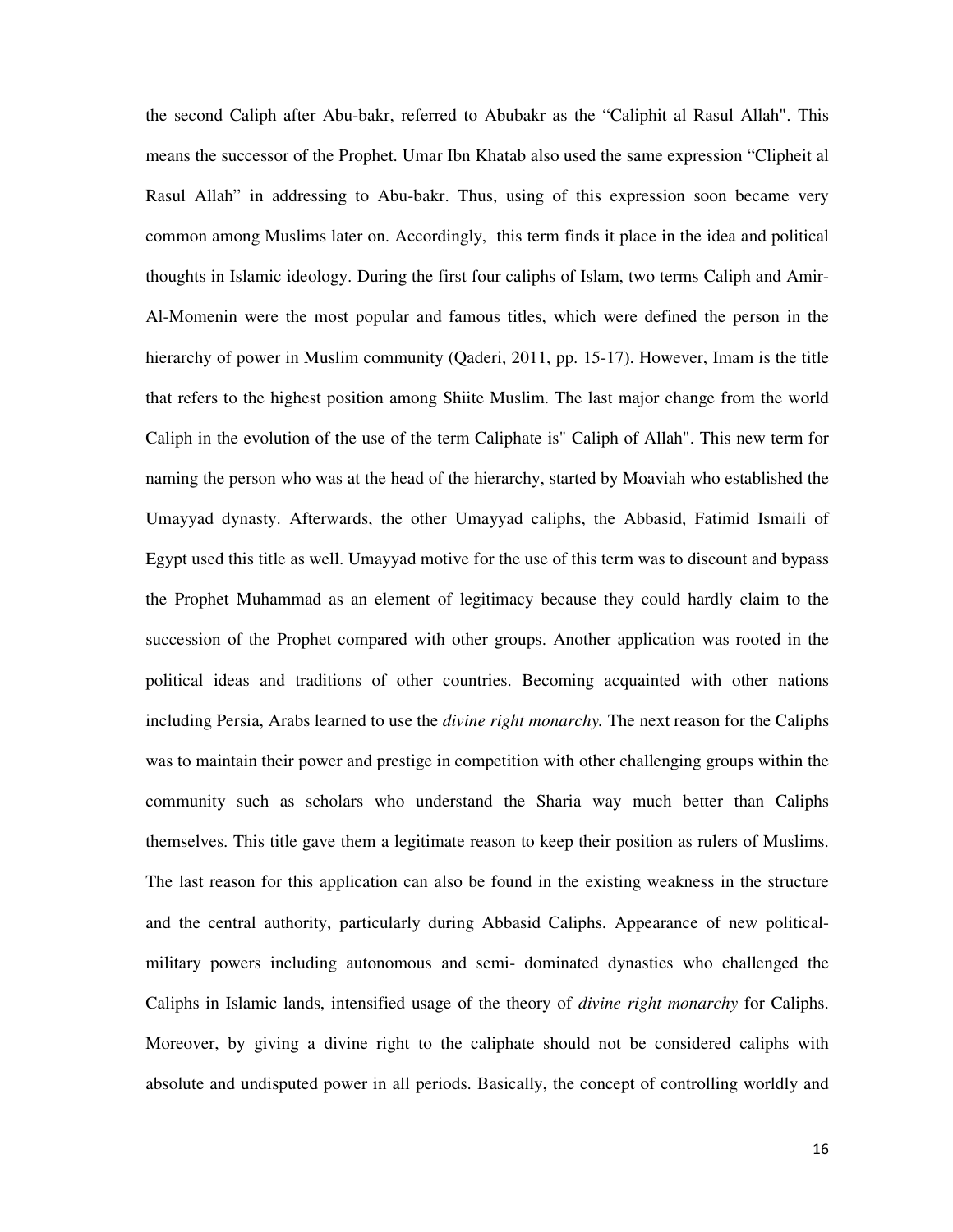the second Caliph after Abu-bakr, referred to Abubakr as the "Caliphit al Rasul Allah". This means the successor of the Prophet. Umar Ibn Khatab also used the same expression "Clipheit al Rasul Allah" in addressing to Abu-bakr. Thus, using of this expression soon became very common among Muslims later on. Accordingly, this term finds it place in the idea and political thoughts in Islamic ideology. During the first four caliphs of Islam, two terms Caliph and Amir-Al-Momenin were the most popular and famous titles, which were defined the person in the hierarchy of power in Muslim community (Qaderi, 2011, pp. 15-17). However, Imam is the title that refers to the highest position among Shiite Muslim. The last major change from the world Caliph in the evolution of the use of the term Caliphate is" Caliph of Allah". This new term for naming the person who was at the head of the hierarchy, started by Moaviah who established the Umayyad dynasty. Afterwards, the other Umayyad caliphs, the Abbasid, Fatimid Ismaili of Egypt used this title as well. Umayyad motive for the use of this term was to discount and bypass the Prophet Muhammad as an element of legitimacy because they could hardly claim to the succession of the Prophet compared with other groups. Another application was rooted in the political ideas and traditions of other countries. Becoming acquainted with other nations including Persia, Arabs learned to use the *divine right monarchy.* The next reason for the Caliphs was to maintain their power and prestige in competition with other challenging groups within the community such as scholars who understand the Sharia way much better than Caliphs themselves. This title gave them a legitimate reason to keep their position as rulers of Muslims. The last reason for this application can also be found in the existing weakness in the structure and the central authority, particularly during Abbasid Caliphs. Appearance of new politicalmilitary powers including autonomous and semi- dominated dynasties who challenged the Caliphs in Islamic lands, intensified usage of the theory of *divine right monarchy* for Caliphs. Moreover, by giving a divine right to the caliphate should not be considered caliphs with absolute and undisputed power in all periods. Basically, the concept of controlling worldly and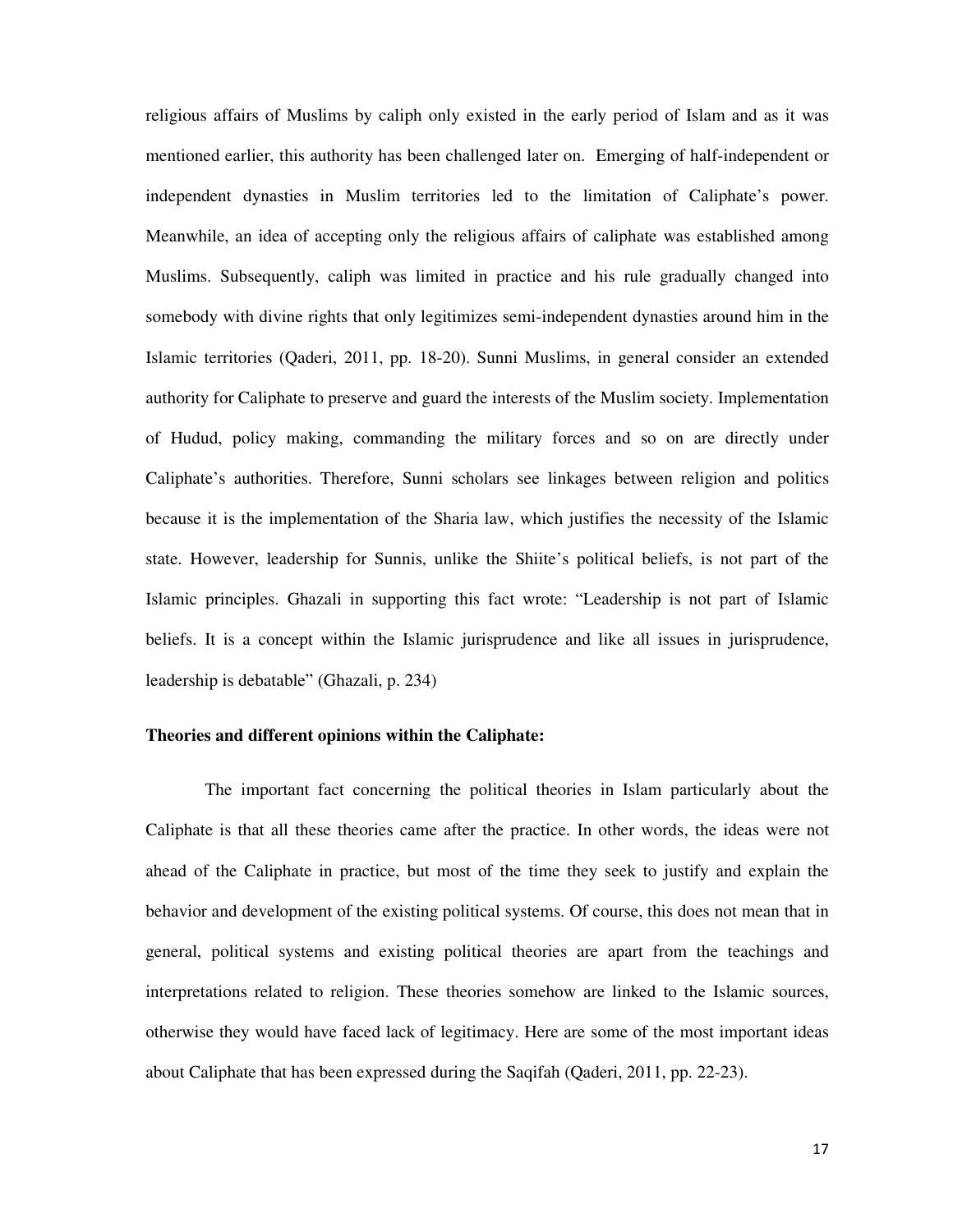religious affairs of Muslims by caliph only existed in the early period of Islam and as it was mentioned earlier, this authority has been challenged later on. Emerging of half-independent or independent dynasties in Muslim territories led to the limitation of Caliphate's power. Meanwhile, an idea of accepting only the religious affairs of caliphate was established among Muslims. Subsequently, caliph was limited in practice and his rule gradually changed into somebody with divine rights that only legitimizes semi-independent dynasties around him in the Islamic territories (Qaderi, 2011, pp. 18-20). Sunni Muslims, in general consider an extended authority for Caliphate to preserve and guard the interests of the Muslim society. Implementation of Hudud, policy making, commanding the military forces and so on are directly under Caliphate's authorities. Therefore, Sunni scholars see linkages between religion and politics because it is the implementation of the Sharia law, which justifies the necessity of the Islamic state. However, leadership for Sunnis, unlike the Shiite's political beliefs, is not part of the Islamic principles. Ghazali in supporting this fact wrote: "Leadership is not part of Islamic beliefs. It is a concept within the Islamic jurisprudence and like all issues in jurisprudence, leadership is debatable" (Ghazali, p. 234)

## **Theories and different opinions within the Caliphate:**

The important fact concerning the political theories in Islam particularly about the Caliphate is that all these theories came after the practice. In other words, the ideas were not ahead of the Caliphate in practice, but most of the time they seek to justify and explain the behavior and development of the existing political systems. Of course, this does not mean that in general, political systems and existing political theories are apart from the teachings and interpretations related to religion. These theories somehow are linked to the Islamic sources, otherwise they would have faced lack of legitimacy. Here are some of the most important ideas about Caliphate that has been expressed during the Saqifah (Qaderi, 2011, pp. 22-23).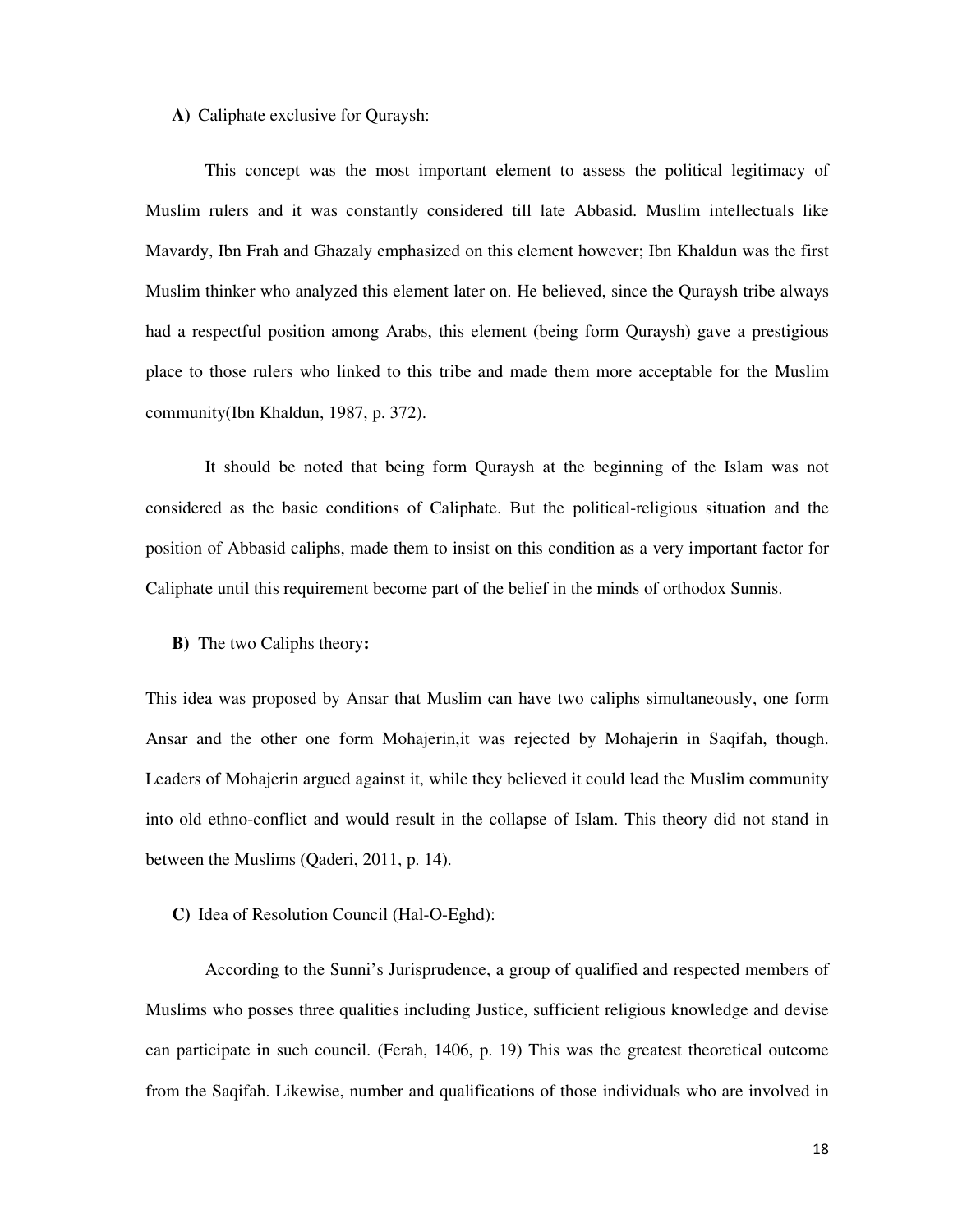## **A)** Caliphate exclusive for Quraysh:

This concept was the most important element to assess the political legitimacy of Muslim rulers and it was constantly considered till late Abbasid. Muslim intellectuals like Mavardy, Ibn Frah and Ghazaly emphasized on this element however; Ibn Khaldun was the first Muslim thinker who analyzed this element later on. He believed, since the Quraysh tribe always had a respectful position among Arabs, this element (being form Quraysh) gave a prestigious place to those rulers who linked to this tribe and made them more acceptable for the Muslim community(Ibn Khaldun, 1987, p. 372).

It should be noted that being form Quraysh at the beginning of the Islam was not considered as the basic conditions of Caliphate. But the political-religious situation and the position of Abbasid caliphs, made them to insist on this condition as a very important factor for Caliphate until this requirement become part of the belief in the minds of orthodox Sunnis.

**B)** The two Caliphs theory**:** 

This idea was proposed by Ansar that Muslim can have two caliphs simultaneously, one form Ansar and the other one form Mohajerin,it was rejected by Mohajerin in Saqifah, though. Leaders of Mohajerin argued against it, while they believed it could lead the Muslim community into old ethno-conflict and would result in the collapse of Islam. This theory did not stand in between the Muslims (Qaderi, 2011, p. 14).

## **C)** Idea of Resolution Council (Hal-O-Eghd):

According to the Sunni's Jurisprudence, a group of qualified and respected members of Muslims who posses three qualities including Justice, sufficient religious knowledge and devise can participate in such council. (Ferah, 1406, p. 19) This was the greatest theoretical outcome from the Saqifah. Likewise, number and qualifications of those individuals who are involved in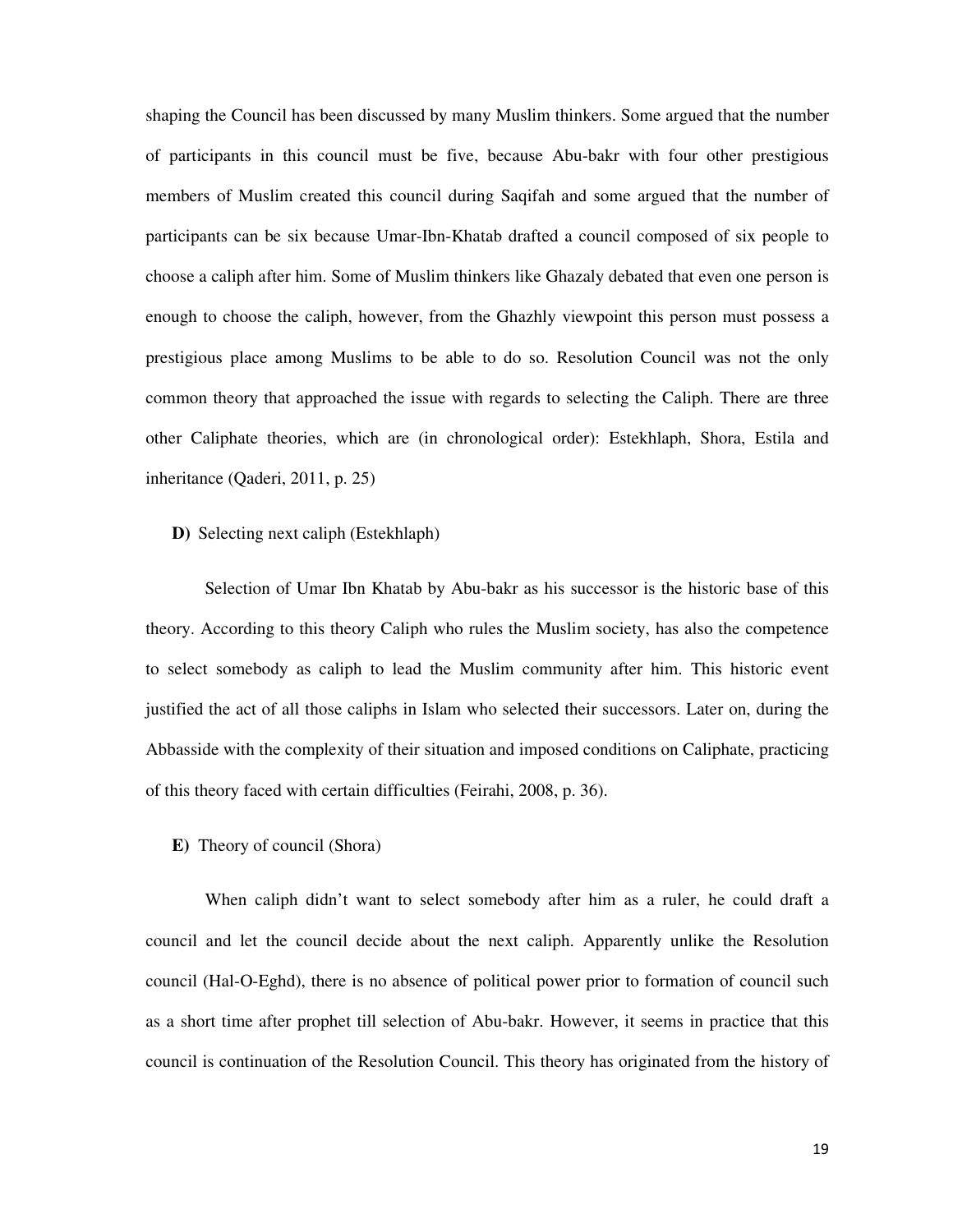shaping the Council has been discussed by many Muslim thinkers. Some argued that the number of participants in this council must be five, because Abu-bakr with four other prestigious members of Muslim created this council during Saqifah and some argued that the number of participants can be six because Umar-Ibn-Khatab drafted a council composed of six people to choose a caliph after him. Some of Muslim thinkers like Ghazaly debated that even one person is enough to choose the caliph, however, from the Ghazhly viewpoint this person must possess a prestigious place among Muslims to be able to do so. Resolution Council was not the only common theory that approached the issue with regards to selecting the Caliph. There are three other Caliphate theories, which are (in chronological order): Estekhlaph, Shora, Estila and inheritance (Qaderi, 2011, p. 25)

**D)** Selecting next caliph (Estekhlaph)

Selection of Umar Ibn Khatab by Abu-bakr as his successor is the historic base of this theory. According to this theory Caliph who rules the Muslim society, has also the competence to select somebody as caliph to lead the Muslim community after him. This historic event justified the act of all those caliphs in Islam who selected their successors. Later on, during the Abbasside with the complexity of their situation and imposed conditions on Caliphate, practicing of this theory faced with certain difficulties (Feirahi, 2008, p. 36).

**E)** Theory of council (Shora)

When caliph didn't want to select somebody after him as a ruler, he could draft a council and let the council decide about the next caliph. Apparently unlike the Resolution council (Hal-O-Eghd), there is no absence of political power prior to formation of council such as a short time after prophet till selection of Abu-bakr. However, it seems in practice that this council is continuation of the Resolution Council. This theory has originated from the history of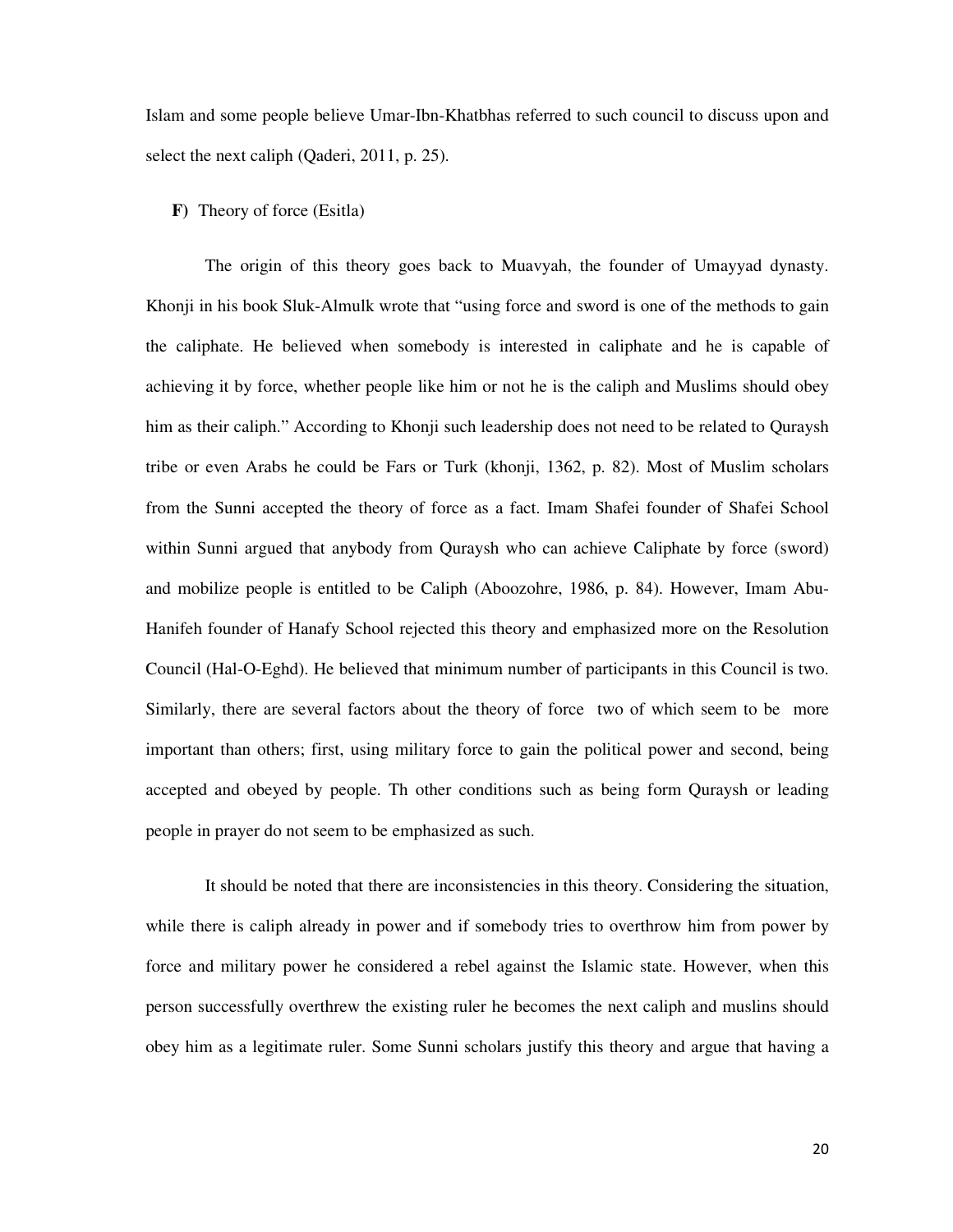Islam and some people believe Umar-Ibn-Khatbhas referred to such council to discuss upon and select the next caliph (Qaderi, 2011, p. 25).

## **F)** Theory of force (Esitla)

The origin of this theory goes back to Muavyah, the founder of Umayyad dynasty. Khonji in his book Sluk-Almulk wrote that "using force and sword is one of the methods to gain the caliphate. He believed when somebody is interested in caliphate and he is capable of achieving it by force, whether people like him or not he is the caliph and Muslims should obey him as their caliph." According to Khonji such leadership does not need to be related to Quraysh tribe or even Arabs he could be Fars or Turk (khonji, 1362, p. 82). Most of Muslim scholars from the Sunni accepted the theory of force as a fact. Imam Shafei founder of Shafei School within Sunni argued that anybody from Quraysh who can achieve Caliphate by force (sword) and mobilize people is entitled to be Caliph (Aboozohre, 1986, p. 84). However, Imam Abu-Hanifeh founder of Hanafy School rejected this theory and emphasized more on the Resolution Council (Hal-O-Eghd). He believed that minimum number of participants in this Council is two. Similarly, there are several factors about the theory of force two of which seem to be more important than others; first, using military force to gain the political power and second, being accepted and obeyed by people. Th other conditions such as being form Quraysh or leading people in prayer do not seem to be emphasized as such.

It should be noted that there are inconsistencies in this theory. Considering the situation, while there is caliph already in power and if somebody tries to overthrow him from power by force and military power he considered a rebel against the Islamic state. However, when this person successfully overthrew the existing ruler he becomes the next caliph and muslins should obey him as a legitimate ruler. Some Sunni scholars justify this theory and argue that having a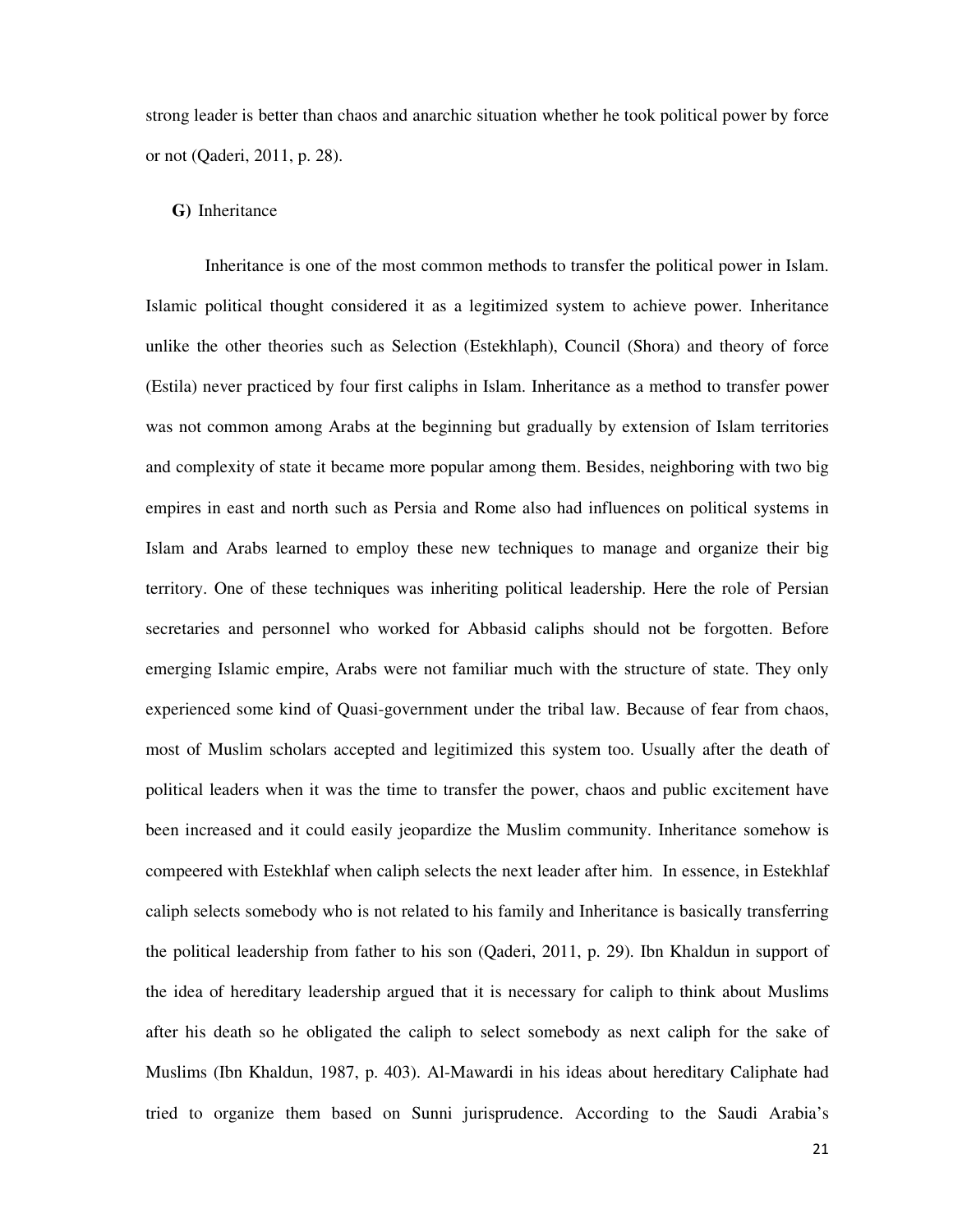strong leader is better than chaos and anarchic situation whether he took political power by force or not (Qaderi, 2011, p. 28).

## **G)** Inheritance

Inheritance is one of the most common methods to transfer the political power in Islam. Islamic political thought considered it as a legitimized system to achieve power. Inheritance unlike the other theories such as Selection (Estekhlaph), Council (Shora) and theory of force (Estila) never practiced by four first caliphs in Islam. Inheritance as a method to transfer power was not common among Arabs at the beginning but gradually by extension of Islam territories and complexity of state it became more popular among them. Besides, neighboring with two big empires in east and north such as Persia and Rome also had influences on political systems in Islam and Arabs learned to employ these new techniques to manage and organize their big territory. One of these techniques was inheriting political leadership. Here the role of Persian secretaries and personnel who worked for Abbasid caliphs should not be forgotten. Before emerging Islamic empire, Arabs were not familiar much with the structure of state. They only experienced some kind of Quasi-government under the tribal law. Because of fear from chaos, most of Muslim scholars accepted and legitimized this system too. Usually after the death of political leaders when it was the time to transfer the power, chaos and public excitement have been increased and it could easily jeopardize the Muslim community. Inheritance somehow is compeered with Estekhlaf when caliph selects the next leader after him. In essence, in Estekhlaf caliph selects somebody who is not related to his family and Inheritance is basically transferring the political leadership from father to his son (Qaderi, 2011, p. 29). Ibn Khaldun in support of the idea of hereditary leadership argued that it is necessary for caliph to think about Muslims after his death so he obligated the caliph to select somebody as next caliph for the sake of Muslims (Ibn Khaldun, 1987, p. 403). Al-Mawardi in his ideas about hereditary Caliphate had tried to organize them based on Sunni jurisprudence. According to the Saudi Arabia's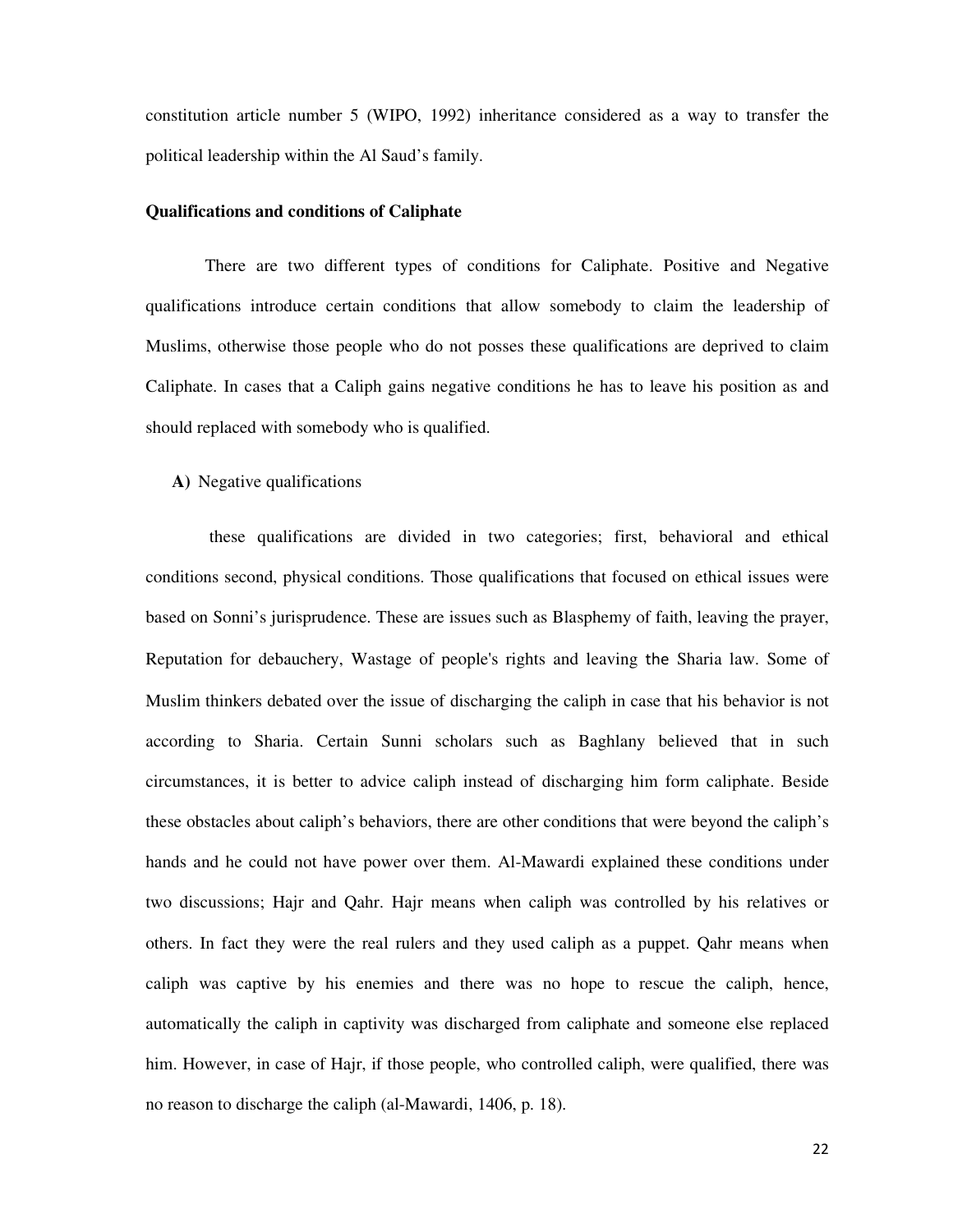constitution article number 5 (WIPO, 1992) inheritance considered as a way to transfer the political leadership within the Al Saud's family.

#### **Qualifications and conditions of Caliphate**

There are two different types of conditions for Caliphate. Positive and Negative qualifications introduce certain conditions that allow somebody to claim the leadership of Muslims, otherwise those people who do not posses these qualifications are deprived to claim Caliphate. In cases that a Caliph gains negative conditions he has to leave his position as and should replaced with somebody who is qualified.

## **A)** Negative qualifications

these qualifications are divided in two categories; first, behavioral and ethical conditions second, physical conditions. Those qualifications that focused on ethical issues were based on Sonni's jurisprudence. These are issues such as Blasphemy of faith, leaving the prayer, Reputation for debauchery, Wastage of people's rights and leaving the Sharia law. Some of Muslim thinkers debated over the issue of discharging the caliph in case that his behavior is not according to Sharia. Certain Sunni scholars such as Baghlany believed that in such circumstances, it is better to advice caliph instead of discharging him form caliphate. Beside these obstacles about caliph's behaviors, there are other conditions that were beyond the caliph's hands and he could not have power over them. Al-Mawardi explained these conditions under two discussions; Hajr and Qahr. Hajr means when caliph was controlled by his relatives or others. In fact they were the real rulers and they used caliph as a puppet. Qahr means when caliph was captive by his enemies and there was no hope to rescue the caliph, hence, automatically the caliph in captivity was discharged from caliphate and someone else replaced him. However, in case of Hajr, if those people, who controlled caliph, were qualified, there was no reason to discharge the caliph (al-Mawardi, 1406, p. 18).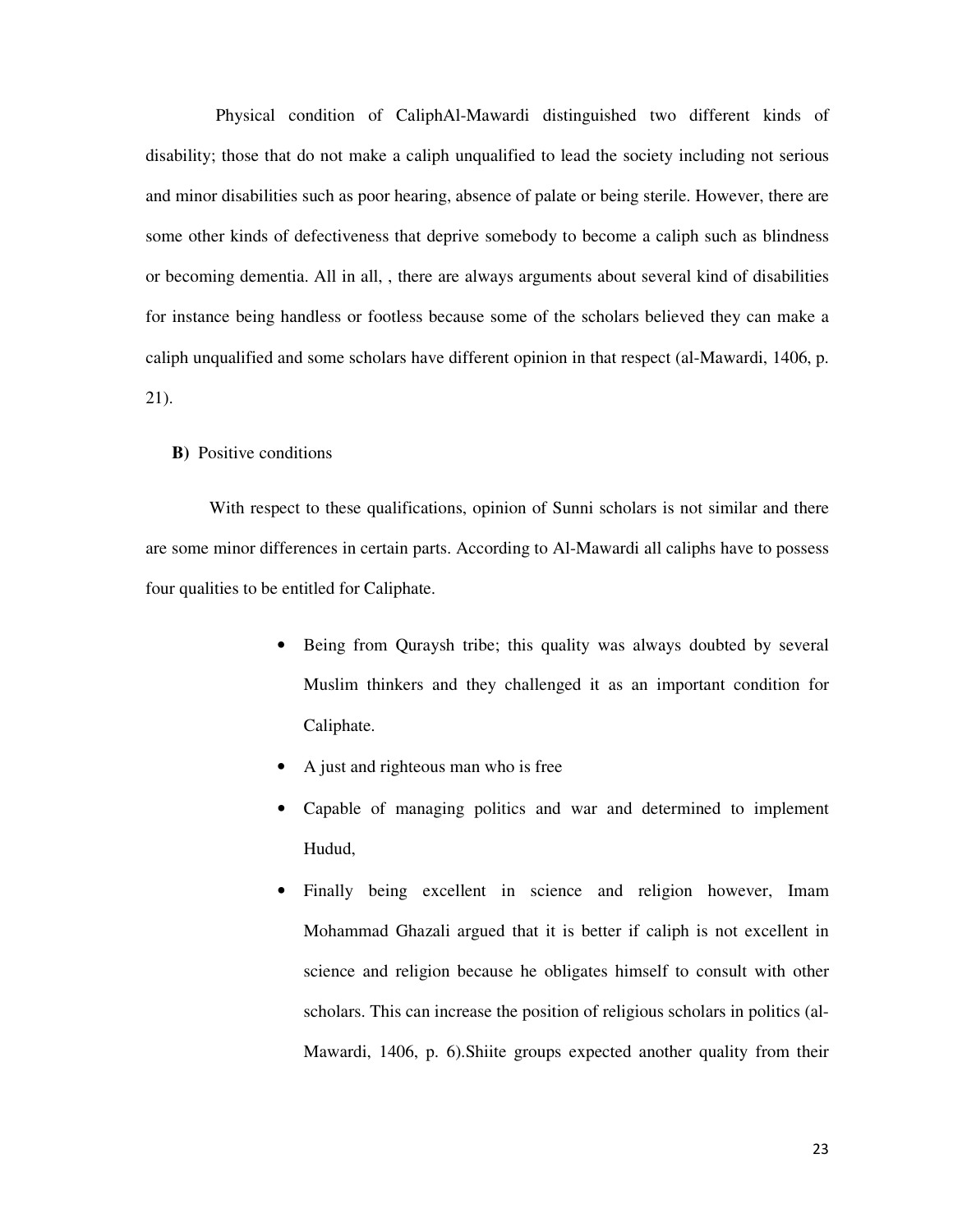Physical condition of CaliphAl-Mawardi distinguished two different kinds of disability; those that do not make a caliph unqualified to lead the society including not serious and minor disabilities such as poor hearing, absence of palate or being sterile. However, there are some other kinds of defectiveness that deprive somebody to become a caliph such as blindness or becoming dementia. All in all, , there are always arguments about several kind of disabilities for instance being handless or footless because some of the scholars believed they can make a caliph unqualified and some scholars have different opinion in that respect (al-Mawardi, 1406, p. 21).

## **B)** Positive conditions

With respect to these qualifications, opinion of Sunni scholars is not similar and there are some minor differences in certain parts. According to Al-Mawardi all caliphs have to possess four qualities to be entitled for Caliphate.

- Being from Quraysh tribe; this quality was always doubted by several Muslim thinkers and they challenged it as an important condition for Caliphate.
- A just and righteous man who is free
- Capable of managing politics and war and determined to implement Hudud,
- Finally being excellent in science and religion however, Imam Mohammad Ghazali argued that it is better if caliph is not excellent in science and religion because he obligates himself to consult with other scholars. This can increase the position of religious scholars in politics (al-Mawardi, 1406, p. 6).Shiite groups expected another quality from their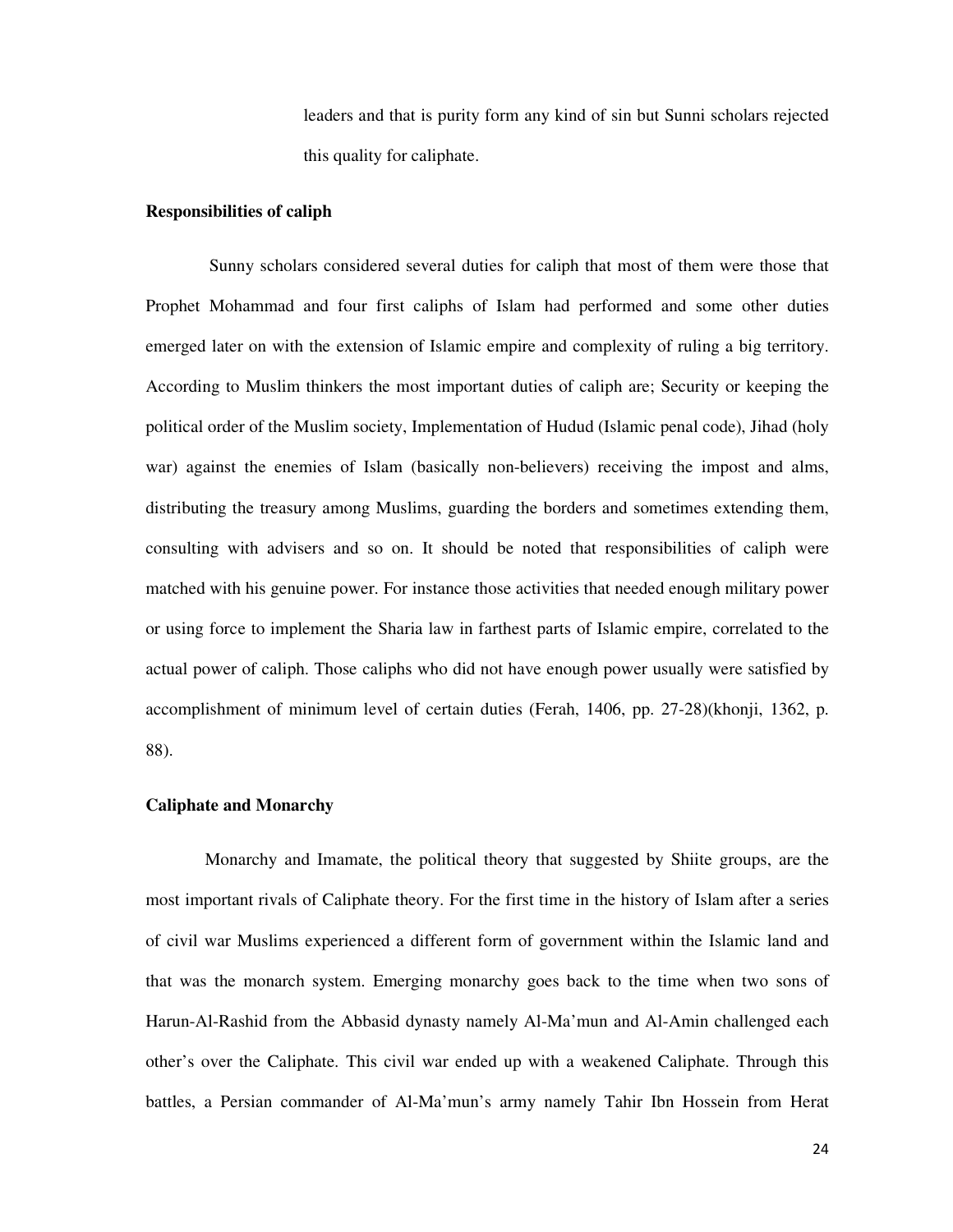leaders and that is purity form any kind of sin but Sunni scholars rejected this quality for caliphate.

## **Responsibilities of caliph**

Sunny scholars considered several duties for caliph that most of them were those that Prophet Mohammad and four first caliphs of Islam had performed and some other duties emerged later on with the extension of Islamic empire and complexity of ruling a big territory. According to Muslim thinkers the most important duties of caliph are; Security or keeping the political order of the Muslim society, Implementation of Hudud (Islamic penal code), Jihad (holy war) against the enemies of Islam (basically non-believers) receiving the impost and alms, distributing the treasury among Muslims, guarding the borders and sometimes extending them, consulting with advisers and so on. It should be noted that responsibilities of caliph were matched with his genuine power. For instance those activities that needed enough military power or using force to implement the Sharia law in farthest parts of Islamic empire, correlated to the actual power of caliph. Those caliphs who did not have enough power usually were satisfied by accomplishment of minimum level of certain duties (Ferah, 1406, pp. 27-28)(khonji, 1362, p. 88).

## **Caliphate and Monarchy**

Monarchy and Imamate, the political theory that suggested by Shiite groups, are the most important rivals of Caliphate theory. For the first time in the history of Islam after a series of civil war Muslims experienced a different form of government within the Islamic land and that was the monarch system. Emerging monarchy goes back to the time when two sons of Harun-Al-Rashid from the Abbasid dynasty namely Al-Ma'mun and Al-Amin challenged each other's over the Caliphate. This civil war ended up with a weakened Caliphate. Through this battles, a Persian commander of Al-Ma'mun's army namely Tahir Ibn Hossein from Herat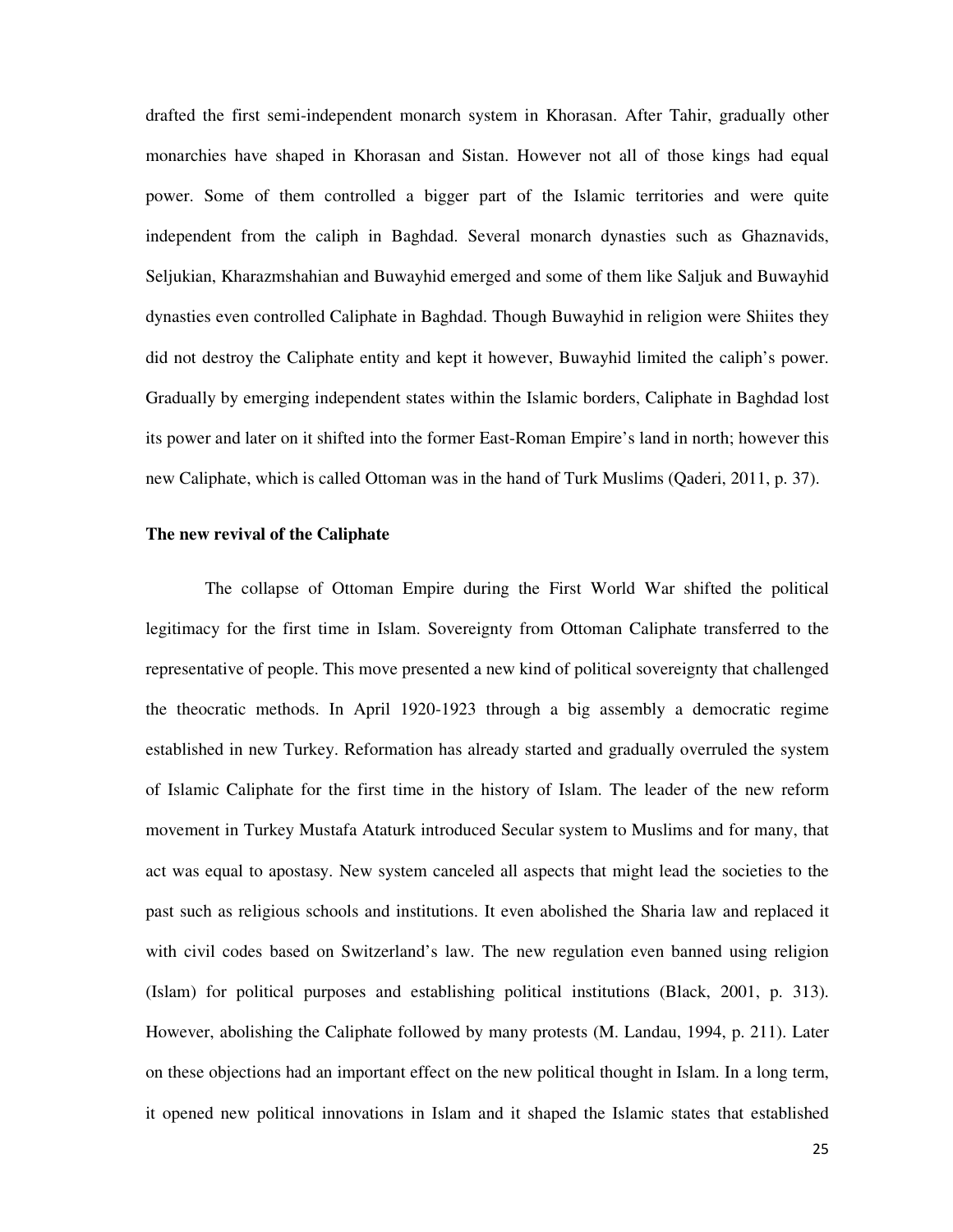drafted the first semi-independent monarch system in Khorasan. After Tahir, gradually other monarchies have shaped in Khorasan and Sistan. However not all of those kings had equal power. Some of them controlled a bigger part of the Islamic territories and were quite independent from the caliph in Baghdad. Several monarch dynasties such as Ghaznavids, Seljukian, Kharazmshahian and Buwayhid emerged and some of them like Saljuk and Buwayhid dynasties even controlled Caliphate in Baghdad. Though Buwayhid in religion were Shiites they did not destroy the Caliphate entity and kept it however, Buwayhid limited the caliph's power. Gradually by emerging independent states within the Islamic borders, Caliphate in Baghdad lost its power and later on it shifted into the former East-Roman Empire's land in north; however this new Caliphate, which is called Ottoman was in the hand of Turk Muslims (Qaderi, 2011, p. 37).

## **The new revival of the Caliphate**

The collapse of Ottoman Empire during the First World War shifted the political legitimacy for the first time in Islam. Sovereignty from Ottoman Caliphate transferred to the representative of people. This move presented a new kind of political sovereignty that challenged the theocratic methods. In April 1920-1923 through a big assembly a democratic regime established in new Turkey. Reformation has already started and gradually overruled the system of Islamic Caliphate for the first time in the history of Islam. The leader of the new reform movement in Turkey Mustafa Ataturk introduced Secular system to Muslims and for many, that act was equal to apostasy. New system canceled all aspects that might lead the societies to the past such as religious schools and institutions. It even abolished the Sharia law and replaced it with civil codes based on Switzerland's law. The new regulation even banned using religion (Islam) for political purposes and establishing political institutions (Black, 2001, p. 313). However, abolishing the Caliphate followed by many protests (M. Landau, 1994, p. 211). Later on these objections had an important effect on the new political thought in Islam. In a long term, it opened new political innovations in Islam and it shaped the Islamic states that established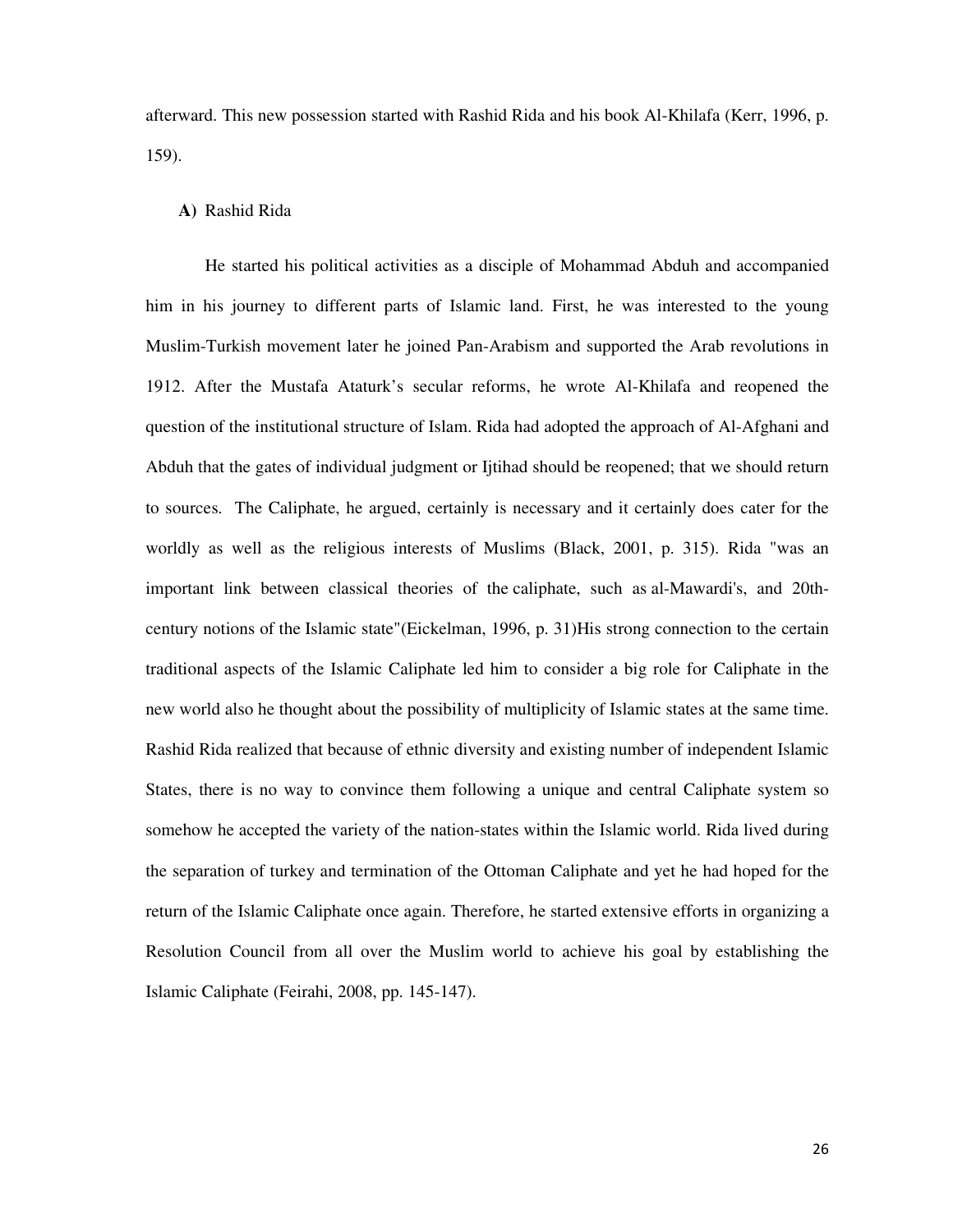afterward. This new possession started with Rashid Rida and his book Al-Khilafa (Kerr, 1996, p. 159).

## **A)** Rashid Rida

He started his political activities as a disciple of Mohammad Abduh and accompanied him in his journey to different parts of Islamic land. First, he was interested to the young Muslim-Turkish movement later he joined Pan-Arabism and supported the Arab revolutions in 1912. After the Mustafa Ataturk's secular reforms, he wrote Al-Khilafa and reopened the question of the institutional structure of Islam. Rida had adopted the approach of Al-Afghani and Abduh that the gates of individual judgment or Ijtihad should be reopened; that we should return to sources. The Caliphate, he argued, certainly is necessary and it certainly does cater for the worldly as well as the religious interests of Muslims (Black, 2001, p. 315). Rida "was an important link between classical theories of the caliphate, such as al-Mawardi's, and 20thcentury notions of the Islamic state"(Eickelman, 1996, p. 31)His strong connection to the certain traditional aspects of the Islamic Caliphate led him to consider a big role for Caliphate in the new world also he thought about the possibility of multiplicity of Islamic states at the same time. Rashid Rida realized that because of ethnic diversity and existing number of independent Islamic States, there is no way to convince them following a unique and central Caliphate system so somehow he accepted the variety of the nation-states within the Islamic world. Rida lived during the separation of turkey and termination of the Ottoman Caliphate and yet he had hoped for the return of the Islamic Caliphate once again. Therefore, he started extensive efforts in organizing a Resolution Council from all over the Muslim world to achieve his goal by establishing the Islamic Caliphate (Feirahi, 2008, pp. 145-147).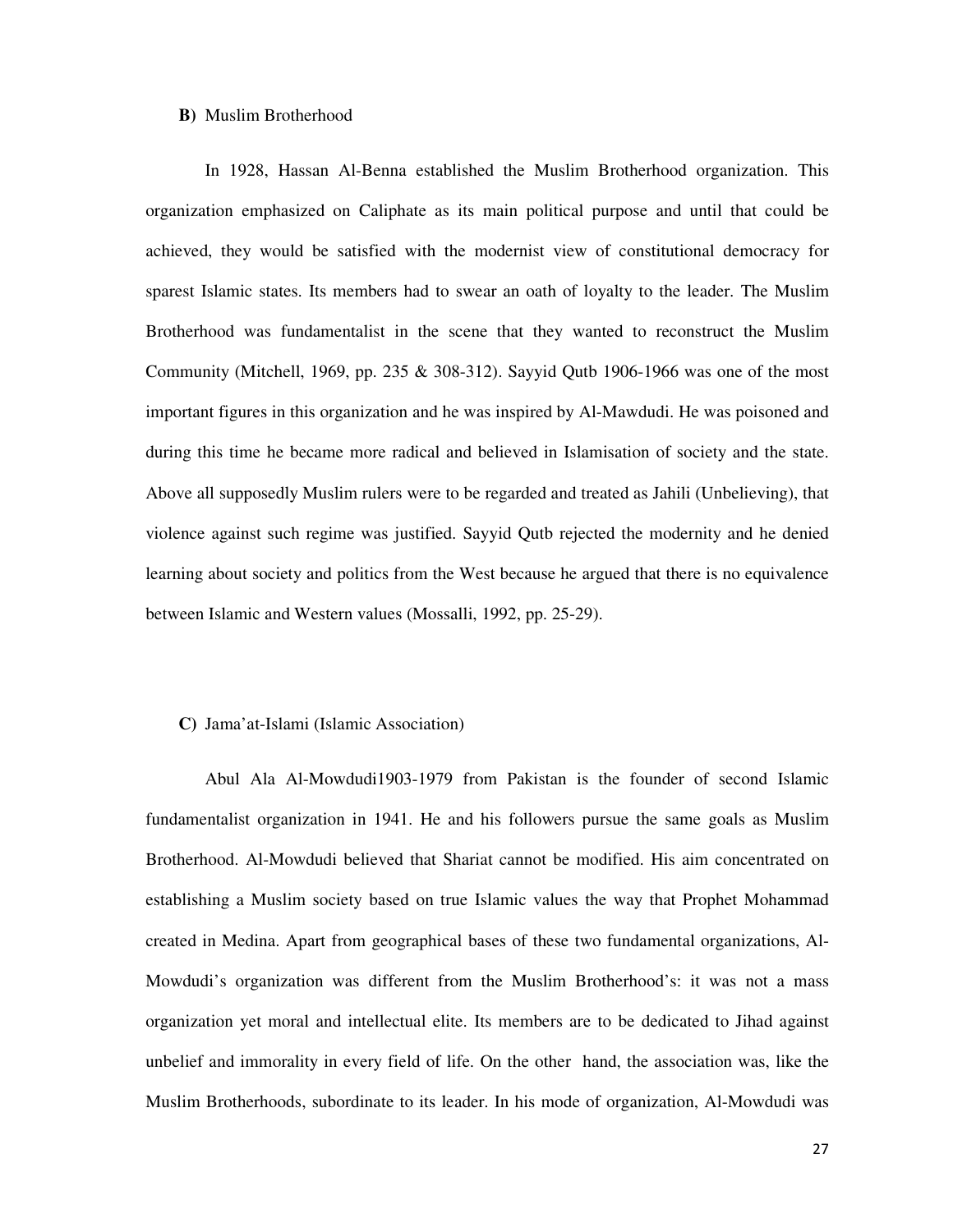## **B)** Muslim Brotherhood

In 1928, Hassan Al-Benna established the Muslim Brotherhood organization. This organization emphasized on Caliphate as its main political purpose and until that could be achieved, they would be satisfied with the modernist view of constitutional democracy for sparest Islamic states. Its members had to swear an oath of loyalty to the leader. The Muslim Brotherhood was fundamentalist in the scene that they wanted to reconstruct the Muslim Community (Mitchell, 1969, pp. 235  $\&$  308-312). Sayyid Qutb 1906-1966 was one of the most important figures in this organization and he was inspired by Al-Mawdudi. He was poisoned and during this time he became more radical and believed in Islamisation of society and the state. Above all supposedly Muslim rulers were to be regarded and treated as Jahili (Unbelieving), that violence against such regime was justified. Sayyid Qutb rejected the modernity and he denied learning about society and politics from the West because he argued that there is no equivalence between Islamic and Western values (Mossalli, 1992, pp. 25-29).

## **C)** Jama'at-Islami (Islamic Association)

Abul Ala Al-Mowdudi1903-1979 from Pakistan is the founder of second Islamic fundamentalist organization in 1941. He and his followers pursue the same goals as Muslim Brotherhood. Al-Mowdudi believed that Shariat cannot be modified. His aim concentrated on establishing a Muslim society based on true Islamic values the way that Prophet Mohammad created in Medina. Apart from geographical bases of these two fundamental organizations, Al-Mowdudi's organization was different from the Muslim Brotherhood's: it was not a mass organization yet moral and intellectual elite. Its members are to be dedicated to Jihad against unbelief and immorality in every field of life. On the other hand, the association was, like the Muslim Brotherhoods, subordinate to its leader. In his mode of organization, Al-Mowdudi was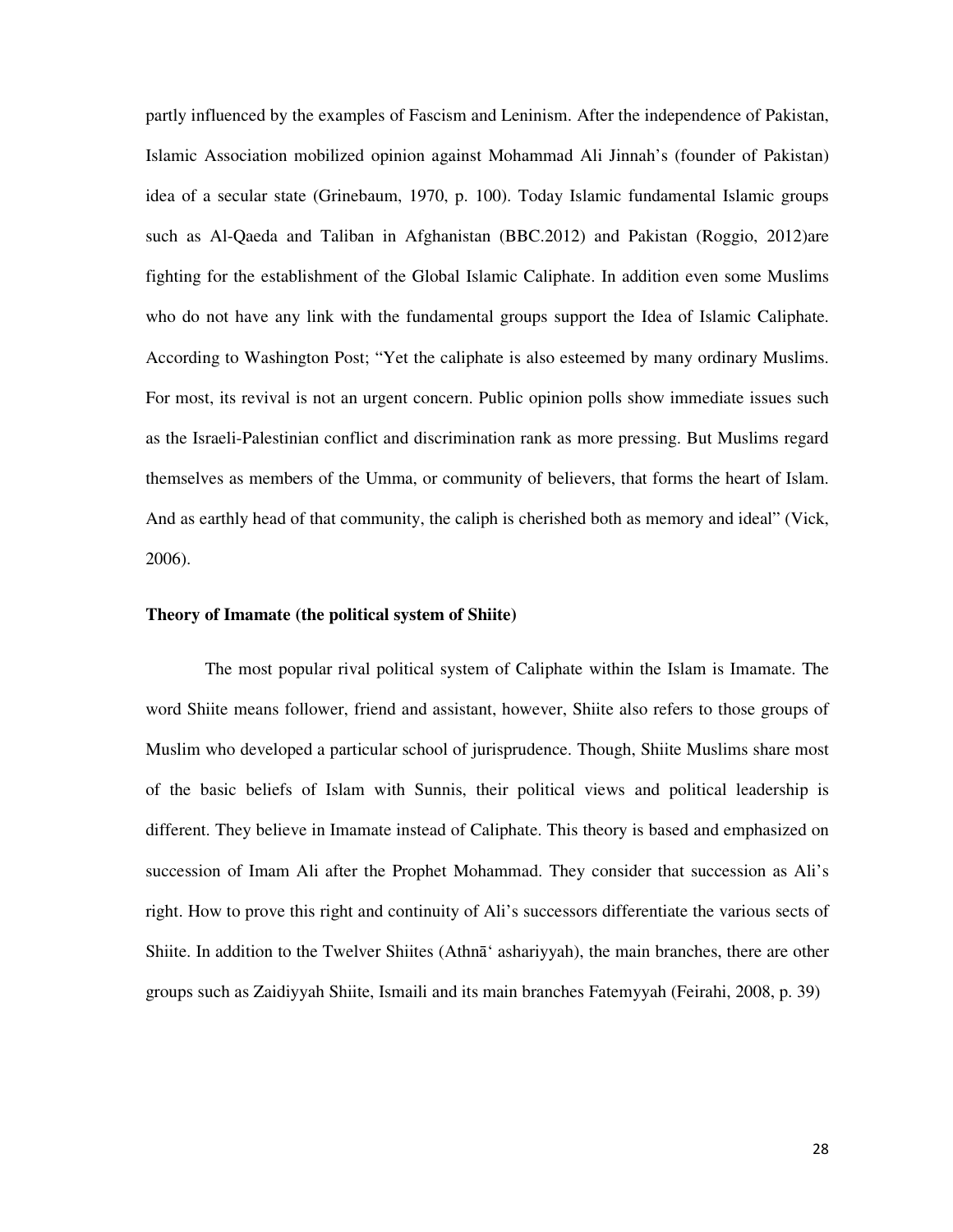partly influenced by the examples of Fascism and Leninism. After the independence of Pakistan, Islamic Association mobilized opinion against Mohammad Ali Jinnah's (founder of Pakistan) idea of a secular state (Grinebaum, 1970, p. 100). Today Islamic fundamental Islamic groups such as Al-Qaeda and Taliban in Afghanistan (BBC.2012) and Pakistan (Roggio, 2012)are fighting for the establishment of the Global Islamic Caliphate. In addition even some Muslims who do not have any link with the fundamental groups support the Idea of Islamic Caliphate. According to Washington Post; "Yet the caliphate is also esteemed by many ordinary Muslims. For most, its revival is not an urgent concern. Public opinion polls show immediate issues such as the Israeli-Palestinian conflict and discrimination rank as more pressing. But Muslims regard themselves as members of the Umma, or community of believers, that forms the heart of Islam. And as earthly head of that community, the caliph is cherished both as memory and ideal" (Vick, 2006).

#### **Theory of Imamate (the political system of Shiite)**

The most popular rival political system of Caliphate within the Islam is Imamate. The word Shiite means follower, friend and assistant, however, Shiite also refers to those groups of Muslim who developed a particular school of jurisprudence. Though, Shiite Muslims share most of the basic beliefs of Islam with Sunnis, their political views and political leadership is different. They believe in Imamate instead of Caliphate. This theory is based and emphasized on succession of Imam Ali after the Prophet Mohammad. They consider that succession as Ali's right. How to prove this right and continuity of Ali's successors differentiate the various sects of Shiite. In addition to the Twelver Shiites (Athna<sup>\*</sup> ashariyyah), the main branches, there are other groups such as Zaidiyyah Shiite, Ismaili and its main branches Fatemyyah (Feirahi, 2008, p. 39)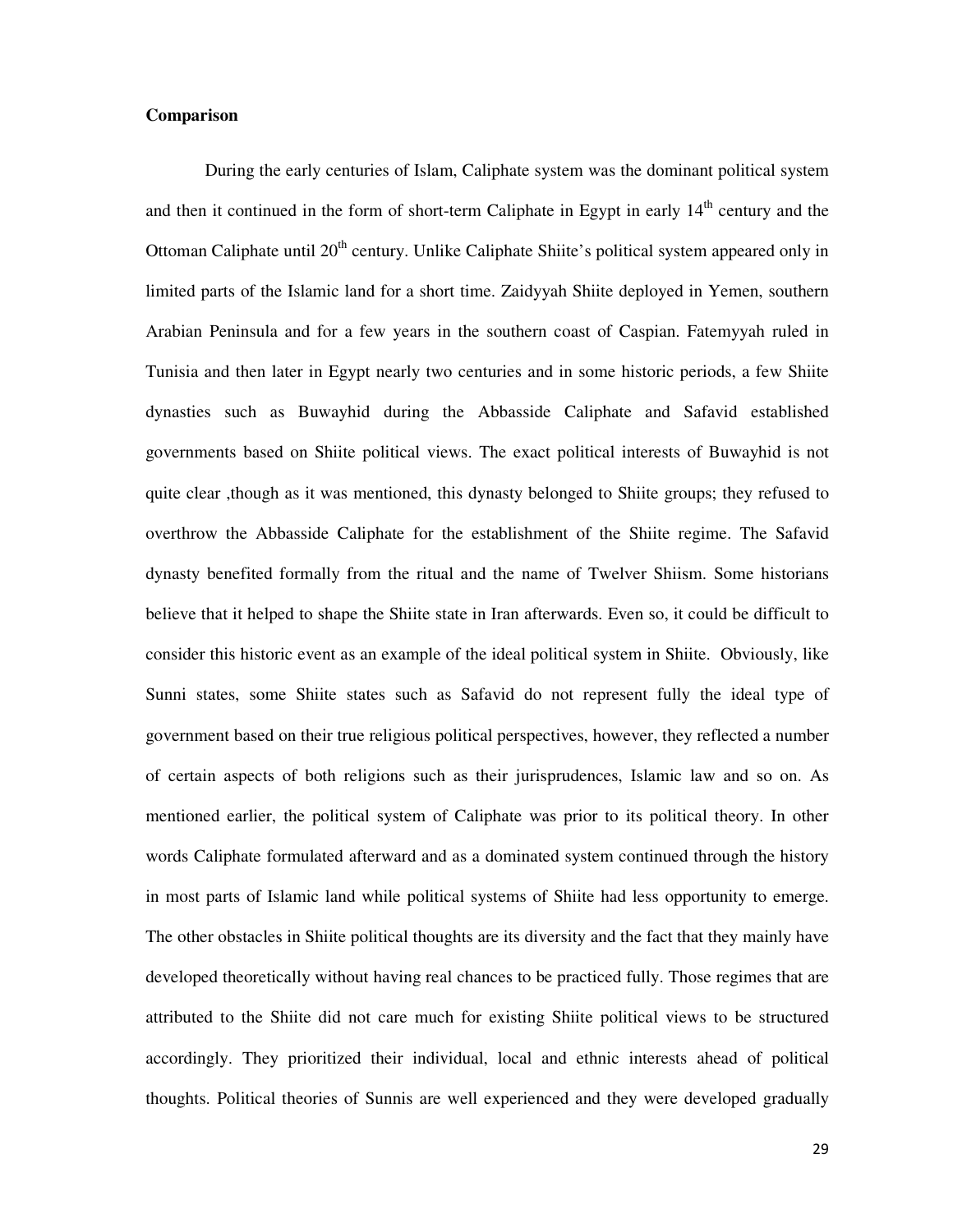## **Comparison**

During the early centuries of Islam, Caliphate system was the dominant political system and then it continued in the form of short-term Caliphate in Egypt in early  $14<sup>th</sup>$  century and the Ottoman Caliphate until 20<sup>th</sup> century. Unlike Caliphate Shiite's political system appeared only in limited parts of the Islamic land for a short time. Zaidyyah Shiite deployed in Yemen, southern Arabian Peninsula and for a few years in the southern coast of Caspian. Fatemyyah ruled in Tunisia and then later in Egypt nearly two centuries and in some historic periods, a few Shiite dynasties such as Buwayhid during the Abbasside Caliphate and Safavid established governments based on Shiite political views. The exact political interests of Buwayhid is not quite clear ,though as it was mentioned, this dynasty belonged to Shiite groups; they refused to overthrow the Abbasside Caliphate for the establishment of the Shiite regime. The Safavid dynasty benefited formally from the ritual and the name of Twelver Shiism. Some historians believe that it helped to shape the Shiite state in Iran afterwards. Even so, it could be difficult to consider this historic event as an example of the ideal political system in Shiite. Obviously, like Sunni states, some Shiite states such as Safavid do not represent fully the ideal type of government based on their true religious political perspectives, however, they reflected a number of certain aspects of both religions such as their jurisprudences, Islamic law and so on. As mentioned earlier, the political system of Caliphate was prior to its political theory. In other words Caliphate formulated afterward and as a dominated system continued through the history in most parts of Islamic land while political systems of Shiite had less opportunity to emerge. The other obstacles in Shiite political thoughts are its diversity and the fact that they mainly have developed theoretically without having real chances to be practiced fully. Those regimes that are attributed to the Shiite did not care much for existing Shiite political views to be structured accordingly. They prioritized their individual, local and ethnic interests ahead of political thoughts. Political theories of Sunnis are well experienced and they were developed gradually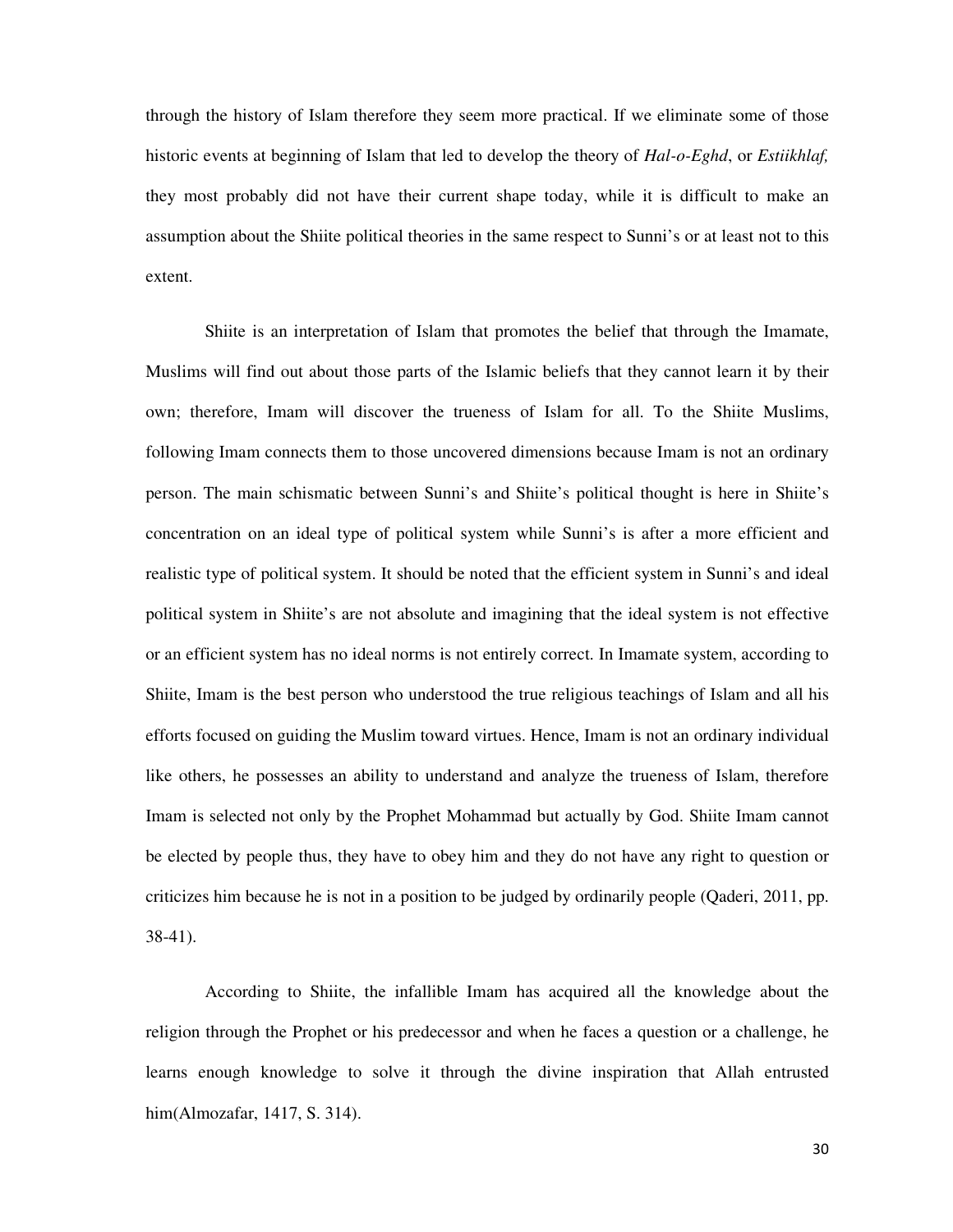through the history of Islam therefore they seem more practical. If we eliminate some of those historic events at beginning of Islam that led to develop the theory of *Hal-o-Eghd*, or *Estiikhlaf,*  they most probably did not have their current shape today, while it is difficult to make an assumption about the Shiite political theories in the same respect to Sunni's or at least not to this extent.

Shiite is an interpretation of Islam that promotes the belief that through the Imamate, Muslims will find out about those parts of the Islamic beliefs that they cannot learn it by their own; therefore, Imam will discover the trueness of Islam for all. To the Shiite Muslims, following Imam connects them to those uncovered dimensions because Imam is not an ordinary person. The main schismatic between Sunni's and Shiite's political thought is here in Shiite's concentration on an ideal type of political system while Sunni's is after a more efficient and realistic type of political system. It should be noted that the efficient system in Sunni's and ideal political system in Shiite's are not absolute and imagining that the ideal system is not effective or an efficient system has no ideal norms is not entirely correct. In Imamate system, according to Shiite, Imam is the best person who understood the true religious teachings of Islam and all his efforts focused on guiding the Muslim toward virtues. Hence, Imam is not an ordinary individual like others, he possesses an ability to understand and analyze the trueness of Islam, therefore Imam is selected not only by the Prophet Mohammad but actually by God. Shiite Imam cannot be elected by people thus, they have to obey him and they do not have any right to question or criticizes him because he is not in a position to be judged by ordinarily people (Qaderi, 2011, pp. 38-41).

According to Shiite, the infallible Imam has acquired all the knowledge about the religion through the Prophet or his predecessor and when he faces a question or a challenge, he learns enough knowledge to solve it through the divine inspiration that Allah entrusted him(Almozafar, 1417, S. 314).

30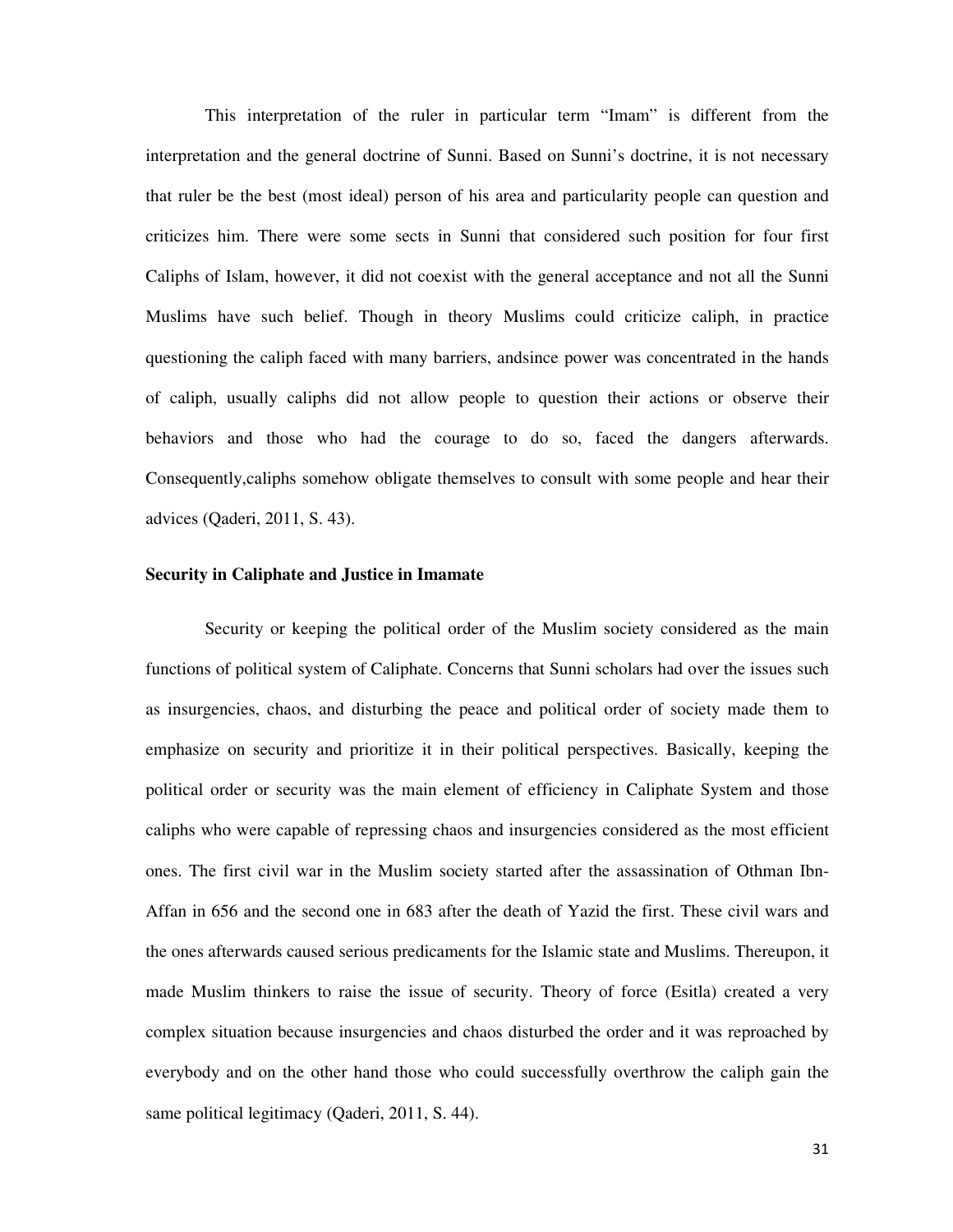This interpretation of the ruler in particular term "Imam" is different from the interpretation and the general doctrine of Sunni. Based on Sunni's doctrine, it is not necessary that ruler be the best (most ideal) person of his area and particularity people can question and criticizes him. There were some sects in Sunni that considered such position for four first Caliphs of Islam, however, it did not coexist with the general acceptance and not all the Sunni Muslims have such belief. Though in theory Muslims could criticize caliph, in practice questioning the caliph faced with many barriers, andsince power was concentrated in the hands of caliph, usually caliphs did not allow people to question their actions or observe their behaviors and those who had the courage to do so, faced the dangers afterwards. Consequently,caliphs somehow obligate themselves to consult with some people and hear their advices (Qaderi, 2011, S. 43).

## **Security in Caliphate and Justice in Imamate**

Security or keeping the political order of the Muslim society considered as the main functions of political system of Caliphate. Concerns that Sunni scholars had over the issues such as insurgencies, chaos, and disturbing the peace and political order of society made them to emphasize on security and prioritize it in their political perspectives. Basically, keeping the political order or security was the main element of efficiency in Caliphate System and those caliphs who were capable of repressing chaos and insurgencies considered as the most efficient ones. The first civil war in the Muslim society started after the assassination of Othman Ibn-Affan in 656 and the second one in 683 after the death of Yazid the first. These civil wars and the ones afterwards caused serious predicaments for the Islamic state and Muslims. Thereupon, it made Muslim thinkers to raise the issue of security. Theory of force (Esitla) created a very complex situation because insurgencies and chaos disturbed the order and it was reproached by everybody and on the other hand those who could successfully overthrow the caliph gain the same political legitimacy (Qaderi, 2011, S. 44).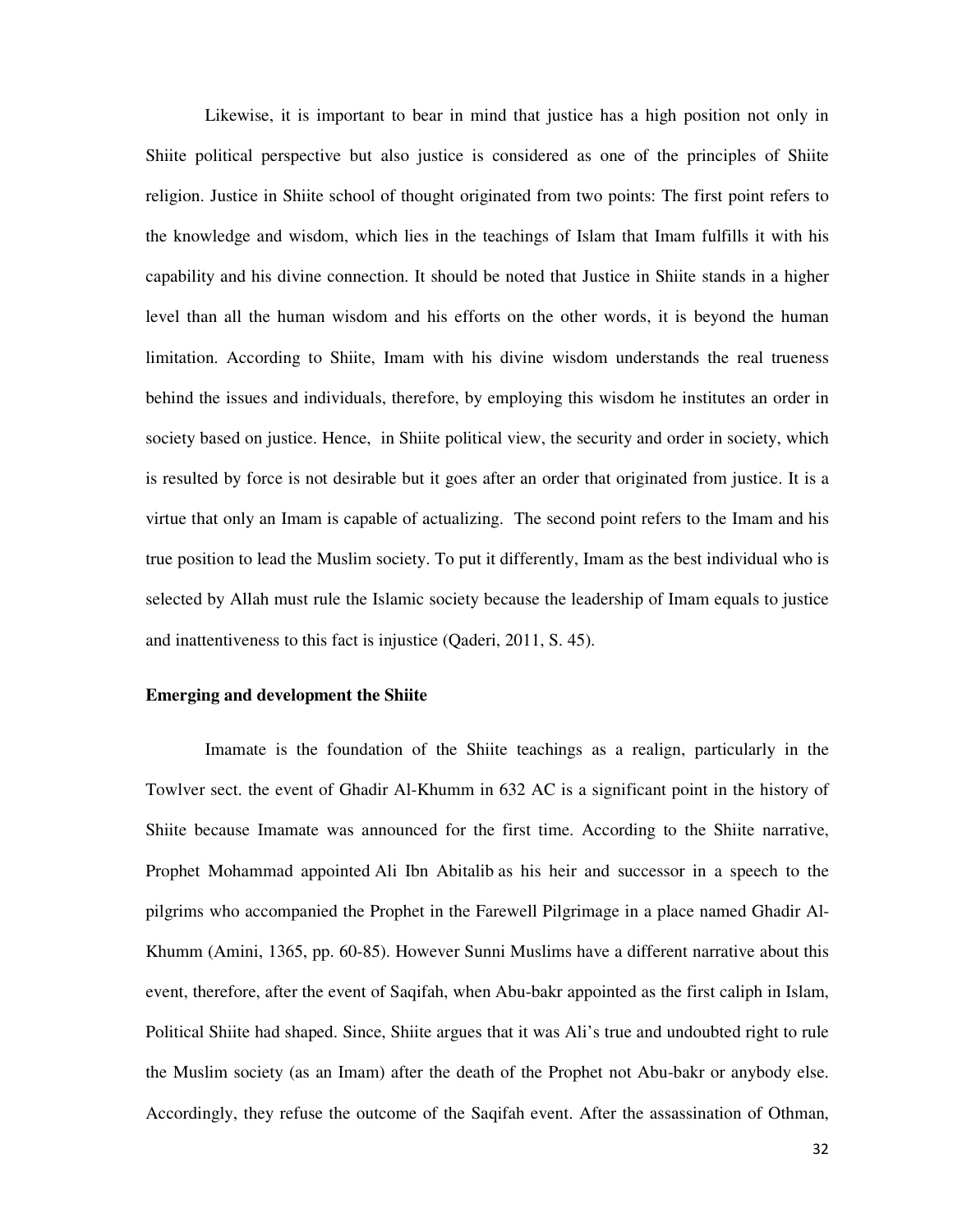Likewise, it is important to bear in mind that justice has a high position not only in Shiite political perspective but also justice is considered as one of the principles of Shiite religion. Justice in Shiite school of thought originated from two points: The first point refers to the knowledge and wisdom, which lies in the teachings of Islam that Imam fulfills it with his capability and his divine connection. It should be noted that Justice in Shiite stands in a higher level than all the human wisdom and his efforts on the other words, it is beyond the human limitation. According to Shiite, Imam with his divine wisdom understands the real trueness behind the issues and individuals, therefore, by employing this wisdom he institutes an order in society based on justice. Hence, in Shiite political view, the security and order in society, which is resulted by force is not desirable but it goes after an order that originated from justice. It is a virtue that only an Imam is capable of actualizing. The second point refers to the Imam and his true position to lead the Muslim society. To put it differently, Imam as the best individual who is selected by Allah must rule the Islamic society because the leadership of Imam equals to justice and inattentiveness to this fact is injustice (Qaderi, 2011, S. 45).

#### **Emerging and development the Shiite**

Imamate is the foundation of the Shiite teachings as a realign, particularly in the Towlver sect. the event of Ghadir Al-Khumm in 632 AC is a significant point in the history of Shiite because Imamate was announced for the first time. According to the Shiite narrative, Prophet Mohammad appointed Ali Ibn Abitalib as his heir and successor in a speech to the pilgrims who accompanied the Prophet in the Farewell Pilgrimage in a place named Ghadir Al-Khumm (Amini, 1365, pp. 60-85). However Sunni Muslims have a different narrative about this event, therefore, after the event of Saqifah, when Abu-bakr appointed as the first caliph in Islam, Political Shiite had shaped. Since, Shiite argues that it was Ali's true and undoubted right to rule the Muslim society (as an Imam) after the death of the Prophet not Abu-bakr or anybody else. Accordingly, they refuse the outcome of the Saqifah event. After the assassination of Othman,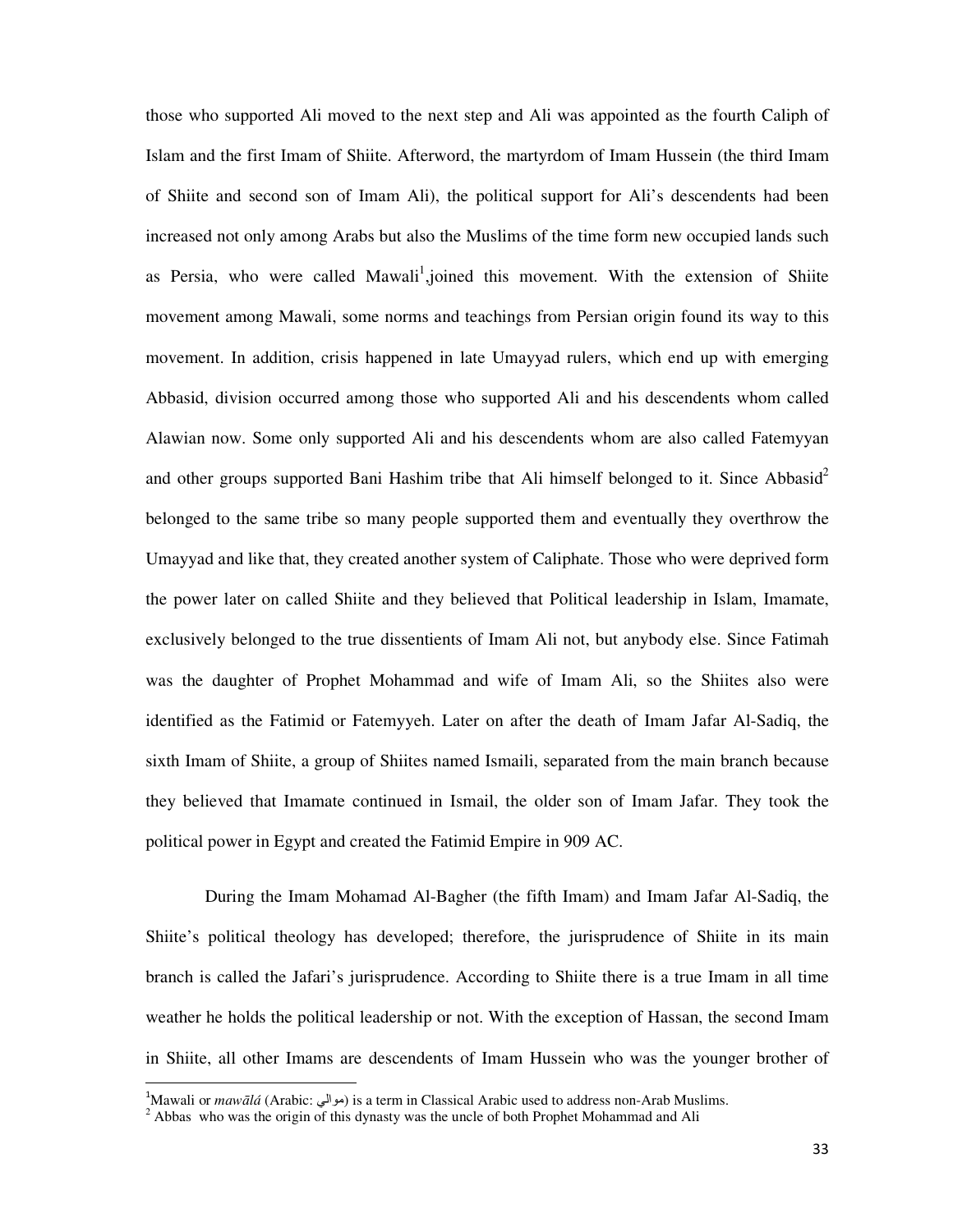those who supported Ali moved to the next step and Ali was appointed as the fourth Caliph of Islam and the first Imam of Shiite. Afterword, the martyrdom of Imam Hussein (the third Imam of Shiite and second son of Imam Ali), the political support for Ali's descendents had been increased not only among Arabs but also the Muslims of the time form new occupied lands such as Persia, who were called Mawali<sup>1</sup>,joined this movement. With the extension of Shiite movement among Mawali, some norms and teachings from Persian origin found its way to this movement. In addition, crisis happened in late Umayyad rulers, which end up with emerging Abbasid, division occurred among those who supported Ali and his descendents whom called Alawian now. Some only supported Ali and his descendents whom are also called Fatemyyan and other groups supported Bani Hashim tribe that Ali himself belonged to it. Since Abbasid<sup>2</sup> belonged to the same tribe so many people supported them and eventually they overthrow the Umayyad and like that, they created another system of Caliphate. Those who were deprived form the power later on called Shiite and they believed that Political leadership in Islam, Imamate, exclusively belonged to the true dissentients of Imam Ali not, but anybody else. Since Fatimah was the daughter of Prophet Mohammad and wife of Imam Ali, so the Shiites also were identified as the Fatimid or Fatemyyeh. Later on after the death of Imam Jafar Al-Sadiq, the sixth Imam of Shiite, a group of Shiites named Ismaili, separated from the main branch because they believed that Imamate continued in Ismail, the older son of Imam Jafar. They took the political power in Egypt and created the Fatimid Empire in 909 AC.

During the Imam Mohamad Al-Bagher (the fifth Imam) and Imam Jafar Al-Sadiq, the Shiite's political theology has developed; therefore, the jurisprudence of Shiite in its main branch is called the Jafari's jurisprudence. According to Shiite there is a true Imam in all time weather he holds the political leadership or not. With the exception of Hassan, the second Imam in Shiite, all other Imams are descendents of Imam Hussein who was the younger brother of

""""""""""""""""""""""""""""""""""""""""""""""""""""""""""""

<sup>&</sup>lt;sup>1</sup>Mawali or *mawālá* (Arabic: أبوالي) is a term in Classical Arabic used to address non-Arab Muslims.<br><sup>2</sup> Abbas, who was the origin of this dynasty was the ungle of both Prophet Mohammad and Ali

 $^2$  Abbas who was the origin of this dynasty was the uncle of both Prophet Mohammad and Ali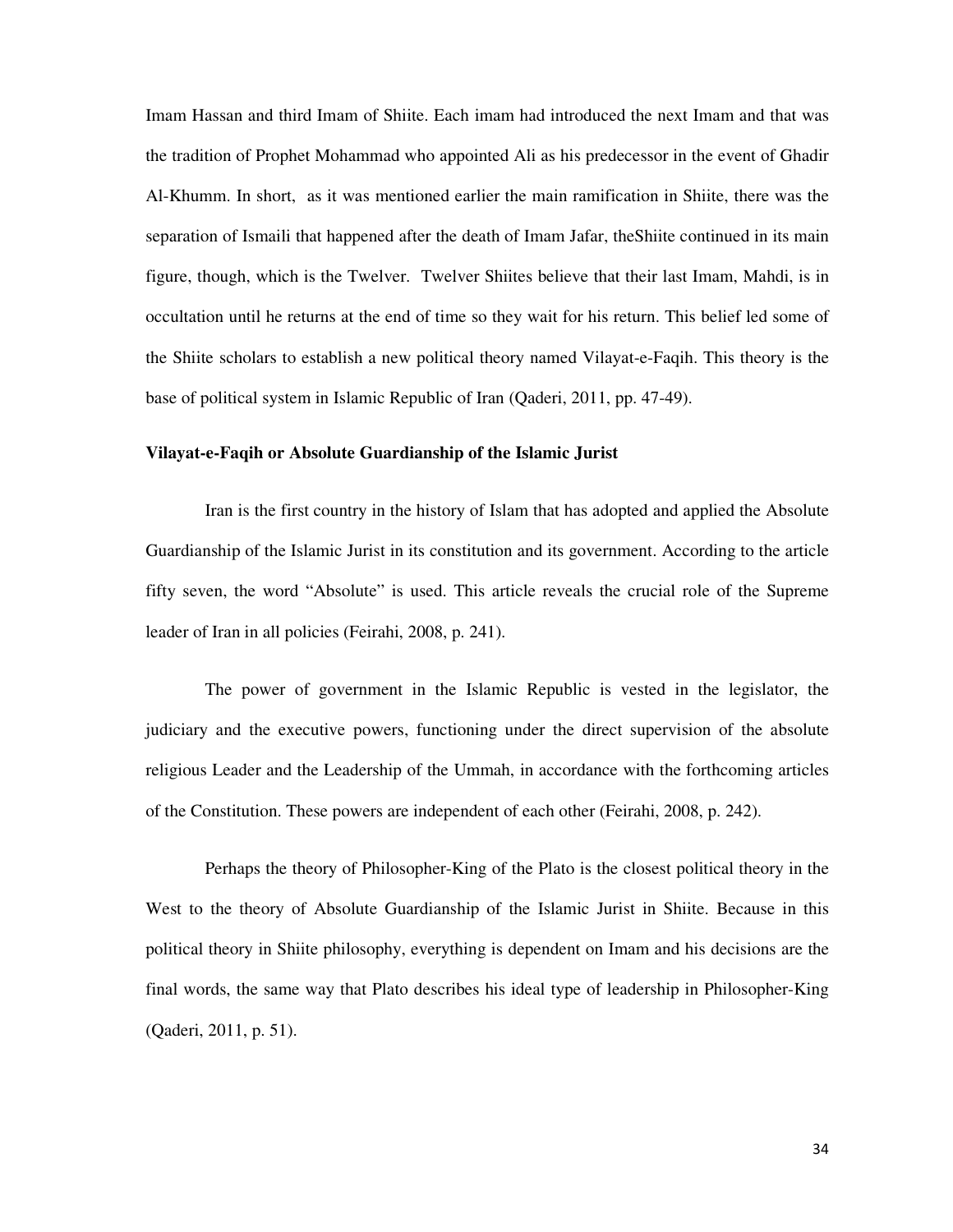Imam Hassan and third Imam of Shiite. Each imam had introduced the next Imam and that was the tradition of Prophet Mohammad who appointed Ali as his predecessor in the event of Ghadir Al-Khumm. In short, as it was mentioned earlier the main ramification in Shiite, there was the separation of Ismaili that happened after the death of Imam Jafar, theShiite continued in its main figure, though, which is the Twelver. Twelver Shiites believe that their last Imam, Mahdi, is in occultation until he returns at the end of time so they wait for his return. This belief led some of the Shiite scholars to establish a new political theory named Vilayat-e-Faqih. This theory is the base of political system in Islamic Republic of Iran (Qaderi, 2011, pp. 47-49).

## **Vilayat-e-Faqih or Absolute Guardianship of the Islamic Jurist**

Iran is the first country in the history of Islam that has adopted and applied the Absolute Guardianship of the Islamic Jurist in its constitution and its government. According to the article fifty seven, the word "Absolute" is used. This article reveals the crucial role of the Supreme leader of Iran in all policies (Feirahi, 2008, p. 241).

The power of government in the Islamic Republic is vested in the legislator, the judiciary and the executive powers, functioning under the direct supervision of the absolute religious Leader and the Leadership of the Ummah, in accordance with the forthcoming articles of the Constitution. These powers are independent of each other (Feirahi, 2008, p. 242).

Perhaps the theory of Philosopher-King of the Plato is the closest political theory in the West to the theory of Absolute Guardianship of the Islamic Jurist in Shiite. Because in this political theory in Shiite philosophy, everything is dependent on Imam and his decisions are the final words, the same way that Plato describes his ideal type of leadership in Philosopher-King (Qaderi, 2011, p. 51).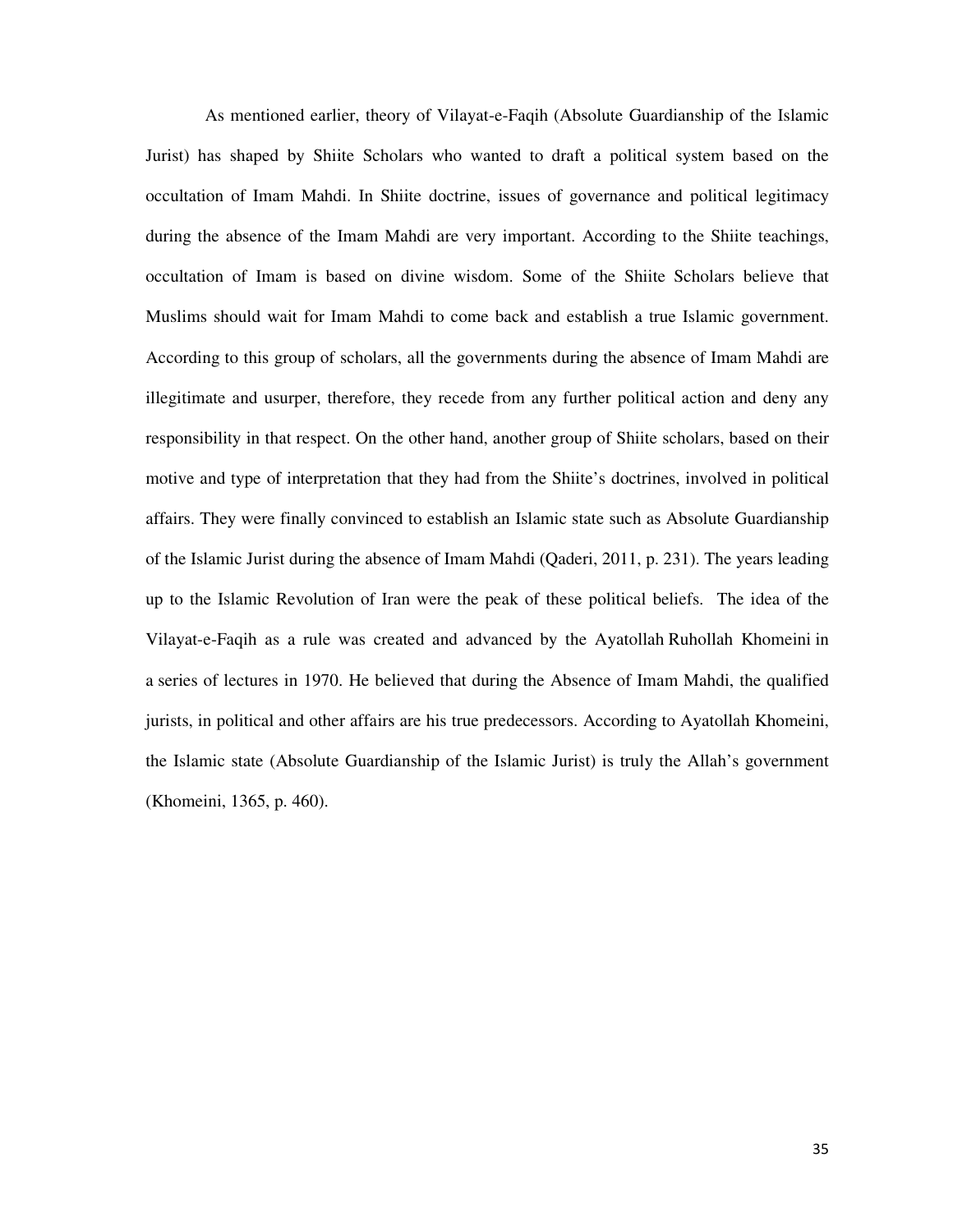As mentioned earlier, theory of Vilayat-e-Faqih (Absolute Guardianship of the Islamic Jurist) has shaped by Shiite Scholars who wanted to draft a political system based on the occultation of Imam Mahdi. In Shiite doctrine, issues of governance and political legitimacy during the absence of the Imam Mahdi are very important. According to the Shiite teachings, occultation of Imam is based on divine wisdom. Some of the Shiite Scholars believe that Muslims should wait for Imam Mahdi to come back and establish a true Islamic government. According to this group of scholars, all the governments during the absence of Imam Mahdi are illegitimate and usurper, therefore, they recede from any further political action and deny any responsibility in that respect. On the other hand, another group of Shiite scholars, based on their motive and type of interpretation that they had from the Shiite's doctrines, involved in political affairs. They were finally convinced to establish an Islamic state such as Absolute Guardianship of the Islamic Jurist during the absence of Imam Mahdi (Qaderi, 2011, p. 231). The years leading up to the Islamic Revolution of Iran were the peak of these political beliefs. The idea of the Vilayat-e-Faqih as a rule was created and advanced by the Ayatollah Ruhollah Khomeini in a series of lectures in 1970. He believed that during the Absence of Imam Mahdi, the qualified jurists, in political and other affairs are his true predecessors. According to Ayatollah Khomeini, the Islamic state (Absolute Guardianship of the Islamic Jurist) is truly the Allah's government (Khomeini, 1365, p. 460).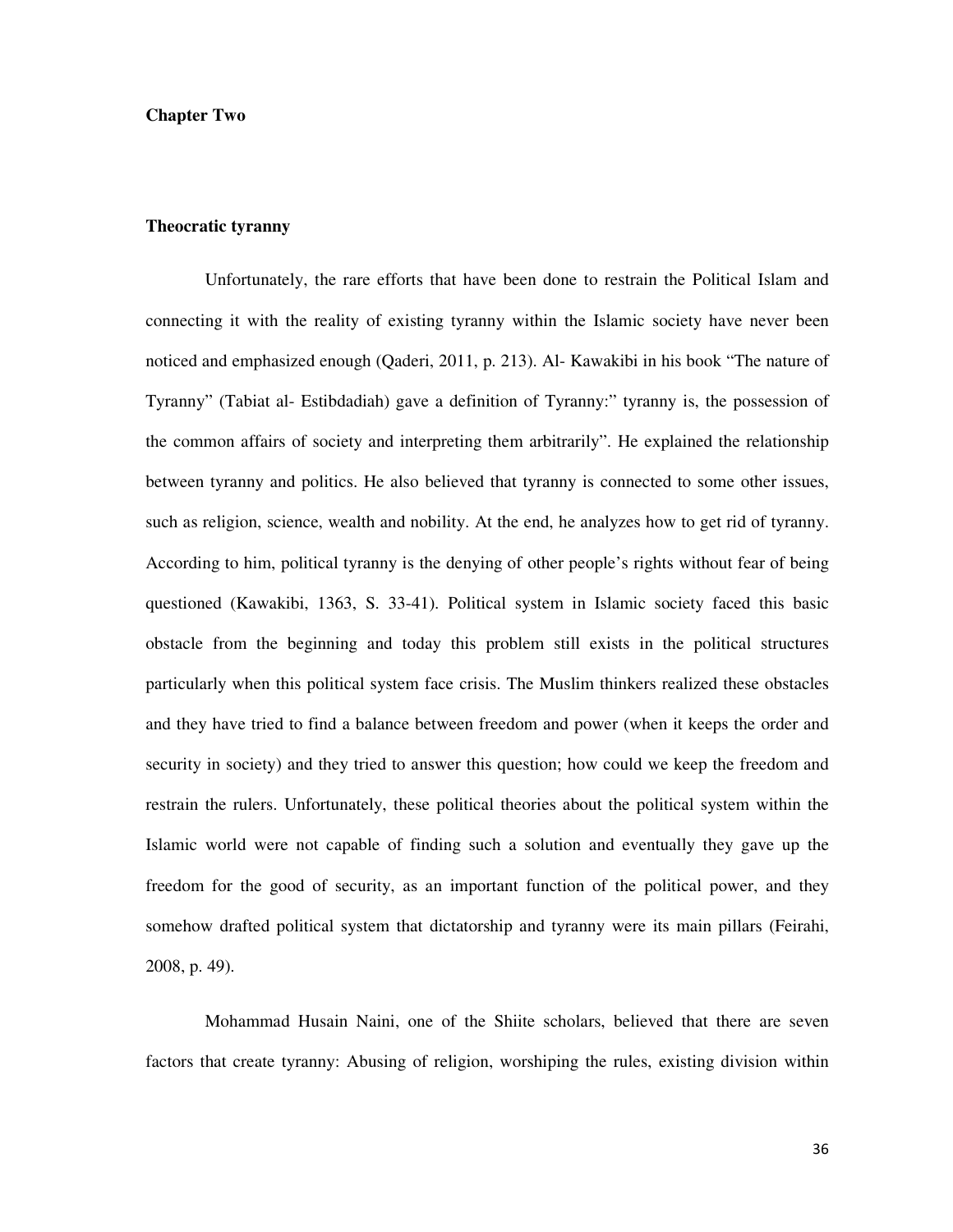#### **Chapter Two**

## **Theocratic tyranny**

Unfortunately, the rare efforts that have been done to restrain the Political Islam and connecting it with the reality of existing tyranny within the Islamic society have never been noticed and emphasized enough (Qaderi, 2011, p. 213). Al- Kawakibi in his book "The nature of Tyranny" (Tabiat al- Estibdadiah) gave a definition of Tyranny:" tyranny is, the possession of the common affairs of society and interpreting them arbitrarily". He explained the relationship between tyranny and politics. He also believed that tyranny is connected to some other issues, such as religion, science, wealth and nobility. At the end, he analyzes how to get rid of tyranny. According to him, political tyranny is the denying of other people's rights without fear of being questioned (Kawakibi, 1363, S. 33-41). Political system in Islamic society faced this basic obstacle from the beginning and today this problem still exists in the political structures particularly when this political system face crisis. The Muslim thinkers realized these obstacles and they have tried to find a balance between freedom and power (when it keeps the order and security in society) and they tried to answer this question; how could we keep the freedom and restrain the rulers. Unfortunately, these political theories about the political system within the Islamic world were not capable of finding such a solution and eventually they gave up the freedom for the good of security, as an important function of the political power, and they somehow drafted political system that dictatorship and tyranny were its main pillars (Feirahi, 2008, p. 49).

Mohammad Husain Naini, one of the Shiite scholars, believed that there are seven factors that create tyranny: Abusing of religion, worshiping the rules, existing division within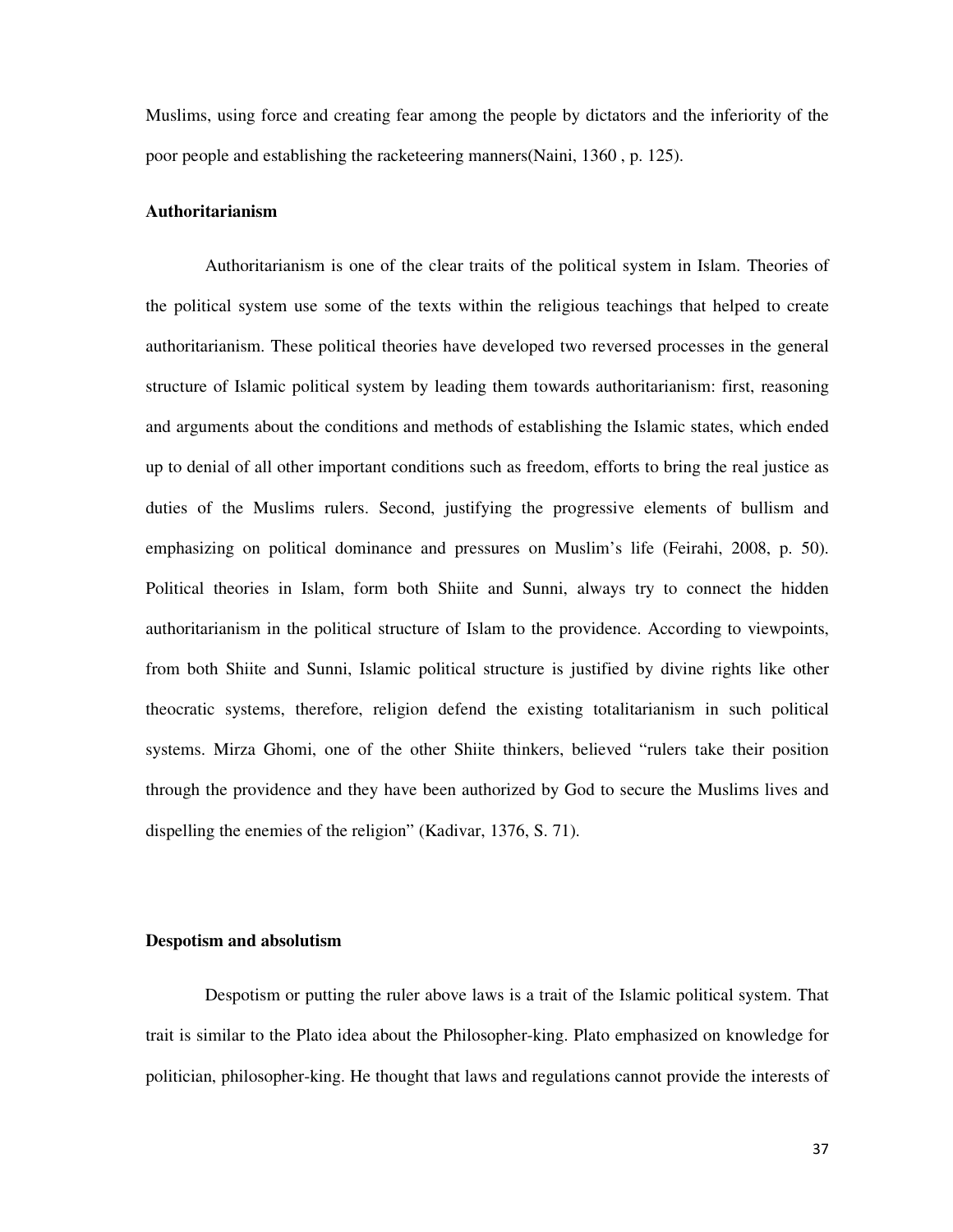Muslims, using force and creating fear among the people by dictators and the inferiority of the poor people and establishing the racketeering manners(Naini, 1360 , p. 125).

### **Authoritarianism**

Authoritarianism is one of the clear traits of the political system in Islam. Theories of the political system use some of the texts within the religious teachings that helped to create authoritarianism. These political theories have developed two reversed processes in the general structure of Islamic political system by leading them towards authoritarianism: first, reasoning and arguments about the conditions and methods of establishing the Islamic states, which ended up to denial of all other important conditions such as freedom, efforts to bring the real justice as duties of the Muslims rulers. Second, justifying the progressive elements of bullism and emphasizing on political dominance and pressures on Muslim's life (Feirahi, 2008, p. 50). Political theories in Islam, form both Shiite and Sunni, always try to connect the hidden authoritarianism in the political structure of Islam to the providence. According to viewpoints, from both Shiite and Sunni, Islamic political structure is justified by divine rights like other theocratic systems, therefore, religion defend the existing totalitarianism in such political systems. Mirza Ghomi, one of the other Shiite thinkers, believed "rulers take their position through the providence and they have been authorized by God to secure the Muslims lives and dispelling the enemies of the religion" (Kadivar, 1376, S. 71).

## **Despotism and absolutism**

Despotism or putting the ruler above laws is a trait of the Islamic political system. That trait is similar to the Plato idea about the Philosopher-king. Plato emphasized on knowledge for politician, philosopher-king. He thought that laws and regulations cannot provide the interests of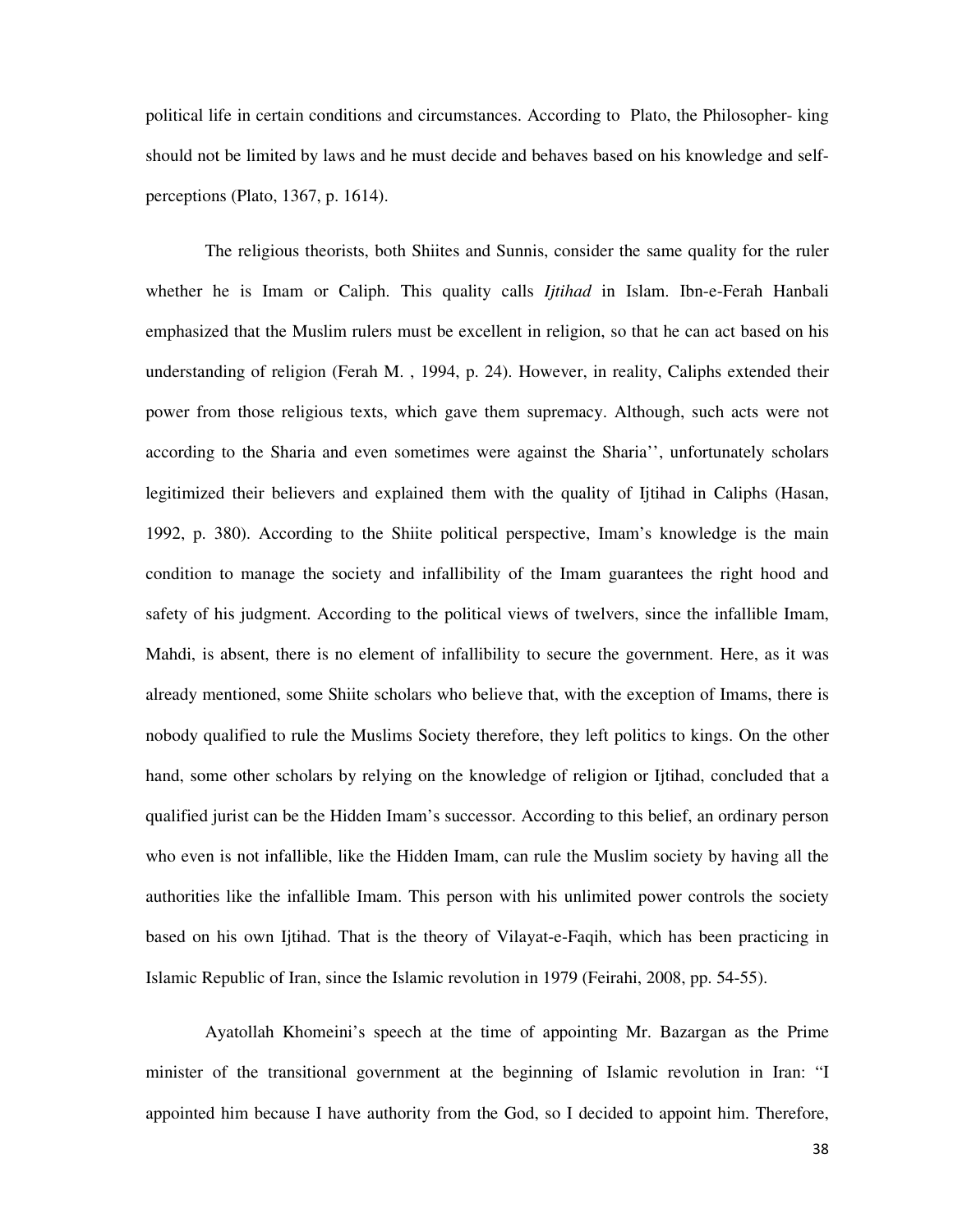political life in certain conditions and circumstances. According to Plato, the Philosopher- king should not be limited by laws and he must decide and behaves based on his knowledge and selfperceptions (Plato, 1367, p. 1614).

The religious theorists, both Shiites and Sunnis, consider the same quality for the ruler whether he is Imam or Caliph. This quality calls *Ijtihad* in Islam. Ibn-e-Ferah Hanbali emphasized that the Muslim rulers must be excellent in religion, so that he can act based on his understanding of religion (Ferah M. , 1994, p. 24). However, in reality, Caliphs extended their power from those religious texts, which gave them supremacy. Although, such acts were not according to the Sharia and even sometimes were against the Sharia'', unfortunately scholars legitimized their believers and explained them with the quality of Ijtihad in Caliphs (Hasan, 1992, p. 380). According to the Shiite political perspective, Imam's knowledge is the main condition to manage the society and infallibility of the Imam guarantees the right hood and safety of his judgment. According to the political views of twelvers, since the infallible Imam, Mahdi, is absent, there is no element of infallibility to secure the government. Here, as it was already mentioned, some Shiite scholars who believe that, with the exception of Imams, there is nobody qualified to rule the Muslims Society therefore, they left politics to kings. On the other hand, some other scholars by relying on the knowledge of religion or Ijtihad, concluded that a qualified jurist can be the Hidden Imam's successor. According to this belief, an ordinary person who even is not infallible, like the Hidden Imam, can rule the Muslim society by having all the authorities like the infallible Imam. This person with his unlimited power controls the society based on his own Ijtihad. That is the theory of Vilayat-e-Faqih, which has been practicing in Islamic Republic of Iran, since the Islamic revolution in 1979 (Feirahi, 2008, pp. 54-55).

Ayatollah Khomeini's speech at the time of appointing Mr. Bazargan as the Prime minister of the transitional government at the beginning of Islamic revolution in Iran: "I appointed him because I have authority from the God, so I decided to appoint him. Therefore,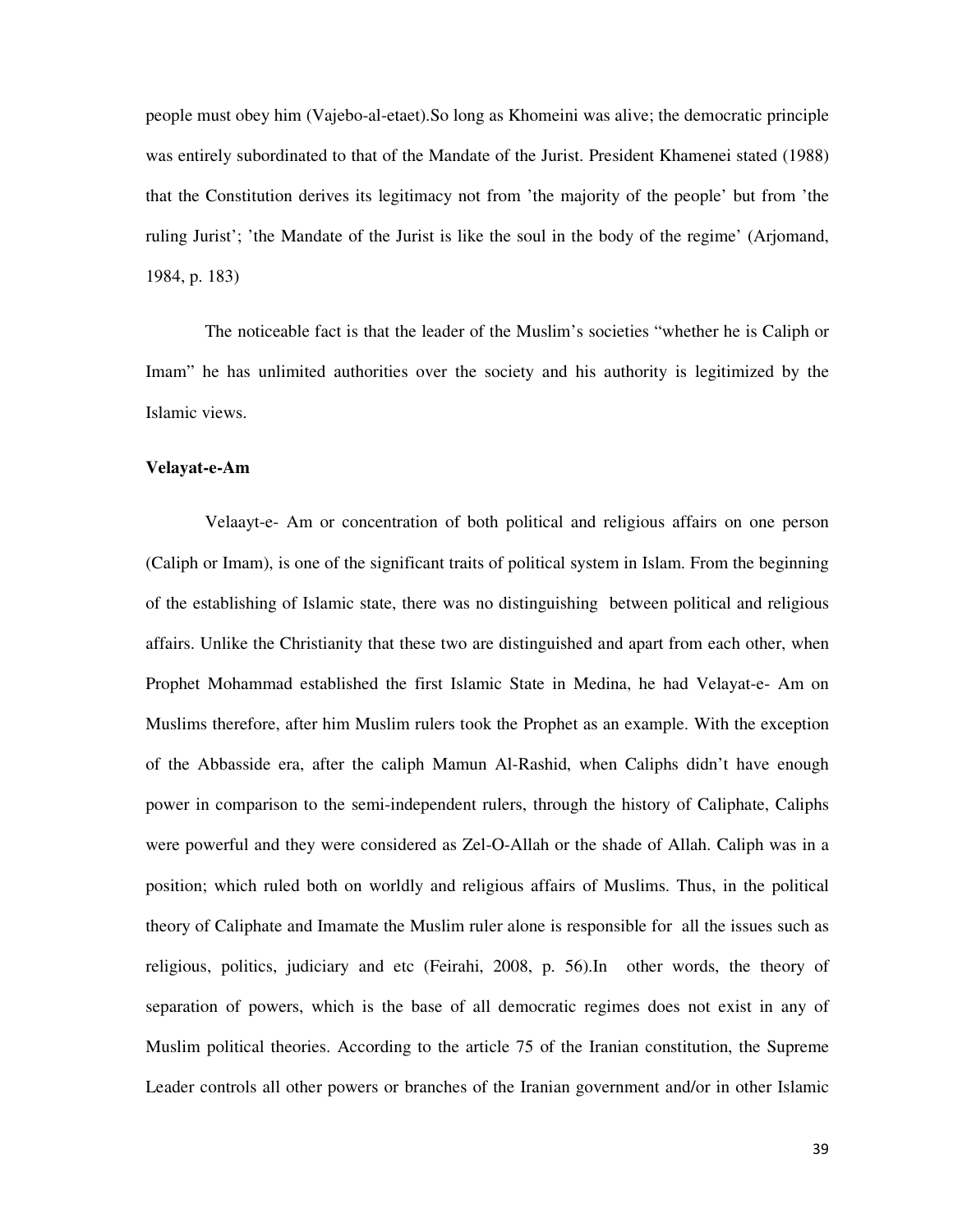people must obey him (Vajebo-al-etaet).So long as Khomeini was alive; the democratic principle was entirely subordinated to that of the Mandate of the Jurist. President Khamenei stated (1988) that the Constitution derives its legitimacy not from 'the majority of the people' but from 'the ruling Jurist'; 'the Mandate of the Jurist is like the soul in the body of the regime' (Arjomand, 1984, p. 183)

The noticeable fact is that the leader of the Muslim's societies "whether he is Caliph or Imam" he has unlimited authorities over the society and his authority is legitimized by the Islamic views.

#### **Velayat-e-Am**

Velaayt-e- Am or concentration of both political and religious affairs on one person (Caliph or Imam), is one of the significant traits of political system in Islam. From the beginning of the establishing of Islamic state, there was no distinguishing between political and religious affairs. Unlike the Christianity that these two are distinguished and apart from each other, when Prophet Mohammad established the first Islamic State in Medina, he had Velayat-e- Am on Muslims therefore, after him Muslim rulers took the Prophet as an example. With the exception of the Abbasside era, after the caliph Mamun Al-Rashid, when Caliphs didn't have enough power in comparison to the semi-independent rulers, through the history of Caliphate, Caliphs were powerful and they were considered as Zel-O-Allah or the shade of Allah. Caliph was in a position; which ruled both on worldly and religious affairs of Muslims. Thus, in the political theory of Caliphate and Imamate the Muslim ruler alone is responsible for all the issues such as religious, politics, judiciary and etc (Feirahi, 2008, p. 56).In other words, the theory of separation of powers, which is the base of all democratic regimes does not exist in any of Muslim political theories. According to the article 75 of the Iranian constitution, the Supreme Leader controls all other powers or branches of the Iranian government and/or in other Islamic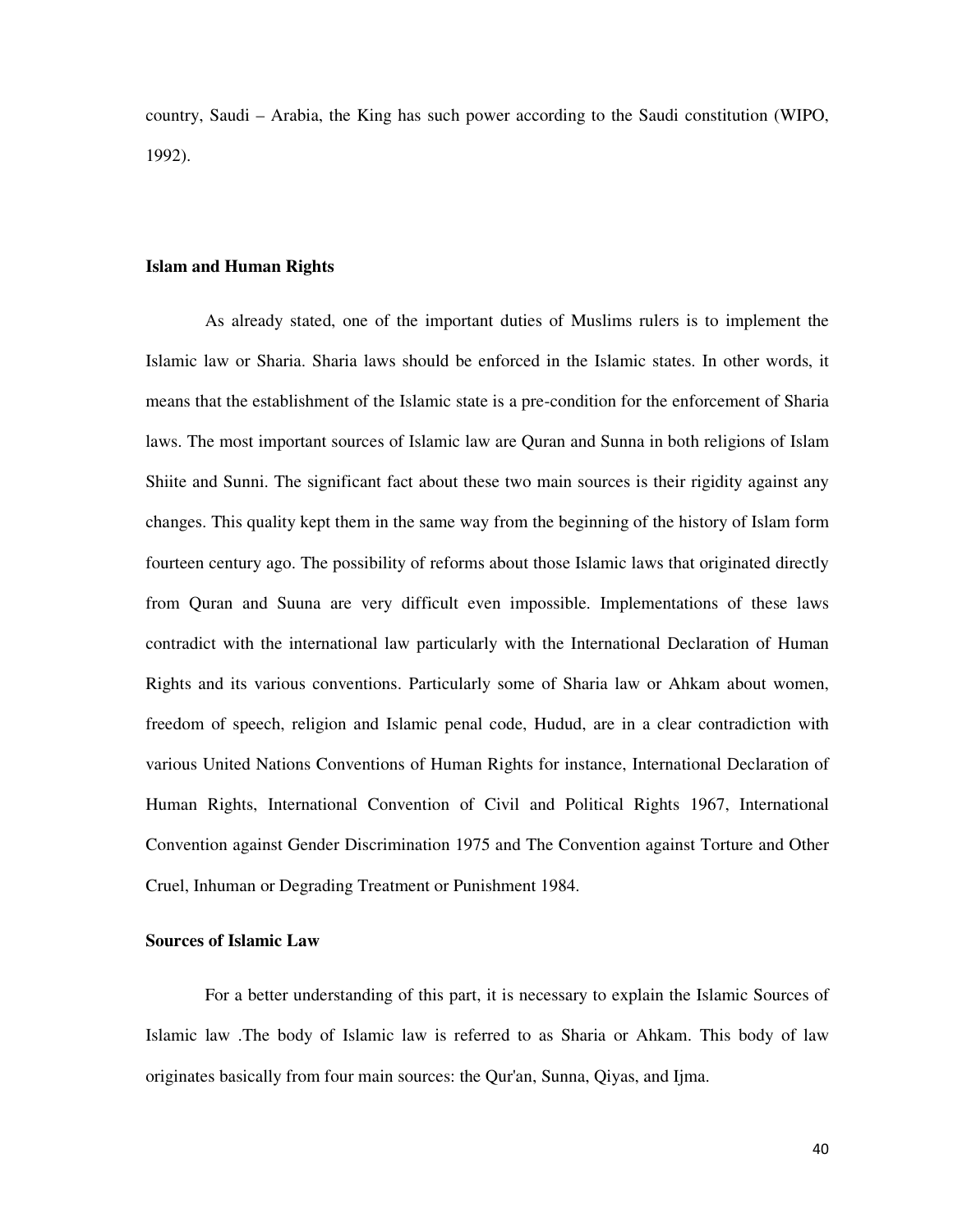country, Saudi – Arabia, the King has such power according to the Saudi constitution (WIPO, 1992).

### **Islam and Human Rights**

As already stated, one of the important duties of Muslims rulers is to implement the Islamic law or Sharia. Sharia laws should be enforced in the Islamic states. In other words, it means that the establishment of the Islamic state is a pre-condition for the enforcement of Sharia laws. The most important sources of Islamic law are Quran and Sunna in both religions of Islam Shiite and Sunni. The significant fact about these two main sources is their rigidity against any changes. This quality kept them in the same way from the beginning of the history of Islam form fourteen century ago. The possibility of reforms about those Islamic laws that originated directly from Quran and Suuna are very difficult even impossible. Implementations of these laws contradict with the international law particularly with the International Declaration of Human Rights and its various conventions. Particularly some of Sharia law or Ahkam about women, freedom of speech, religion and Islamic penal code, Hudud, are in a clear contradiction with various United Nations Conventions of Human Rights for instance, International Declaration of Human Rights, International Convention of Civil and Political Rights 1967, International Convention against Gender Discrimination 1975 and The Convention against Torture and Other Cruel, Inhuman or Degrading Treatment or Punishment 1984.

# **Sources of Islamic Law**

For a better understanding of this part, it is necessary to explain the Islamic Sources of Islamic law .The body of Islamic law is referred to as Sharia or Ahkam. This body of law originates basically from four main sources: the Qur'an, Sunna, Qiyas, and Ijma.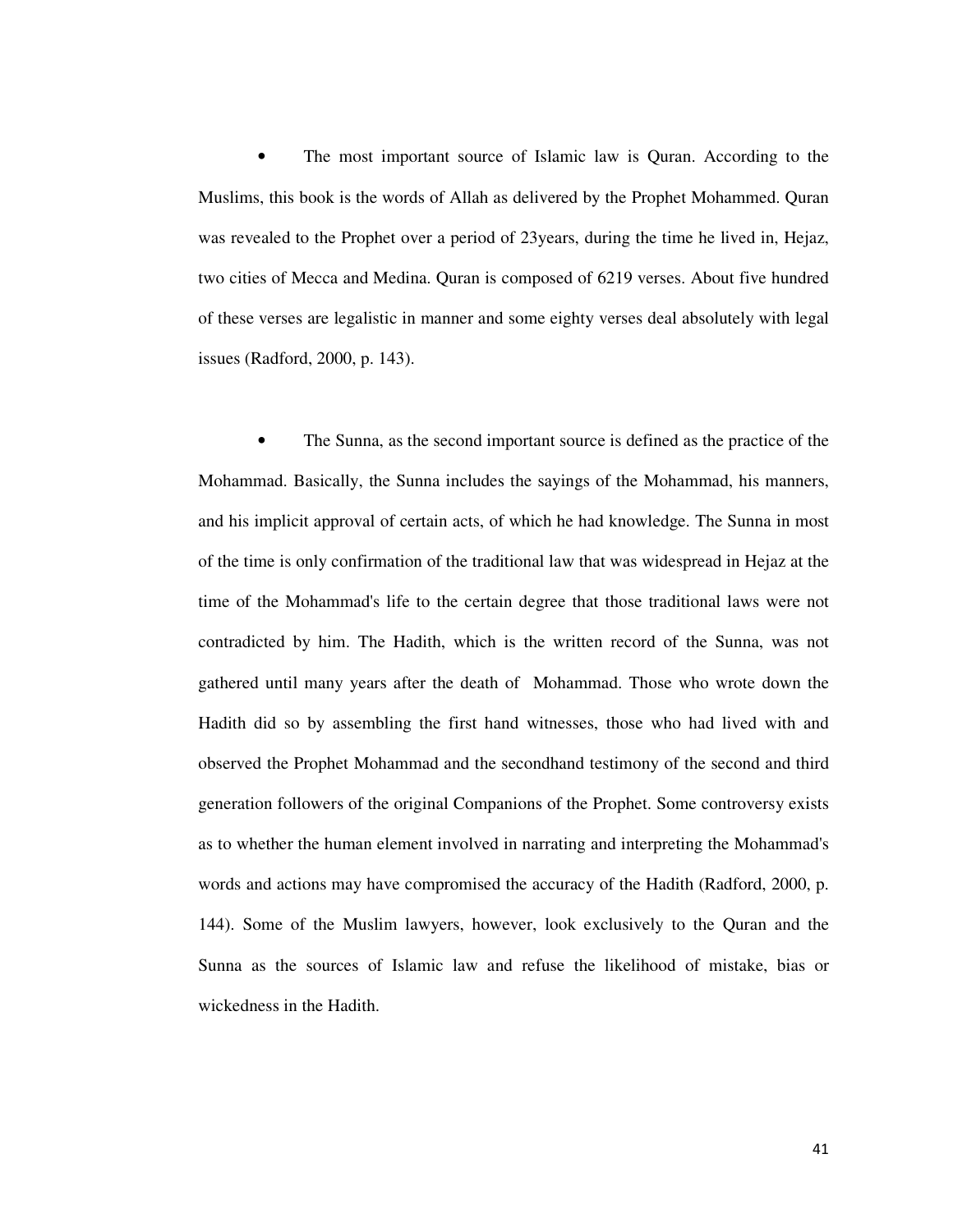The most important source of Islamic law is Quran. According to the Muslims, this book is the words of Allah as delivered by the Prophet Mohammed. Quran was revealed to the Prophet over a period of 23years, during the time he lived in, Hejaz, two cities of Mecca and Medina. Quran is composed of 6219 verses. About five hundred of these verses are legalistic in manner and some eighty verses deal absolutely with legal issues (Radford, 2000, p. 143).

The Sunna, as the second important source is defined as the practice of the Mohammad. Basically, the Sunna includes the sayings of the Mohammad, his manners, and his implicit approval of certain acts, of which he had knowledge. The Sunna in most of the time is only confirmation of the traditional law that was widespread in Hejaz at the time of the Mohammad's life to the certain degree that those traditional laws were not contradicted by him. The Hadith, which is the written record of the Sunna, was not gathered until many years after the death of Mohammad. Those who wrote down the Hadith did so by assembling the first hand witnesses, those who had lived with and observed the Prophet Mohammad and the secondhand testimony of the second and third generation followers of the original Companions of the Prophet. Some controversy exists as to whether the human element involved in narrating and interpreting the Mohammad's words and actions may have compromised the accuracy of the Hadith (Radford, 2000, p. 144). Some of the Muslim lawyers, however, look exclusively to the Quran and the Sunna as the sources of Islamic law and refuse the likelihood of mistake, bias or wickedness in the Hadith.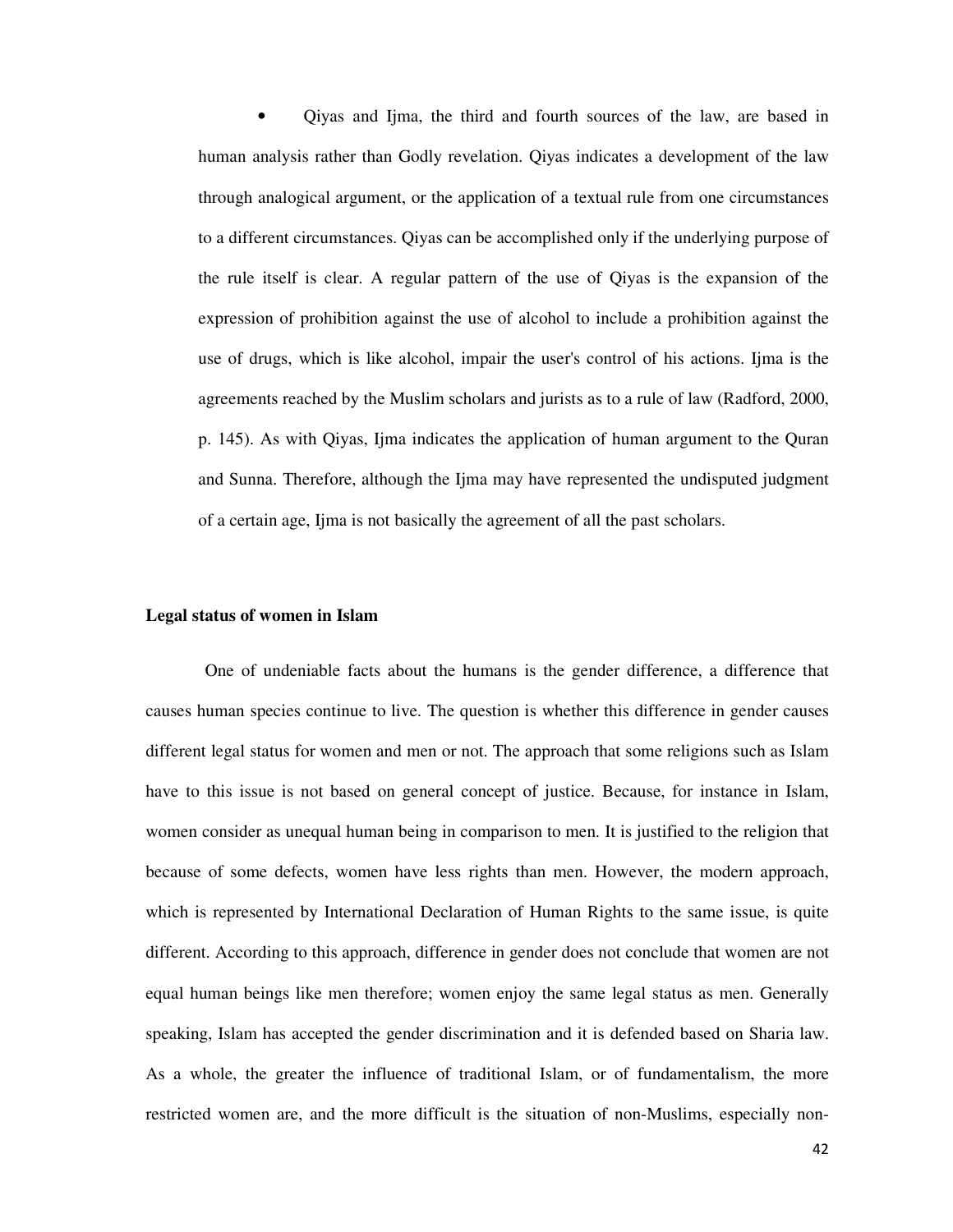• Qiyas and Ijma, the third and fourth sources of the law, are based in human analysis rather than Godly revelation. Qiyas indicates a development of the law through analogical argument, or the application of a textual rule from one circumstances to a different circumstances. Qiyas can be accomplished only if the underlying purpose of the rule itself is clear. A regular pattern of the use of Qiyas is the expansion of the expression of prohibition against the use of alcohol to include a prohibition against the use of drugs, which is like alcohol, impair the user's control of his actions. Ijma is the agreements reached by the Muslim scholars and jurists as to a rule of law (Radford, 2000, p. 145). As with Qiyas, Ijma indicates the application of human argument to the Quran and Sunna. Therefore, although the Ijma may have represented the undisputed judgment of a certain age, Ijma is not basically the agreement of all the past scholars.

### **Legal status of women in Islam**

One of undeniable facts about the humans is the gender difference, a difference that causes human species continue to live. The question is whether this difference in gender causes different legal status for women and men or not. The approach that some religions such as Islam have to this issue is not based on general concept of justice. Because, for instance in Islam, women consider as unequal human being in comparison to men. It is justified to the religion that because of some defects, women have less rights than men. However, the modern approach, which is represented by International Declaration of Human Rights to the same issue, is quite different. According to this approach, difference in gender does not conclude that women are not equal human beings like men therefore; women enjoy the same legal status as men. Generally speaking, Islam has accepted the gender discrimination and it is defended based on Sharia law. As a whole, the greater the influence of traditional Islam, or of fundamentalism, the more restricted women are, and the more difficult is the situation of non-Muslims, especially non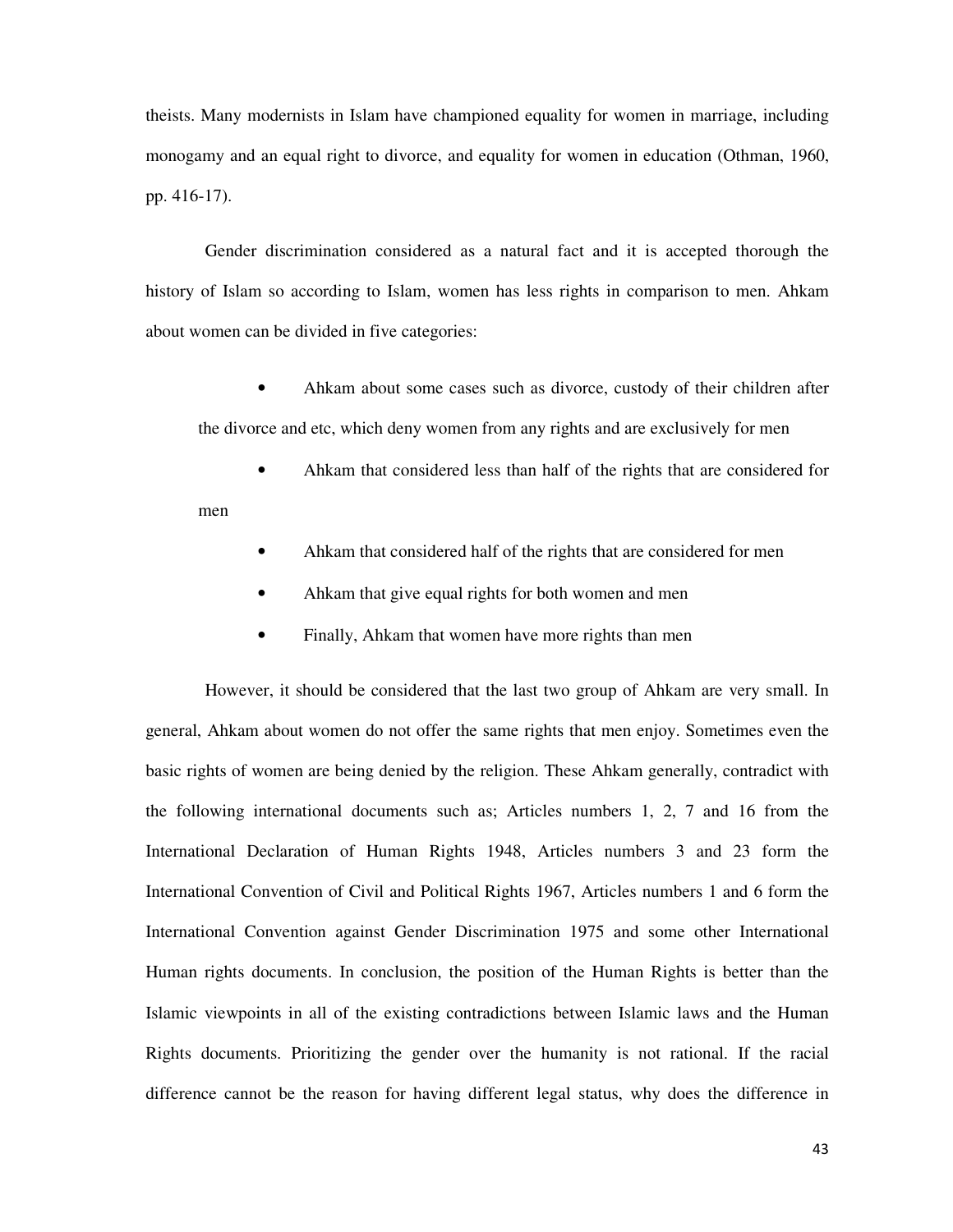theists. Many modernists in Islam have championed equality for women in marriage, including monogamy and an equal right to divorce, and equality for women in education (Othman, 1960, pp. 416-17).

Gender discrimination considered as a natural fact and it is accepted thorough the history of Islam so according to Islam, women has less rights in comparison to men. Ahkam about women can be divided in five categories:

• Ahkam about some cases such as divorce, custody of their children after the divorce and etc, which deny women from any rights and are exclusively for men

• Ahkam that considered less than half of the rights that are considered for men

- Ahkam that considered half of the rights that are considered for men
- Ahkam that give equal rights for both women and men
- Finally, Ahkam that women have more rights than men

However, it should be considered that the last two group of Ahkam are very small. In general, Ahkam about women do not offer the same rights that men enjoy. Sometimes even the basic rights of women are being denied by the religion. These Ahkam generally, contradict with the following international documents such as; Articles numbers 1, 2, 7 and 16 from the International Declaration of Human Rights 1948, Articles numbers 3 and 23 form the International Convention of Civil and Political Rights 1967, Articles numbers 1 and 6 form the International Convention against Gender Discrimination 1975 and some other International Human rights documents. In conclusion, the position of the Human Rights is better than the Islamic viewpoints in all of the existing contradictions between Islamic laws and the Human Rights documents. Prioritizing the gender over the humanity is not rational. If the racial difference cannot be the reason for having different legal status, why does the difference in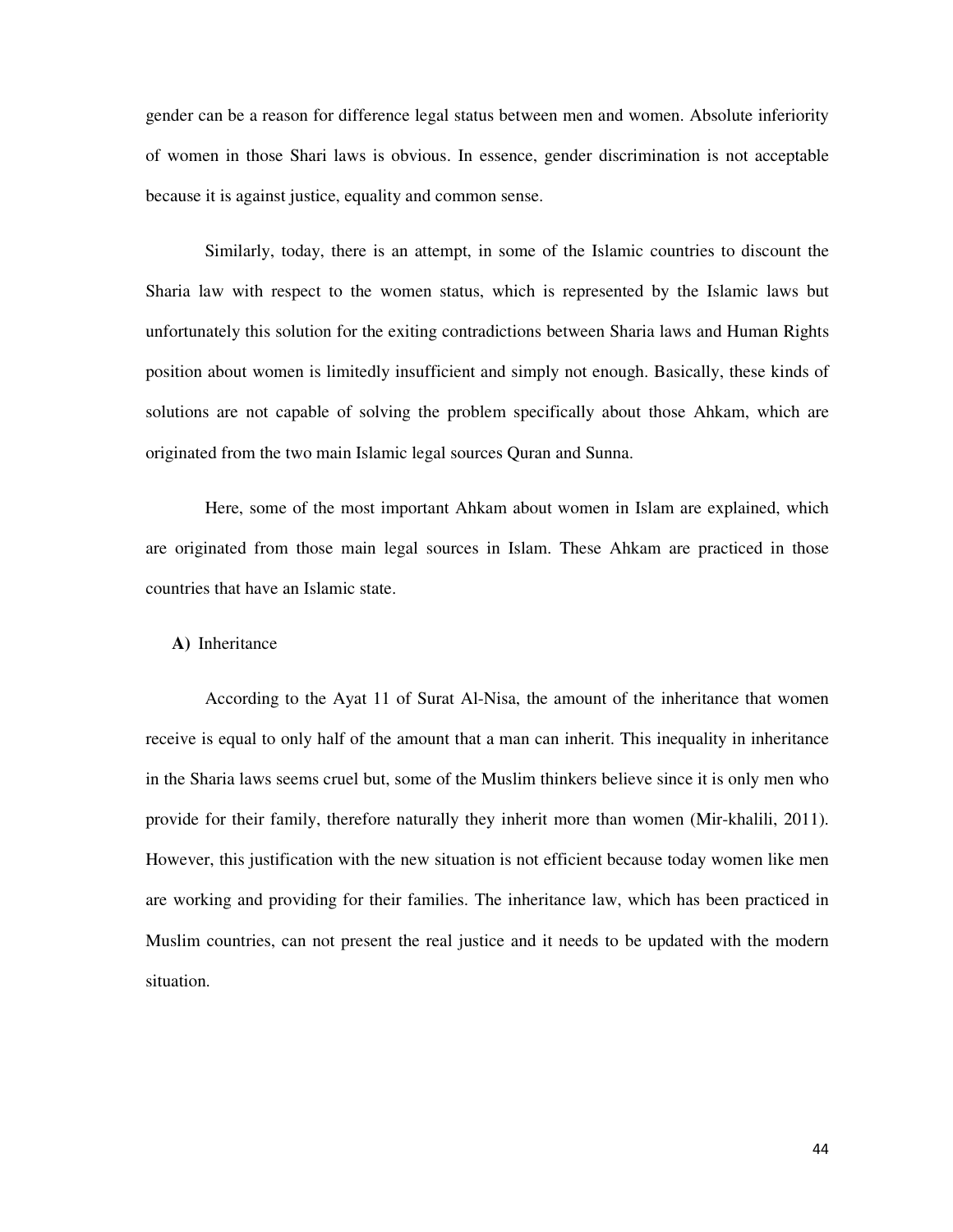gender can be a reason for difference legal status between men and women. Absolute inferiority of women in those Shari laws is obvious. In essence, gender discrimination is not acceptable because it is against justice, equality and common sense.

Similarly, today, there is an attempt, in some of the Islamic countries to discount the Sharia law with respect to the women status, which is represented by the Islamic laws but unfortunately this solution for the exiting contradictions between Sharia laws and Human Rights position about women is limitedly insufficient and simply not enough. Basically, these kinds of solutions are not capable of solving the problem specifically about those Ahkam, which are originated from the two main Islamic legal sources Quran and Sunna.

Here, some of the most important Ahkam about women in Islam are explained, which are originated from those main legal sources in Islam. These Ahkam are practiced in those countries that have an Islamic state.

### **A)** Inheritance

According to the Ayat 11 of Surat Al-Nisa, the amount of the inheritance that women receive is equal to only half of the amount that a man can inherit. This inequality in inheritance in the Sharia laws seems cruel but, some of the Muslim thinkers believe since it is only men who provide for their family, therefore naturally they inherit more than women (Mir-khalili, 2011). However, this justification with the new situation is not efficient because today women like men are working and providing for their families. The inheritance law, which has been practiced in Muslim countries, can not present the real justice and it needs to be updated with the modern situation.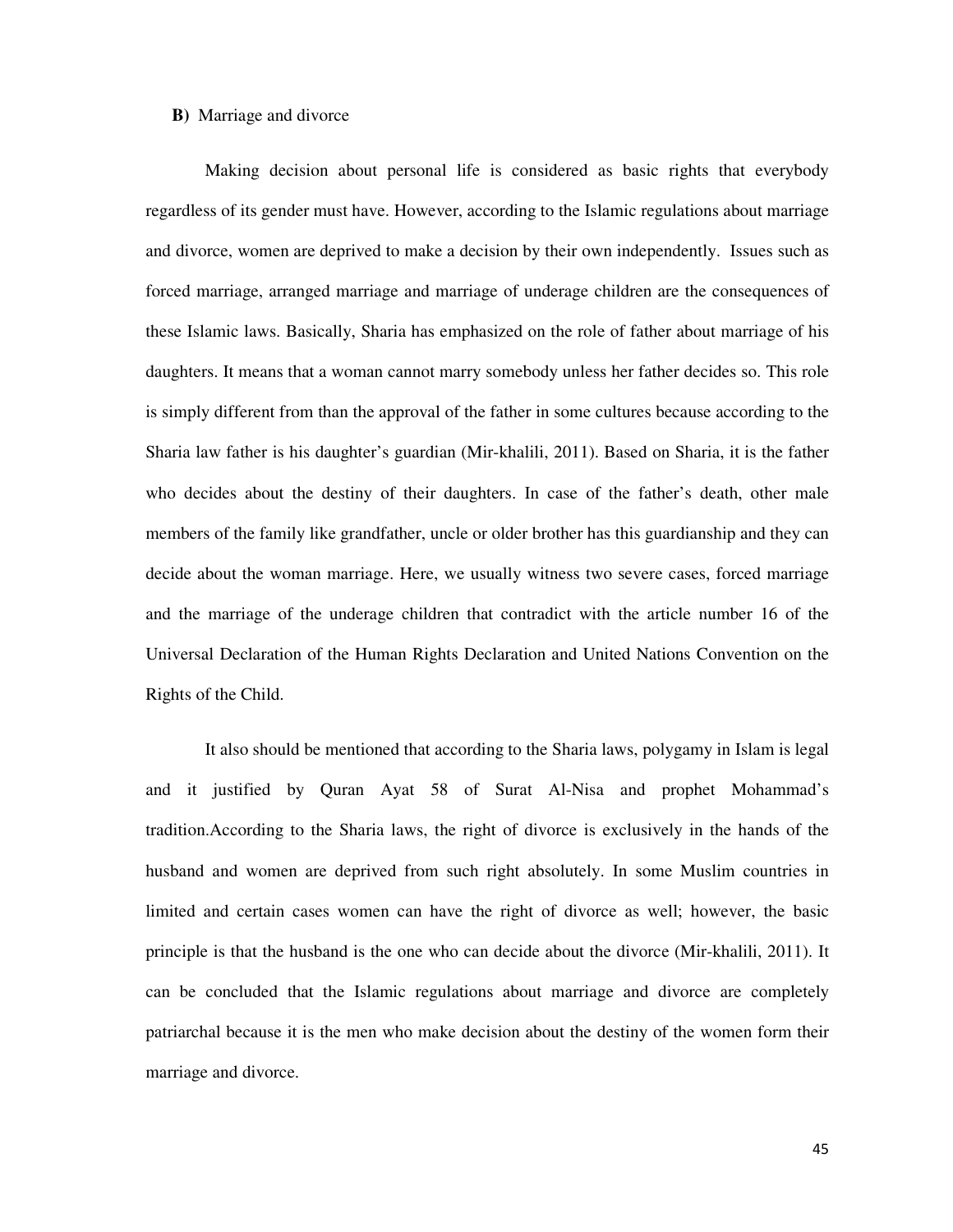### **B)** Marriage and divorce

Making decision about personal life is considered as basic rights that everybody regardless of its gender must have. However, according to the Islamic regulations about marriage and divorce, women are deprived to make a decision by their own independently. Issues such as forced marriage, arranged marriage and marriage of underage children are the consequences of these Islamic laws. Basically, Sharia has emphasized on the role of father about marriage of his daughters. It means that a woman cannot marry somebody unless her father decides so. This role is simply different from than the approval of the father in some cultures because according to the Sharia law father is his daughter's guardian (Mir-khalili, 2011). Based on Sharia, it is the father who decides about the destiny of their daughters. In case of the father's death, other male members of the family like grandfather, uncle or older brother has this guardianship and they can decide about the woman marriage. Here, we usually witness two severe cases, forced marriage and the marriage of the underage children that contradict with the article number 16 of the Universal Declaration of the Human Rights Declaration and United Nations Convention on the Rights of the Child.

It also should be mentioned that according to the Sharia laws, polygamy in Islam is legal and it justified by Quran Ayat 58 of Surat Al-Nisa and prophet Mohammad's tradition.According to the Sharia laws, the right of divorce is exclusively in the hands of the husband and women are deprived from such right absolutely. In some Muslim countries in limited and certain cases women can have the right of divorce as well; however, the basic principle is that the husband is the one who can decide about the divorce (Mir-khalili, 2011). It can be concluded that the Islamic regulations about marriage and divorce are completely patriarchal because it is the men who make decision about the destiny of the women form their marriage and divorce.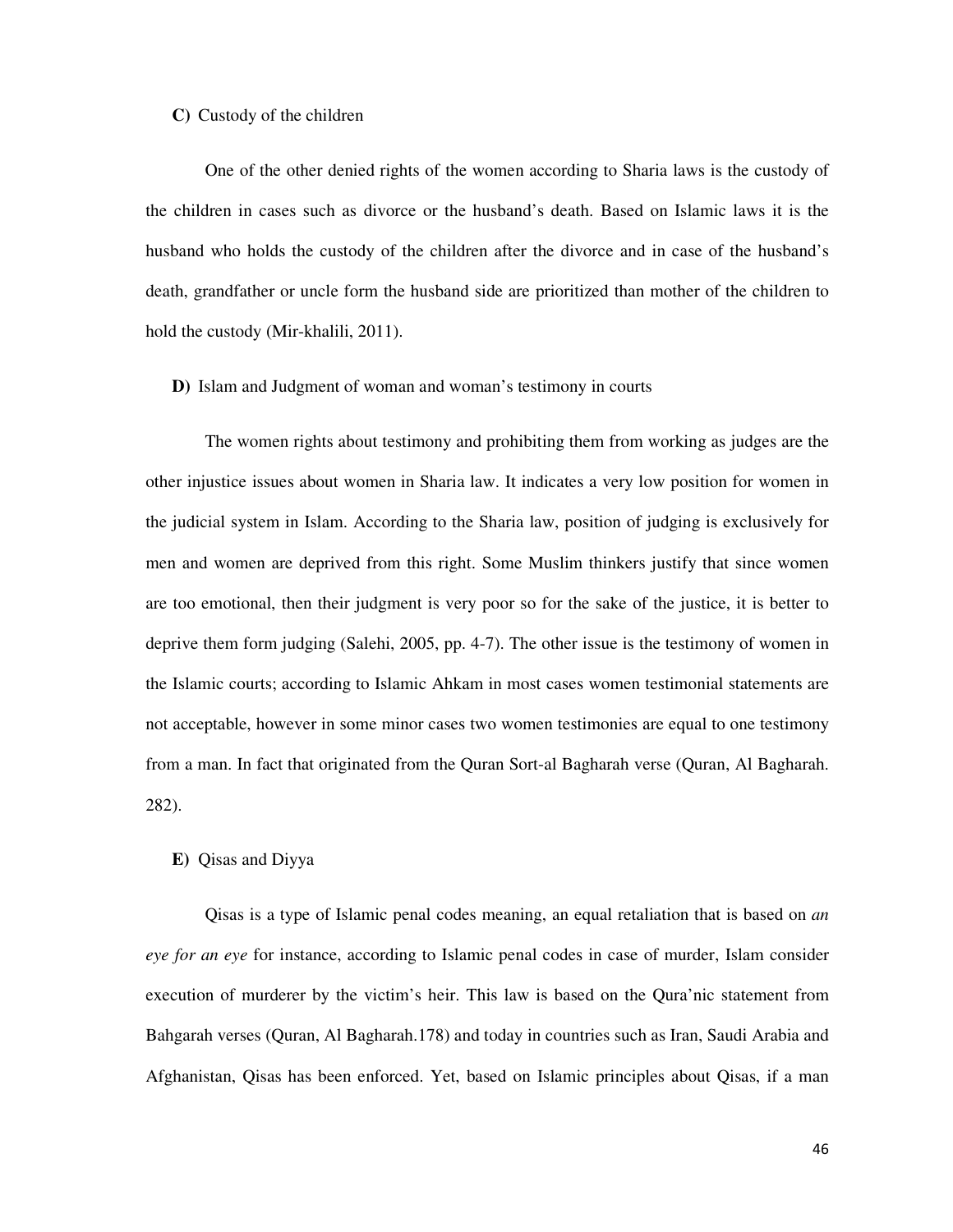### **C)** Custody of the children

One of the other denied rights of the women according to Sharia laws is the custody of the children in cases such as divorce or the husband's death. Based on Islamic laws it is the husband who holds the custody of the children after the divorce and in case of the husband's death, grandfather or uncle form the husband side are prioritized than mother of the children to hold the custody (Mir-khalili, 2011).

### **D)** Islam and Judgment of woman and woman's testimony in courts

The women rights about testimony and prohibiting them from working as judges are the other injustice issues about women in Sharia law. It indicates a very low position for women in the judicial system in Islam. According to the Sharia law, position of judging is exclusively for men and women are deprived from this right. Some Muslim thinkers justify that since women are too emotional, then their judgment is very poor so for the sake of the justice, it is better to deprive them form judging (Salehi, 2005, pp. 4-7). The other issue is the testimony of women in the Islamic courts; according to Islamic Ahkam in most cases women testimonial statements are not acceptable, however in some minor cases two women testimonies are equal to one testimony from a man. In fact that originated from the Quran Sort-al Bagharah verse (Quran, Al Bagharah. 282).

#### **E)** Qisas and Diyya

Qisas is a type of Islamic penal codes meaning, an equal retaliation that is based on *an eye for an eye* for instance, according to Islamic penal codes in case of murder, Islam consider execution of murderer by the victim's heir. This law is based on the Qura'nic statement from Bahgarah verses (Quran, Al Bagharah.178) and today in countries such as Iran, Saudi Arabia and Afghanistan, Qisas has been enforced. Yet, based on Islamic principles about Qisas, if a man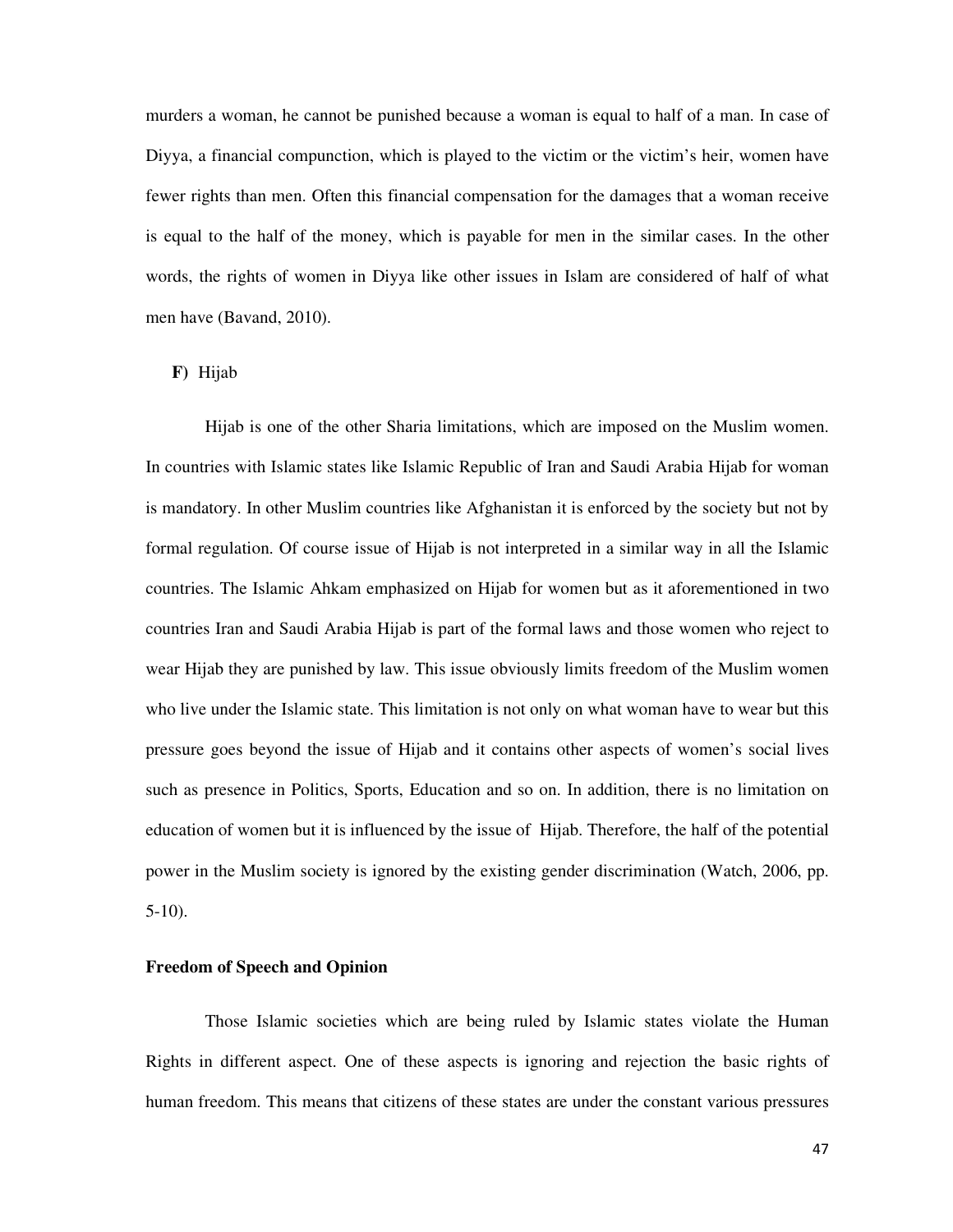murders a woman, he cannot be punished because a woman is equal to half of a man. In case of Diyya, a financial compunction, which is played to the victim or the victim's heir, women have fewer rights than men. Often this financial compensation for the damages that a woman receive is equal to the half of the money, which is payable for men in the similar cases. In the other words, the rights of women in Diyya like other issues in Islam are considered of half of what men have (Bavand, 2010).

### **F)** Hijab

Hijab is one of the other Sharia limitations, which are imposed on the Muslim women. In countries with Islamic states like Islamic Republic of Iran and Saudi Arabia Hijab for woman is mandatory. In other Muslim countries like Afghanistan it is enforced by the society but not by formal regulation. Of course issue of Hijab is not interpreted in a similar way in all the Islamic countries. The Islamic Ahkam emphasized on Hijab for women but as it aforementioned in two countries Iran and Saudi Arabia Hijab is part of the formal laws and those women who reject to wear Hijab they are punished by law. This issue obviously limits freedom of the Muslim women who live under the Islamic state. This limitation is not only on what woman have to wear but this pressure goes beyond the issue of Hijab and it contains other aspects of women's social lives such as presence in Politics, Sports, Education and so on. In addition, there is no limitation on education of women but it is influenced by the issue of Hijab. Therefore, the half of the potential power in the Muslim society is ignored by the existing gender discrimination (Watch, 2006, pp. 5-10).

### **Freedom of Speech and Opinion**

Those Islamic societies which are being ruled by Islamic states violate the Human Rights in different aspect. One of these aspects is ignoring and rejection the basic rights of human freedom. This means that citizens of these states are under the constant various pressures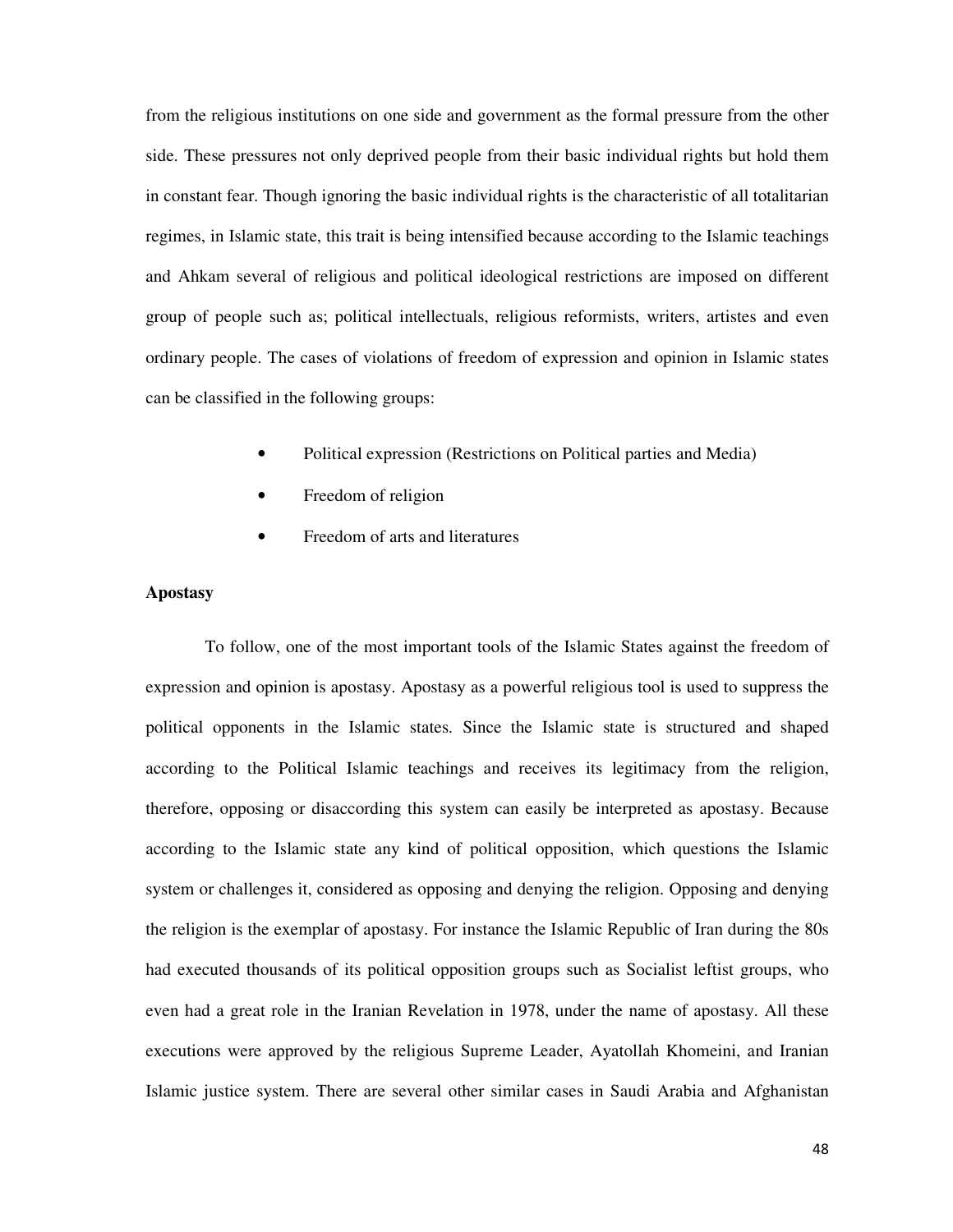from the religious institutions on one side and government as the formal pressure from the other side. These pressures not only deprived people from their basic individual rights but hold them in constant fear. Though ignoring the basic individual rights is the characteristic of all totalitarian regimes, in Islamic state, this trait is being intensified because according to the Islamic teachings and Ahkam several of religious and political ideological restrictions are imposed on different group of people such as; political intellectuals, religious reformists, writers, artistes and even ordinary people. The cases of violations of freedom of expression and opinion in Islamic states can be classified in the following groups:

- Political expression (Restrictions on Political parties and Media)
- Freedom of religion
- Freedom of arts and literatures

# **Apostasy**

To follow, one of the most important tools of the Islamic States against the freedom of expression and opinion is apostasy. Apostasy as a powerful religious tool is used to suppress the political opponents in the Islamic states. Since the Islamic state is structured and shaped according to the Political Islamic teachings and receives its legitimacy from the religion, therefore, opposing or disaccording this system can easily be interpreted as apostasy. Because according to the Islamic state any kind of political opposition, which questions the Islamic system or challenges it, considered as opposing and denying the religion. Opposing and denying the religion is the exemplar of apostasy. For instance the Islamic Republic of Iran during the 80s had executed thousands of its political opposition groups such as Socialist leftist groups, who even had a great role in the Iranian Revelation in 1978, under the name of apostasy. All these executions were approved by the religious Supreme Leader, Ayatollah Khomeini, and Iranian Islamic justice system. There are several other similar cases in Saudi Arabia and Afghanistan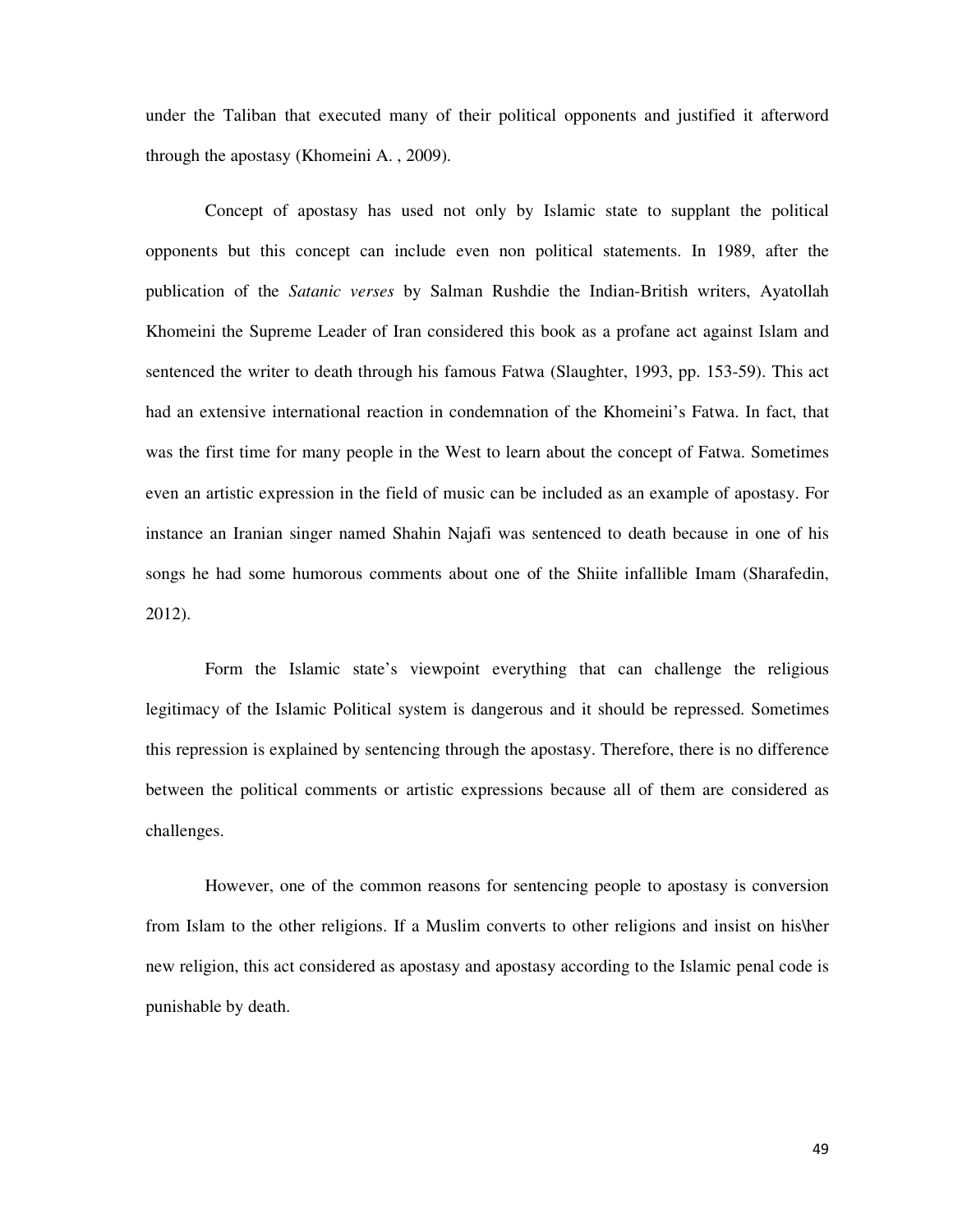under the Taliban that executed many of their political opponents and justified it afterword through the apostasy (Khomeini A. , 2009).

Concept of apostasy has used not only by Islamic state to supplant the political opponents but this concept can include even non political statements. In 1989, after the publication of the *Satanic verses* by Salman Rushdie the Indian-British writers, Ayatollah Khomeini the Supreme Leader of Iran considered this book as a profane act against Islam and sentenced the writer to death through his famous Fatwa (Slaughter, 1993, pp. 153-59). This act had an extensive international reaction in condemnation of the Khomeini's Fatwa. In fact, that was the first time for many people in the West to learn about the concept of Fatwa. Sometimes even an artistic expression in the field of music can be included as an example of apostasy. For instance an Iranian singer named Shahin Najafi was sentenced to death because in one of his songs he had some humorous comments about one of the Shiite infallible Imam (Sharafedin, 2012).

Form the Islamic state's viewpoint everything that can challenge the religious legitimacy of the Islamic Political system is dangerous and it should be repressed. Sometimes this repression is explained by sentencing through the apostasy. Therefore, there is no difference between the political comments or artistic expressions because all of them are considered as challenges.

However, one of the common reasons for sentencing people to apostasy is conversion from Islam to the other religions. If a Muslim converts to other religions and insist on his\her new religion, this act considered as apostasy and apostasy according to the Islamic penal code is punishable by death.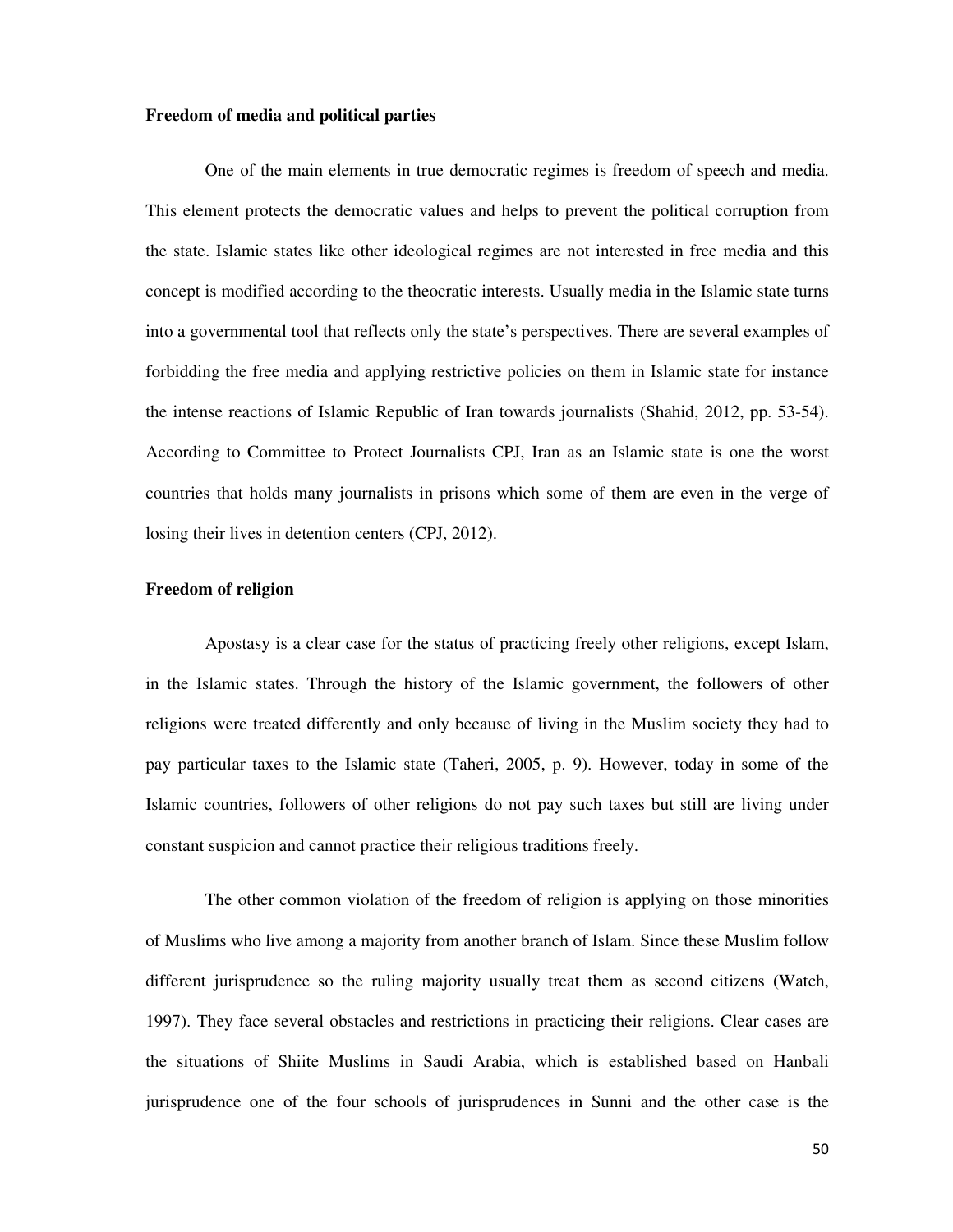### **Freedom of media and political parties**

One of the main elements in true democratic regimes is freedom of speech and media. This element protects the democratic values and helps to prevent the political corruption from the state. Islamic states like other ideological regimes are not interested in free media and this concept is modified according to the theocratic interests. Usually media in the Islamic state turns into a governmental tool that reflects only the state's perspectives. There are several examples of forbidding the free media and applying restrictive policies on them in Islamic state for instance the intense reactions of Islamic Republic of Iran towards journalists (Shahid, 2012, pp. 53-54). According to Committee to Protect Journalists CPJ, Iran as an Islamic state is one the worst countries that holds many journalists in prisons which some of them are even in the verge of losing their lives in detention centers (CPJ, 2012).

# **Freedom of religion**

Apostasy is a clear case for the status of practicing freely other religions, except Islam, in the Islamic states. Through the history of the Islamic government, the followers of other religions were treated differently and only because of living in the Muslim society they had to pay particular taxes to the Islamic state (Taheri, 2005, p. 9). However, today in some of the Islamic countries, followers of other religions do not pay such taxes but still are living under constant suspicion and cannot practice their religious traditions freely.

The other common violation of the freedom of religion is applying on those minorities of Muslims who live among a majority from another branch of Islam. Since these Muslim follow different jurisprudence so the ruling majority usually treat them as second citizens (Watch, 1997). They face several obstacles and restrictions in practicing their religions. Clear cases are the situations of Shiite Muslims in Saudi Arabia, which is established based on Hanbali jurisprudence one of the four schools of jurisprudences in Sunni and the other case is the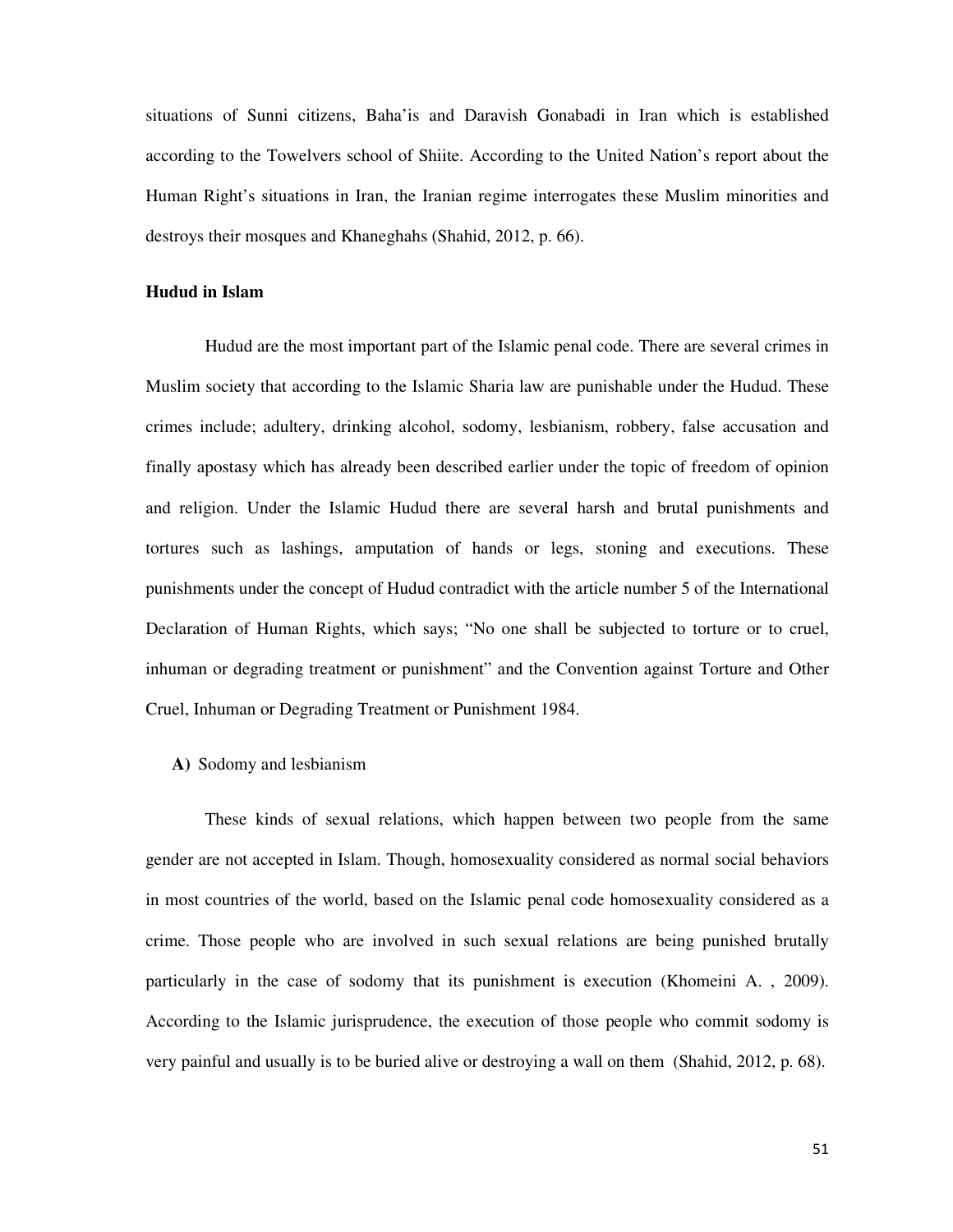situations of Sunni citizens, Baha'is and Daravish Gonabadi in Iran which is established according to the Towelvers school of Shiite. According to the United Nation's report about the Human Right's situations in Iran, the Iranian regime interrogates these Muslim minorities and destroys their mosques and Khaneghahs (Shahid, 2012, p. 66).

# **Hudud in Islam**

Hudud are the most important part of the Islamic penal code. There are several crimes in Muslim society that according to the Islamic Sharia law are punishable under the Hudud. These crimes include; adultery, drinking alcohol, sodomy, lesbianism, robbery, false accusation and finally apostasy which has already been described earlier under the topic of freedom of opinion and religion. Under the Islamic Hudud there are several harsh and brutal punishments and tortures such as lashings, amputation of hands or legs, stoning and executions. These punishments under the concept of Hudud contradict with the article number 5 of the International Declaration of Human Rights, which says; "No one shall be subjected to torture or to cruel, inhuman or degrading treatment or punishment" and the Convention against Torture and Other Cruel, Inhuman or Degrading Treatment or Punishment 1984.

## **A)** Sodomy and lesbianism

These kinds of sexual relations, which happen between two people from the same gender are not accepted in Islam. Though, homosexuality considered as normal social behaviors in most countries of the world, based on the Islamic penal code homosexuality considered as a crime. Those people who are involved in such sexual relations are being punished brutally particularly in the case of sodomy that its punishment is execution (Khomeini A. , 2009). According to the Islamic jurisprudence, the execution of those people who commit sodomy is very painful and usually is to be buried alive or destroying a wall on them (Shahid, 2012, p. 68).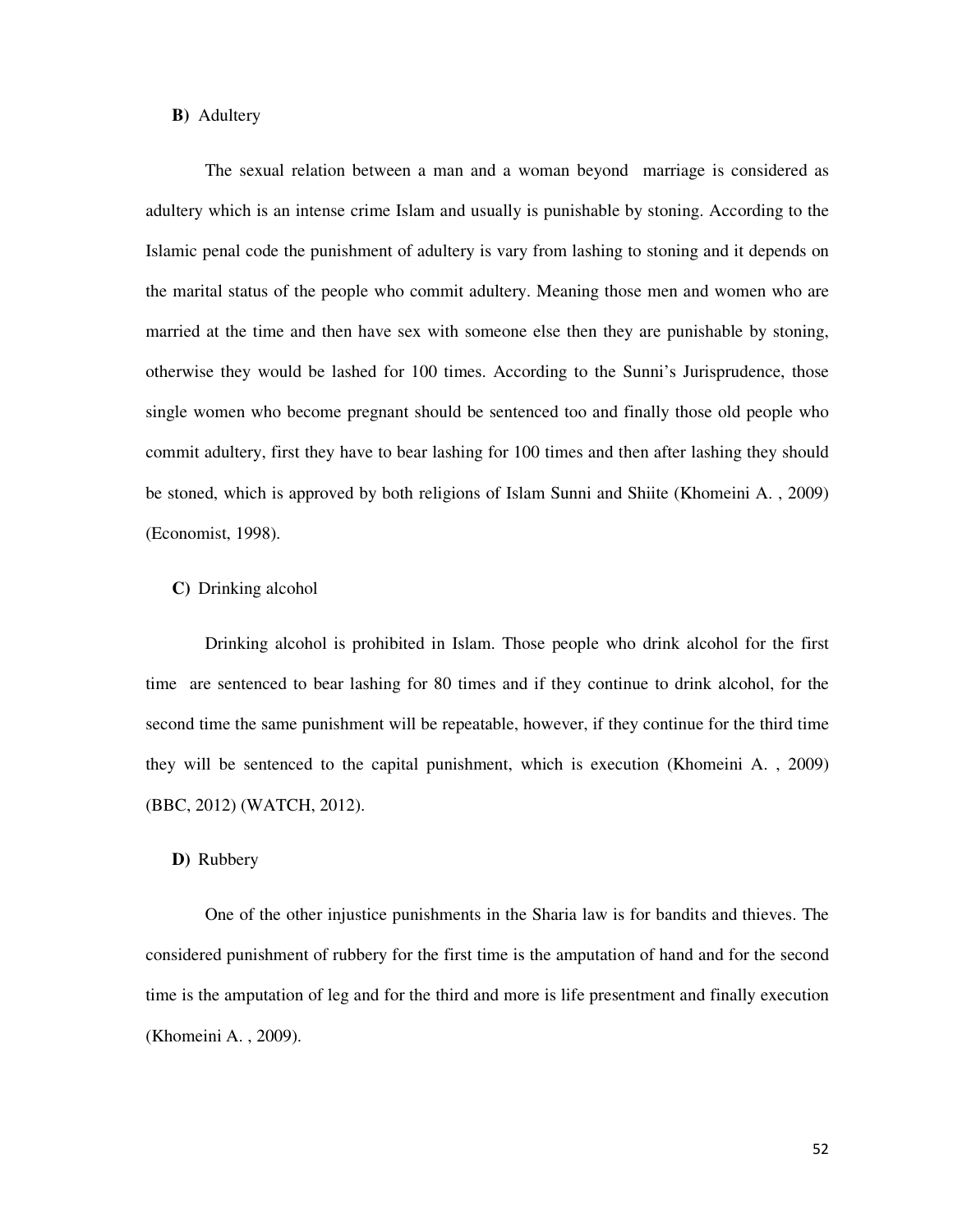### **B)** Adultery

The sexual relation between a man and a woman beyond marriage is considered as adultery which is an intense crime Islam and usually is punishable by stoning. According to the Islamic penal code the punishment of adultery is vary from lashing to stoning and it depends on the marital status of the people who commit adultery. Meaning those men and women who are married at the time and then have sex with someone else then they are punishable by stoning, otherwise they would be lashed for 100 times. According to the Sunni's Jurisprudence, those single women who become pregnant should be sentenced too and finally those old people who commit adultery, first they have to bear lashing for 100 times and then after lashing they should be stoned, which is approved by both religions of Islam Sunni and Shiite (Khomeini A. , 2009) (Economist, 1998).

### **C)** Drinking alcohol

Drinking alcohol is prohibited in Islam. Those people who drink alcohol for the first time are sentenced to bear lashing for 80 times and if they continue to drink alcohol, for the second time the same punishment will be repeatable, however, if they continue for the third time they will be sentenced to the capital punishment, which is execution (Khomeini A. , 2009) (BBC, 2012) (WATCH, 2012).

### **D)** Rubbery

One of the other injustice punishments in the Sharia law is for bandits and thieves. The considered punishment of rubbery for the first time is the amputation of hand and for the second time is the amputation of leg and for the third and more is life presentment and finally execution (Khomeini A. , 2009).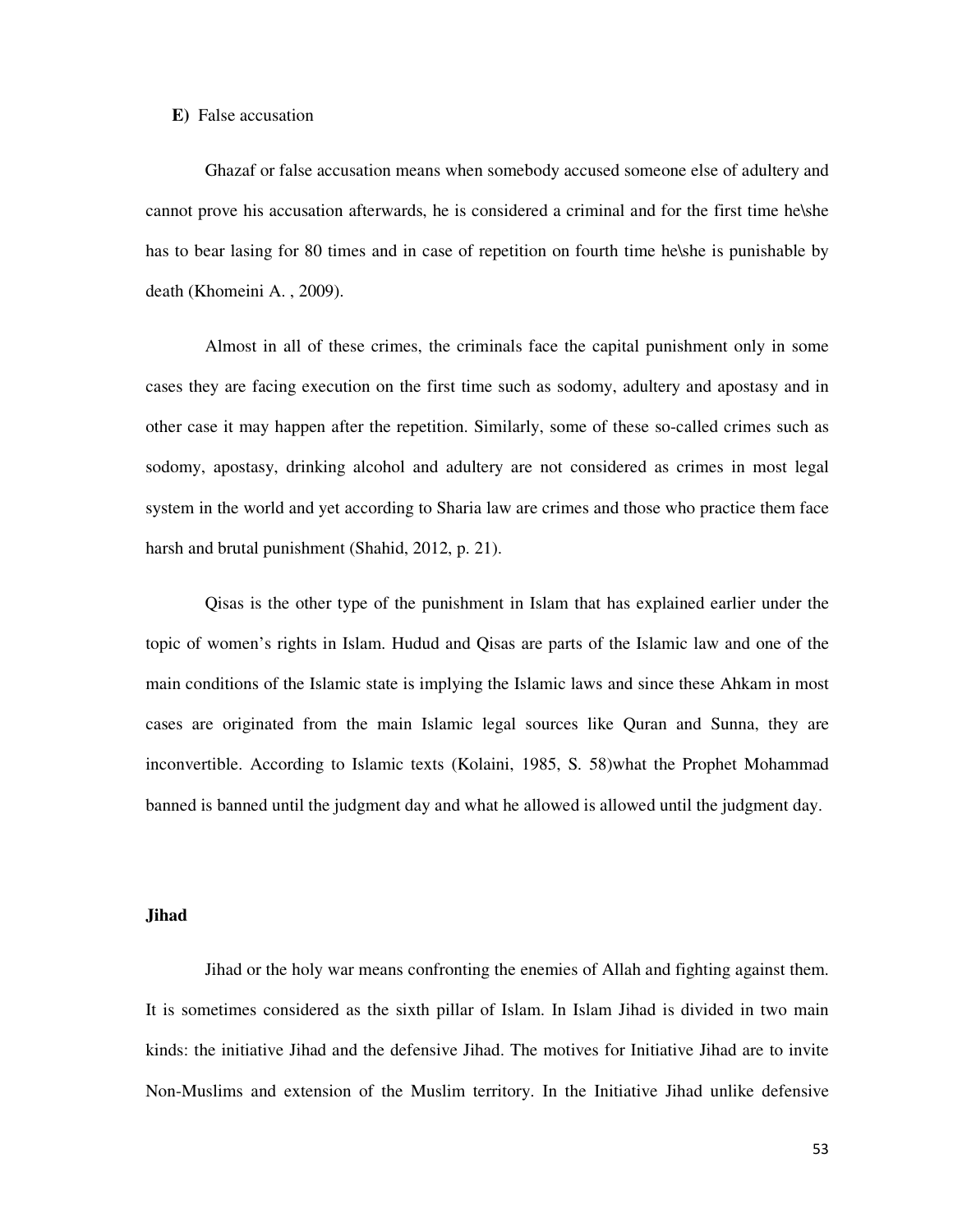### **E)** False accusation

Ghazaf or false accusation means when somebody accused someone else of adultery and cannot prove his accusation afterwards, he is considered a criminal and for the first time he\she has to bear lasing for 80 times and in case of repetition on fourth time he\she is punishable by death (Khomeini A. , 2009).

Almost in all of these crimes, the criminals face the capital punishment only in some cases they are facing execution on the first time such as sodomy, adultery and apostasy and in other case it may happen after the repetition. Similarly, some of these so-called crimes such as sodomy, apostasy, drinking alcohol and adultery are not considered as crimes in most legal system in the world and yet according to Sharia law are crimes and those who practice them face harsh and brutal punishment (Shahid, 2012, p. 21).

Qisas is the other type of the punishment in Islam that has explained earlier under the topic of women's rights in Islam. Hudud and Qisas are parts of the Islamic law and one of the main conditions of the Islamic state is implying the Islamic laws and since these Ahkam in most cases are originated from the main Islamic legal sources like Quran and Sunna, they are inconvertible. According to Islamic texts (Kolaini, 1985, S. 58)what the Prophet Mohammad banned is banned until the judgment day and what he allowed is allowed until the judgment day.

### **Jihad**

Jihad or the holy war means confronting the enemies of Allah and fighting against them. It is sometimes considered as the sixth pillar of Islam. In Islam Jihad is divided in two main kinds: the initiative Jihad and the defensive Jihad. The motives for Initiative Jihad are to invite Non-Muslims and extension of the Muslim territory. In the Initiative Jihad unlike defensive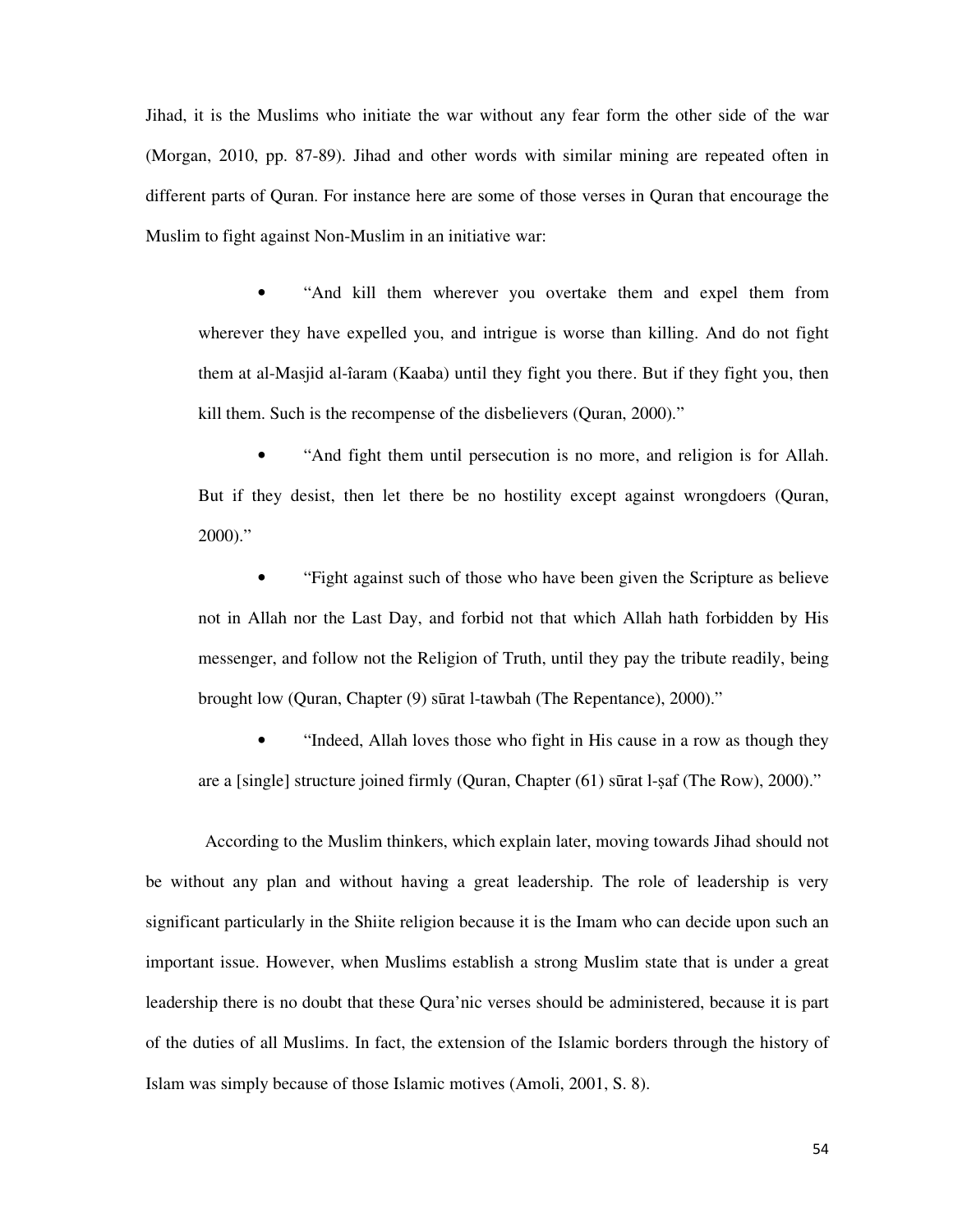Jihad, it is the Muslims who initiate the war without any fear form the other side of the war (Morgan, 2010, pp. 87-89). Jihad and other words with similar mining are repeated often in different parts of Quran. For instance here are some of those verses in Quran that encourage the Muslim to fight against Non-Muslim in an initiative war:

• "And kill them wherever you overtake them and expel them from wherever they have expelled you, and intrigue is worse than killing. And do not fight them at al-Masjid al-îaram (Kaaba) until they fight you there. But if they fight you, then kill them. Such is the recompense of the disbelievers (Quran, 2000)."

• "And fight them until persecution is no more, and religion is for Allah. But if they desist, then let there be no hostility except against wrongdoers (Quran, 2000)."

• "Fight against such of those who have been given the Scripture as believe not in Allah nor the Last Day, and forbid not that which Allah hath forbidden by His messenger, and follow not the Religion of Truth, until they pay the tribute readily, being brought low (Quran, Chapter (9) sūrat l-tawbah (The Repentance), 2000)."

• "Indeed, Allah loves those who fight in His cause in a row as though they are a [single] structure joined firmly (Quran, Chapter  $(61)$  sūrat l-saf (The Row), 2000)."

According to the Muslim thinkers, which explain later, moving towards Jihad should not be without any plan and without having a great leadership. The role of leadership is very significant particularly in the Shiite religion because it is the Imam who can decide upon such an important issue. However, when Muslims establish a strong Muslim state that is under a great leadership there is no doubt that these Qura'nic verses should be administered, because it is part of the duties of all Muslims. In fact, the extension of the Islamic borders through the history of Islam was simply because of those Islamic motives (Amoli, 2001, S. 8).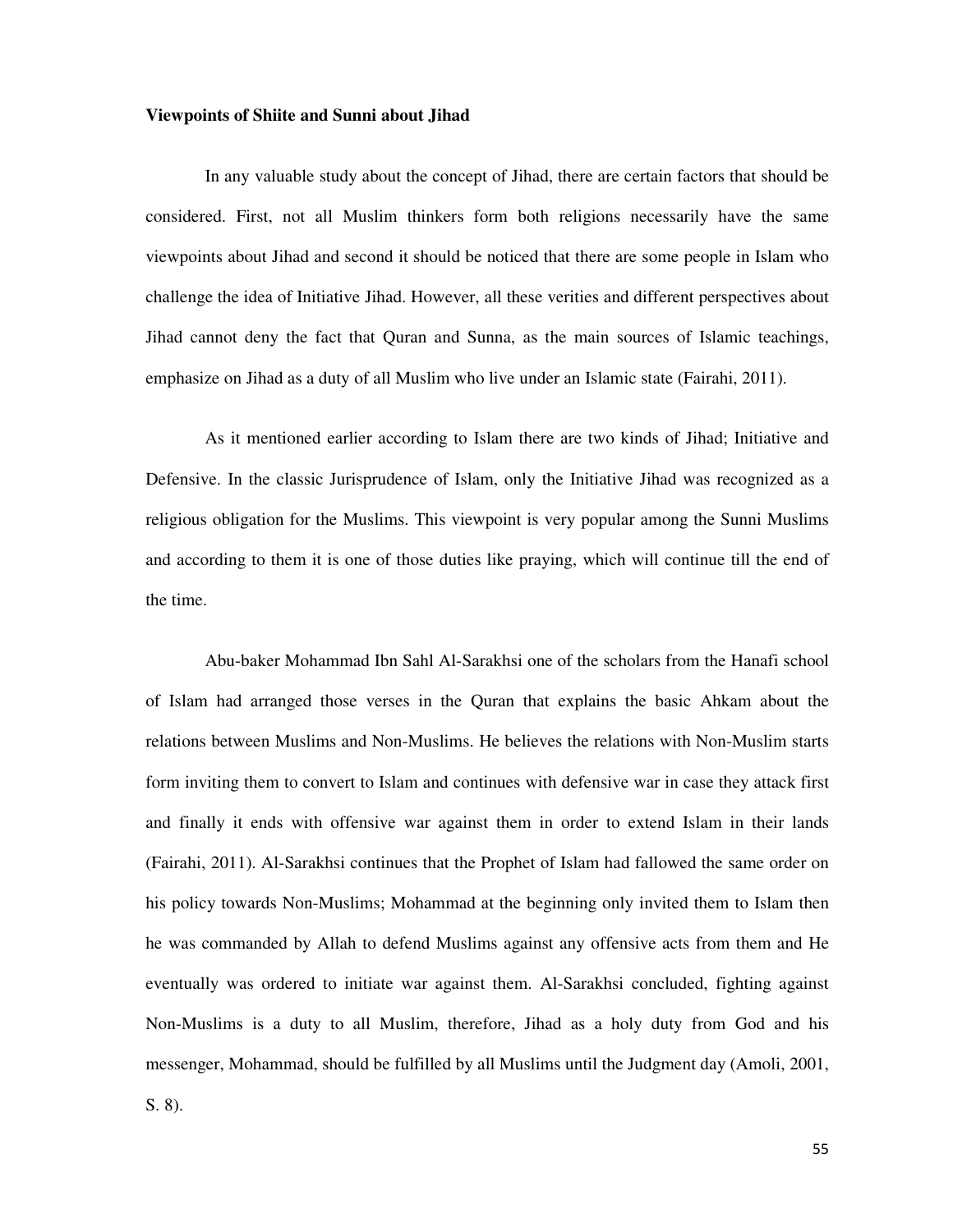### **Viewpoints of Shiite and Sunni about Jihad**

In any valuable study about the concept of Jihad, there are certain factors that should be considered. First, not all Muslim thinkers form both religions necessarily have the same viewpoints about Jihad and second it should be noticed that there are some people in Islam who challenge the idea of Initiative Jihad. However, all these verities and different perspectives about Jihad cannot deny the fact that Quran and Sunna, as the main sources of Islamic teachings, emphasize on Jihad as a duty of all Muslim who live under an Islamic state (Fairahi, 2011).

As it mentioned earlier according to Islam there are two kinds of Jihad; Initiative and Defensive. In the classic Jurisprudence of Islam, only the Initiative Jihad was recognized as a religious obligation for the Muslims. This viewpoint is very popular among the Sunni Muslims and according to them it is one of those duties like praying, which will continue till the end of the time.

Abu-baker Mohammad Ibn Sahl Al-Sarakhsi one of the scholars from the Hanafi school of Islam had arranged those verses in the Quran that explains the basic Ahkam about the relations between Muslims and Non-Muslims. He believes the relations with Non-Muslim starts form inviting them to convert to Islam and continues with defensive war in case they attack first and finally it ends with offensive war against them in order to extend Islam in their lands (Fairahi, 2011). Al-Sarakhsi continues that the Prophet of Islam had fallowed the same order on his policy towards Non-Muslims; Mohammad at the beginning only invited them to Islam then he was commanded by Allah to defend Muslims against any offensive acts from them and He eventually was ordered to initiate war against them. Al-Sarakhsi concluded, fighting against Non-Muslims is a duty to all Muslim, therefore, Jihad as a holy duty from God and his messenger, Mohammad, should be fulfilled by all Muslims until the Judgment day (Amoli, 2001,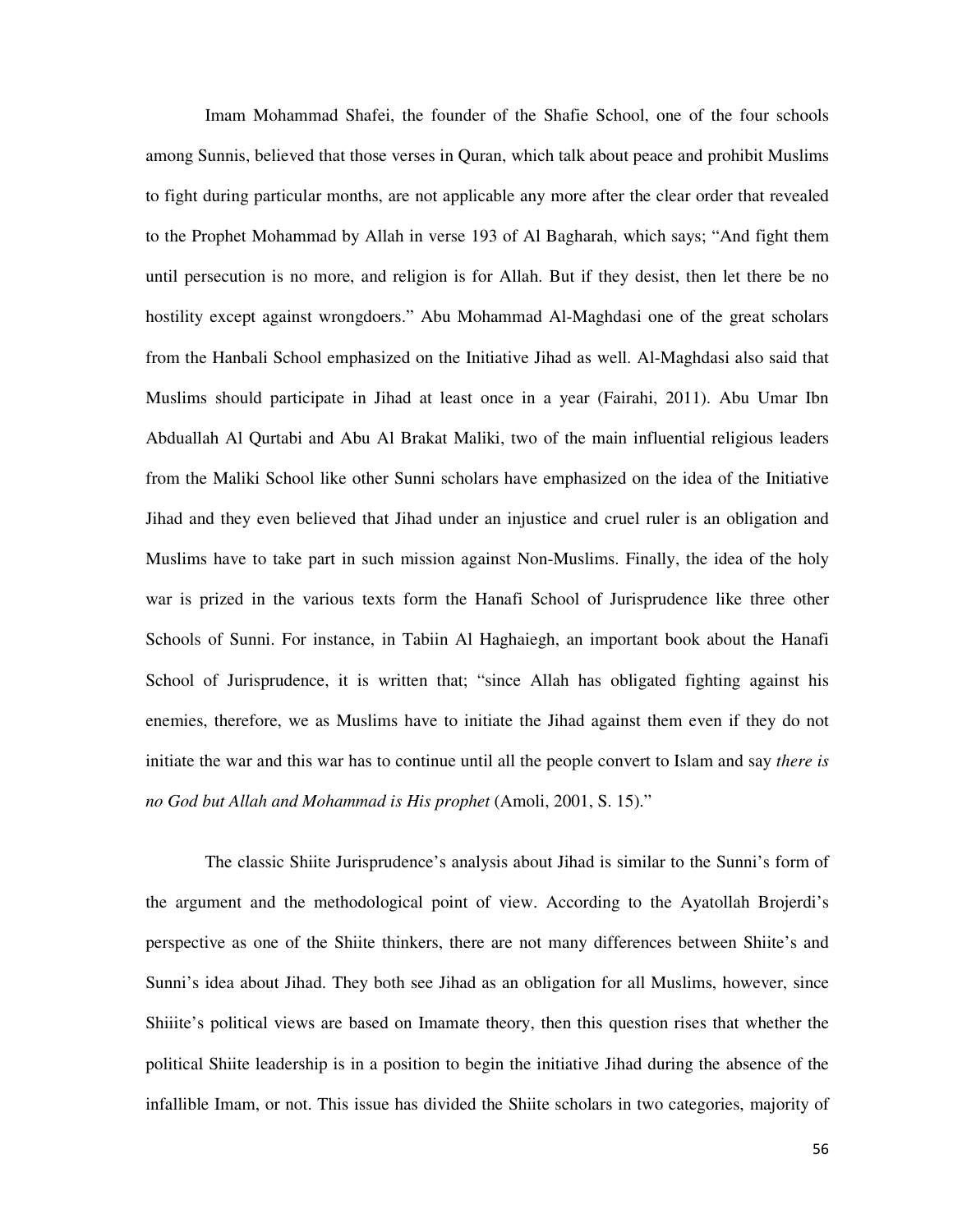Imam Mohammad Shafei, the founder of the Shafie School, one of the four schools among Sunnis, believed that those verses in Quran, which talk about peace and prohibit Muslims to fight during particular months, are not applicable any more after the clear order that revealed to the Prophet Mohammad by Allah in verse 193 of Al Bagharah, which says; "And fight them until persecution is no more, and religion is for Allah. But if they desist, then let there be no hostility except against wrongdoers." Abu Mohammad Al-Maghdasi one of the great scholars from the Hanbali School emphasized on the Initiative Jihad as well. Al-Maghdasi also said that Muslims should participate in Jihad at least once in a year (Fairahi, 2011). Abu Umar Ibn Abduallah Al Qurtabi and Abu Al Brakat Maliki, two of the main influential religious leaders from the Maliki School like other Sunni scholars have emphasized on the idea of the Initiative Jihad and they even believed that Jihad under an injustice and cruel ruler is an obligation and Muslims have to take part in such mission against Non-Muslims. Finally, the idea of the holy war is prized in the various texts form the Hanafi School of Jurisprudence like three other Schools of Sunni. For instance, in Tabiin Al Haghaiegh, an important book about the Hanafi School of Jurisprudence, it is written that; "since Allah has obligated fighting against his enemies, therefore, we as Muslims have to initiate the Jihad against them even if they do not initiate the war and this war has to continue until all the people convert to Islam and say *there is no God but Allah and Mohammad is His prophet* (Amoli, 2001, S. 15)."

The classic Shiite Jurisprudence's analysis about Jihad is similar to the Sunni's form of the argument and the methodological point of view. According to the Ayatollah Brojerdi's perspective as one of the Shiite thinkers, there are not many differences between Shiite's and Sunni's idea about Jihad. They both see Jihad as an obligation for all Muslims, however, since Shiiite's political views are based on Imamate theory, then this question rises that whether the political Shiite leadership is in a position to begin the initiative Jihad during the absence of the infallible Imam, or not. This issue has divided the Shiite scholars in two categories, majority of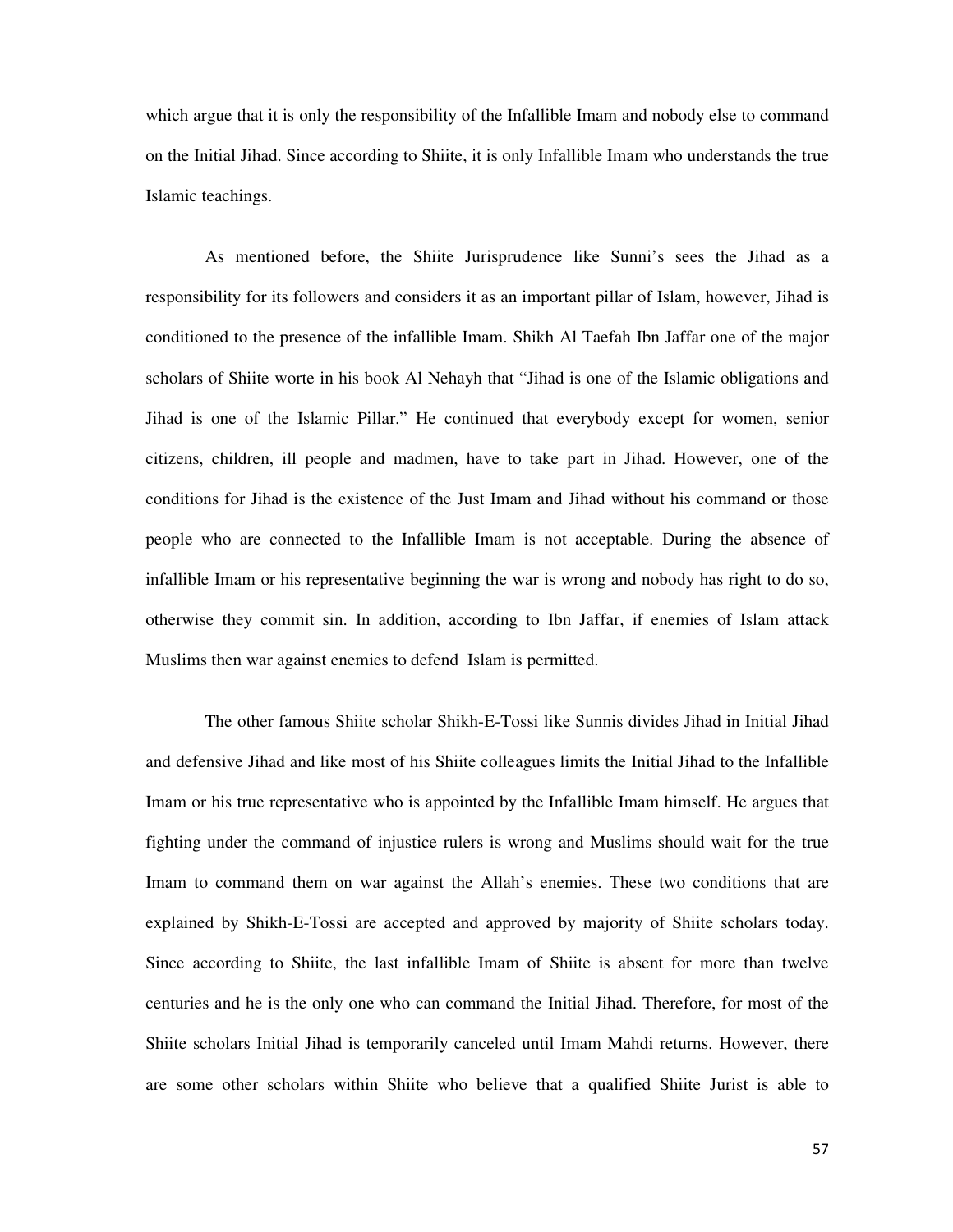which argue that it is only the responsibility of the Infallible Imam and nobody else to command on the Initial Jihad. Since according to Shiite, it is only Infallible Imam who understands the true Islamic teachings.

As mentioned before, the Shiite Jurisprudence like Sunni's sees the Jihad as a responsibility for its followers and considers it as an important pillar of Islam, however, Jihad is conditioned to the presence of the infallible Imam. Shikh Al Taefah Ibn Jaffar one of the major scholars of Shiite worte in his book Al Nehayh that "Jihad is one of the Islamic obligations and Jihad is one of the Islamic Pillar." He continued that everybody except for women, senior citizens, children, ill people and madmen, have to take part in Jihad. However, one of the conditions for Jihad is the existence of the Just Imam and Jihad without his command or those people who are connected to the Infallible Imam is not acceptable. During the absence of infallible Imam or his representative beginning the war is wrong and nobody has right to do so, otherwise they commit sin. In addition, according to Ibn Jaffar, if enemies of Islam attack Muslims then war against enemies to defend Islam is permitted.

The other famous Shiite scholar Shikh-E-Tossi like Sunnis divides Jihad in Initial Jihad and defensive Jihad and like most of his Shiite colleagues limits the Initial Jihad to the Infallible Imam or his true representative who is appointed by the Infallible Imam himself. He argues that fighting under the command of injustice rulers is wrong and Muslims should wait for the true Imam to command them on war against the Allah's enemies. These two conditions that are explained by Shikh-E-Tossi are accepted and approved by majority of Shiite scholars today. Since according to Shiite, the last infallible Imam of Shiite is absent for more than twelve centuries and he is the only one who can command the Initial Jihad. Therefore, for most of the Shiite scholars Initial Jihad is temporarily canceled until Imam Mahdi returns. However, there are some other scholars within Shiite who believe that a qualified Shiite Jurist is able to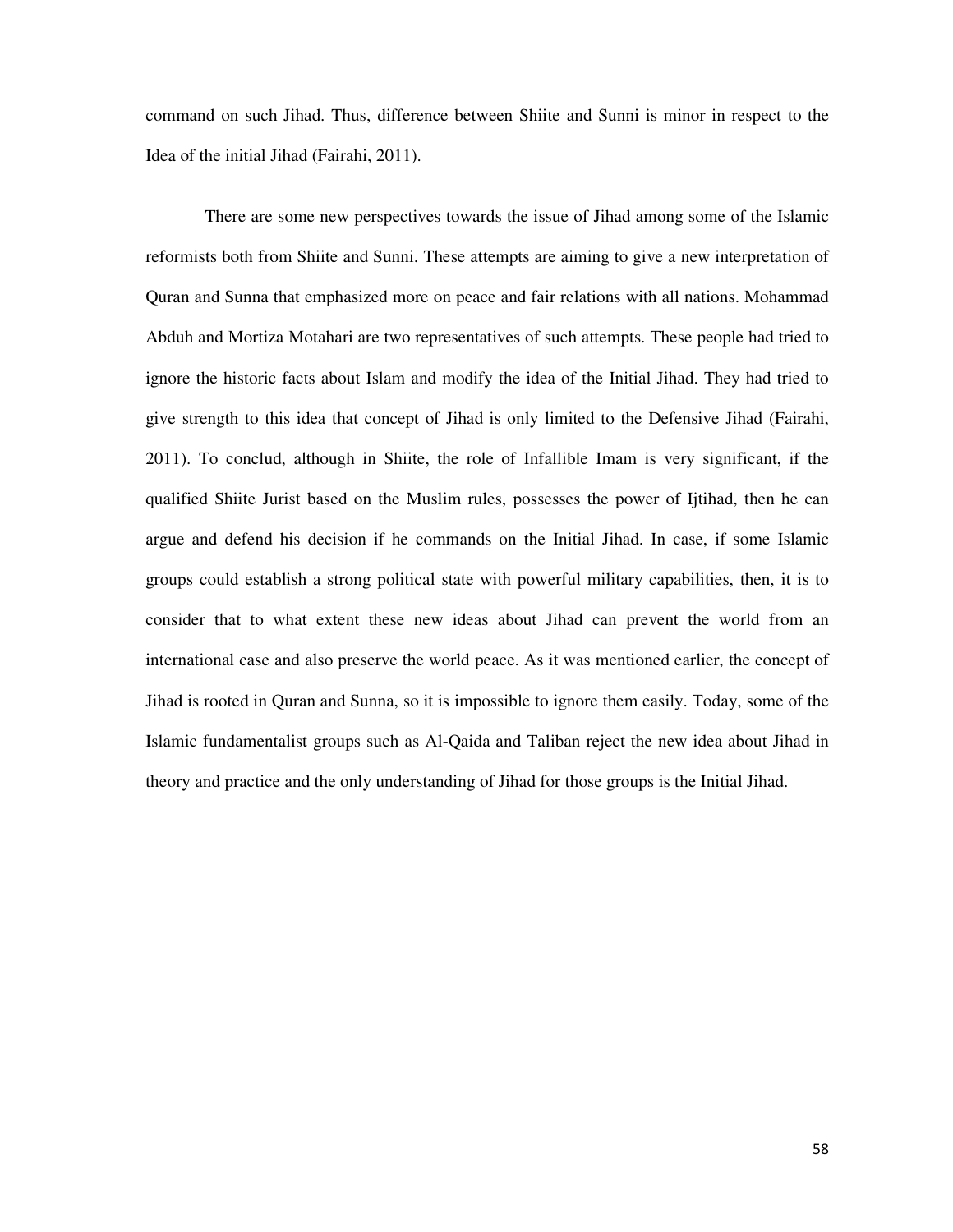command on such Jihad. Thus, difference between Shiite and Sunni is minor in respect to the Idea of the initial Jihad (Fairahi, 2011).

There are some new perspectives towards the issue of Jihad among some of the Islamic reformists both from Shiite and Sunni. These attempts are aiming to give a new interpretation of Quran and Sunna that emphasized more on peace and fair relations with all nations. Mohammad Abduh and Mortiza Motahari are two representatives of such attempts. These people had tried to ignore the historic facts about Islam and modify the idea of the Initial Jihad. They had tried to give strength to this idea that concept of Jihad is only limited to the Defensive Jihad (Fairahi, 2011). To conclud, although in Shiite, the role of Infallible Imam is very significant, if the qualified Shiite Jurist based on the Muslim rules, possesses the power of Ijtihad, then he can argue and defend his decision if he commands on the Initial Jihad. In case, if some Islamic groups could establish a strong political state with powerful military capabilities, then, it is to consider that to what extent these new ideas about Jihad can prevent the world from an international case and also preserve the world peace. As it was mentioned earlier, the concept of Jihad is rooted in Quran and Sunna, so it is impossible to ignore them easily. Today, some of the Islamic fundamentalist groups such as Al-Qaida and Taliban reject the new idea about Jihad in theory and practice and the only understanding of Jihad for those groups is the Initial Jihad.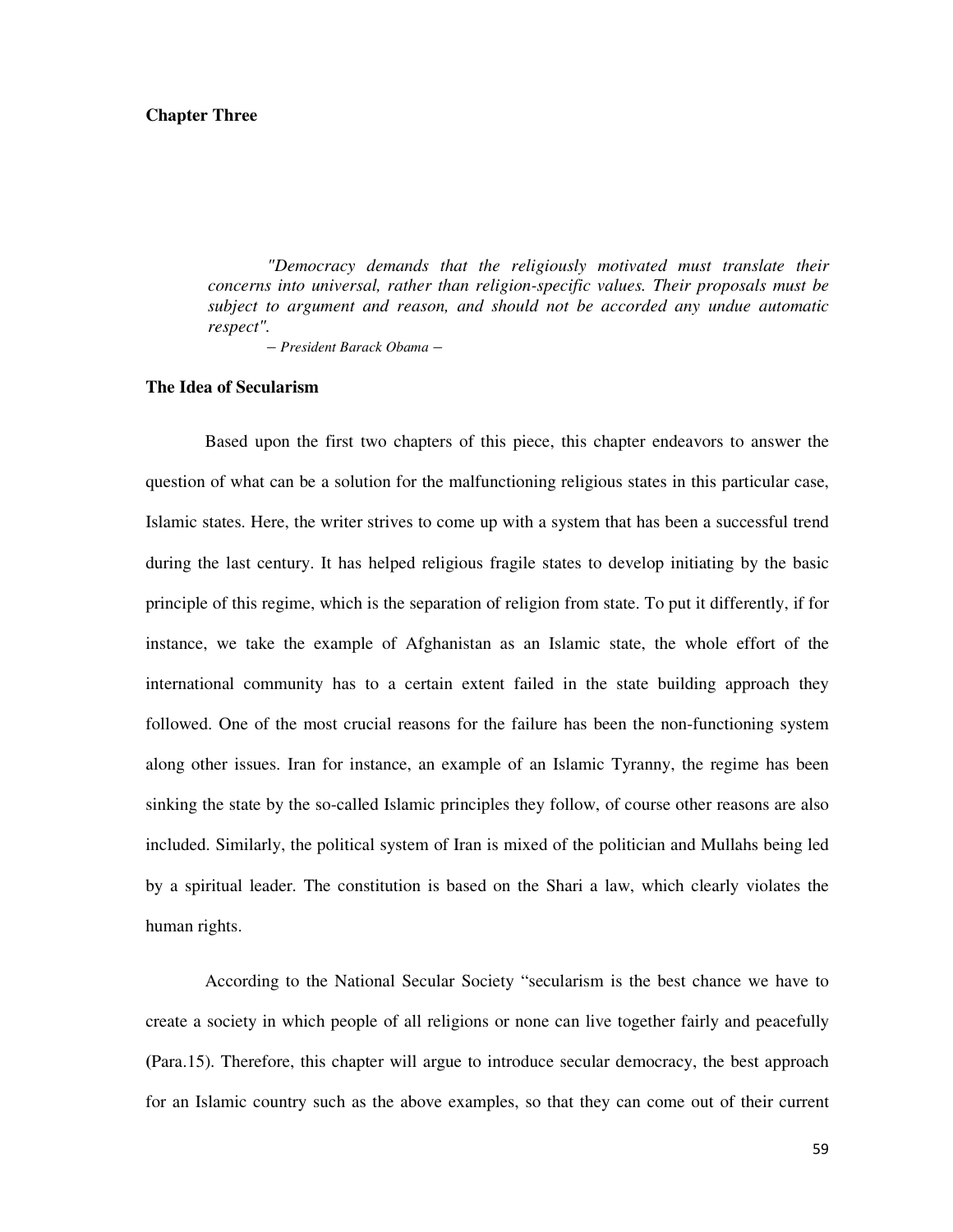### **Chapter Three**

*"Democracy demands that the religiously motivated must translate their concerns into universal, rather than religion-specific values. Their proposals must be subject to argument and reason, and should not be accorded any undue automatic respect".* 

*– President Barack Obama –* 

# **The Idea of Secularism**

Based upon the first two chapters of this piece, this chapter endeavors to answer the question of what can be a solution for the malfunctioning religious states in this particular case, Islamic states. Here, the writer strives to come up with a system that has been a successful trend during the last century. It has helped religious fragile states to develop initiating by the basic principle of this regime, which is the separation of religion from state. To put it differently, if for instance, we take the example of Afghanistan as an Islamic state, the whole effort of the international community has to a certain extent failed in the state building approach they followed. One of the most crucial reasons for the failure has been the non-functioning system along other issues. Iran for instance, an example of an Islamic Tyranny, the regime has been sinking the state by the so-called Islamic principles they follow, of course other reasons are also included. Similarly, the political system of Iran is mixed of the politician and Mullahs being led by a spiritual leader. The constitution is based on the Shari a law, which clearly violates the human rights.

According to the National Secular Society "secularism is the best chance we have to create a society in which people of all religions or none can live together fairly and peacefully **(**Para.15). Therefore, this chapter will argue to introduce secular democracy, the best approach for an Islamic country such as the above examples, so that they can come out of their current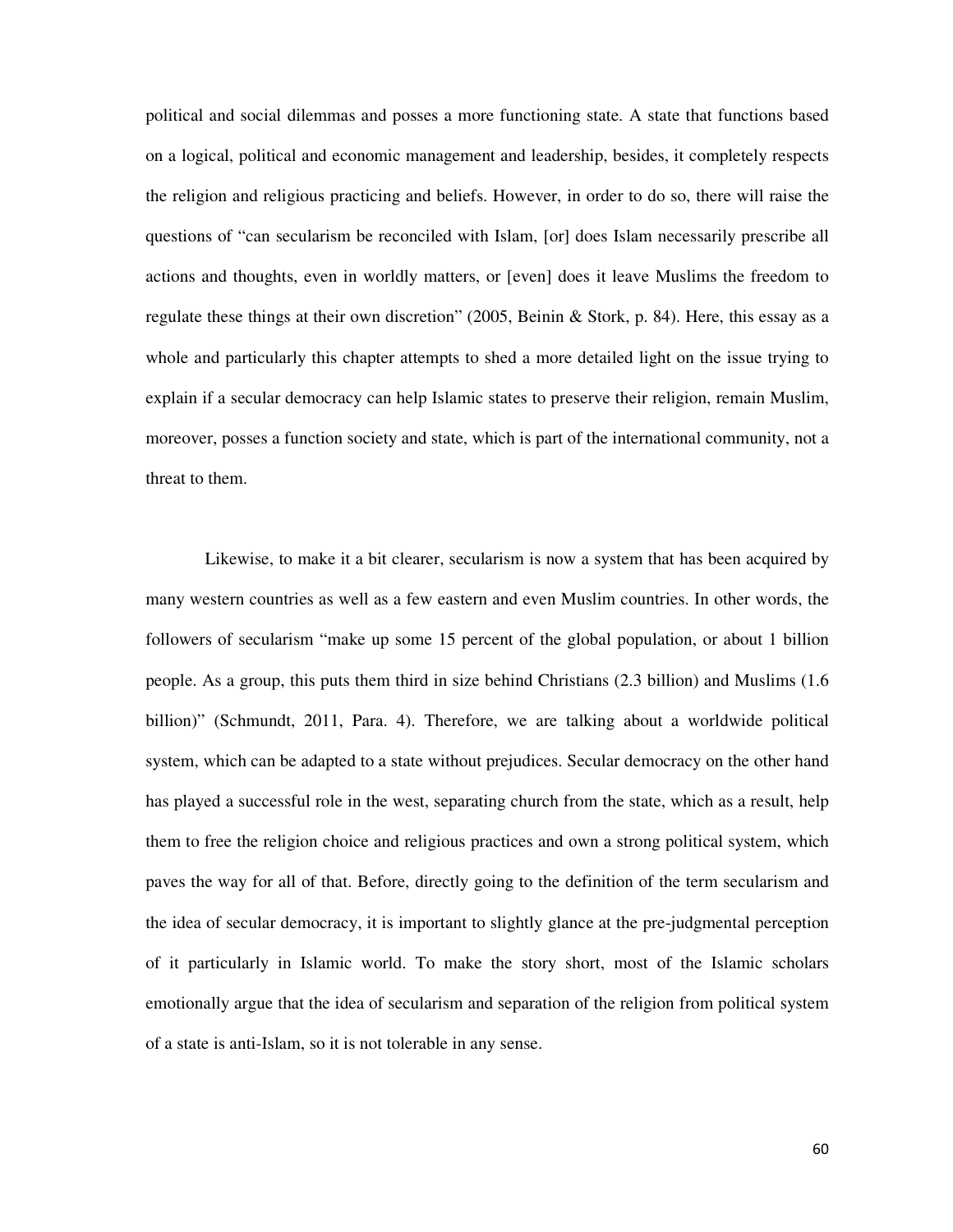political and social dilemmas and posses a more functioning state. A state that functions based on a logical, political and economic management and leadership, besides, it completely respects the religion and religious practicing and beliefs. However, in order to do so, there will raise the questions of "can secularism be reconciled with Islam, [or] does Islam necessarily prescribe all actions and thoughts, even in worldly matters, or [even] does it leave Muslims the freedom to regulate these things at their own discretion" (2005, Beinin & Stork, p. 84). Here, this essay as a whole and particularly this chapter attempts to shed a more detailed light on the issue trying to explain if a secular democracy can help Islamic states to preserve their religion, remain Muslim, moreover, posses a function society and state, which is part of the international community, not a threat to them.

Likewise, to make it a bit clearer, secularism is now a system that has been acquired by many western countries as well as a few eastern and even Muslim countries. In other words, the followers of secularism "make up some 15 percent of the global population, or about 1 billion people. As a group, this puts them third in size behind Christians (2.3 billion) and Muslims (1.6 billion)" (Schmundt, 2011, Para. 4). Therefore, we are talking about a worldwide political system, which can be adapted to a state without prejudices. Secular democracy on the other hand has played a successful role in the west, separating church from the state, which as a result, help them to free the religion choice and religious practices and own a strong political system, which paves the way for all of that. Before, directly going to the definition of the term secularism and the idea of secular democracy, it is important to slightly glance at the pre-judgmental perception of it particularly in Islamic world. To make the story short, most of the Islamic scholars emotionally argue that the idea of secularism and separation of the religion from political system of a state is anti-Islam, so it is not tolerable in any sense.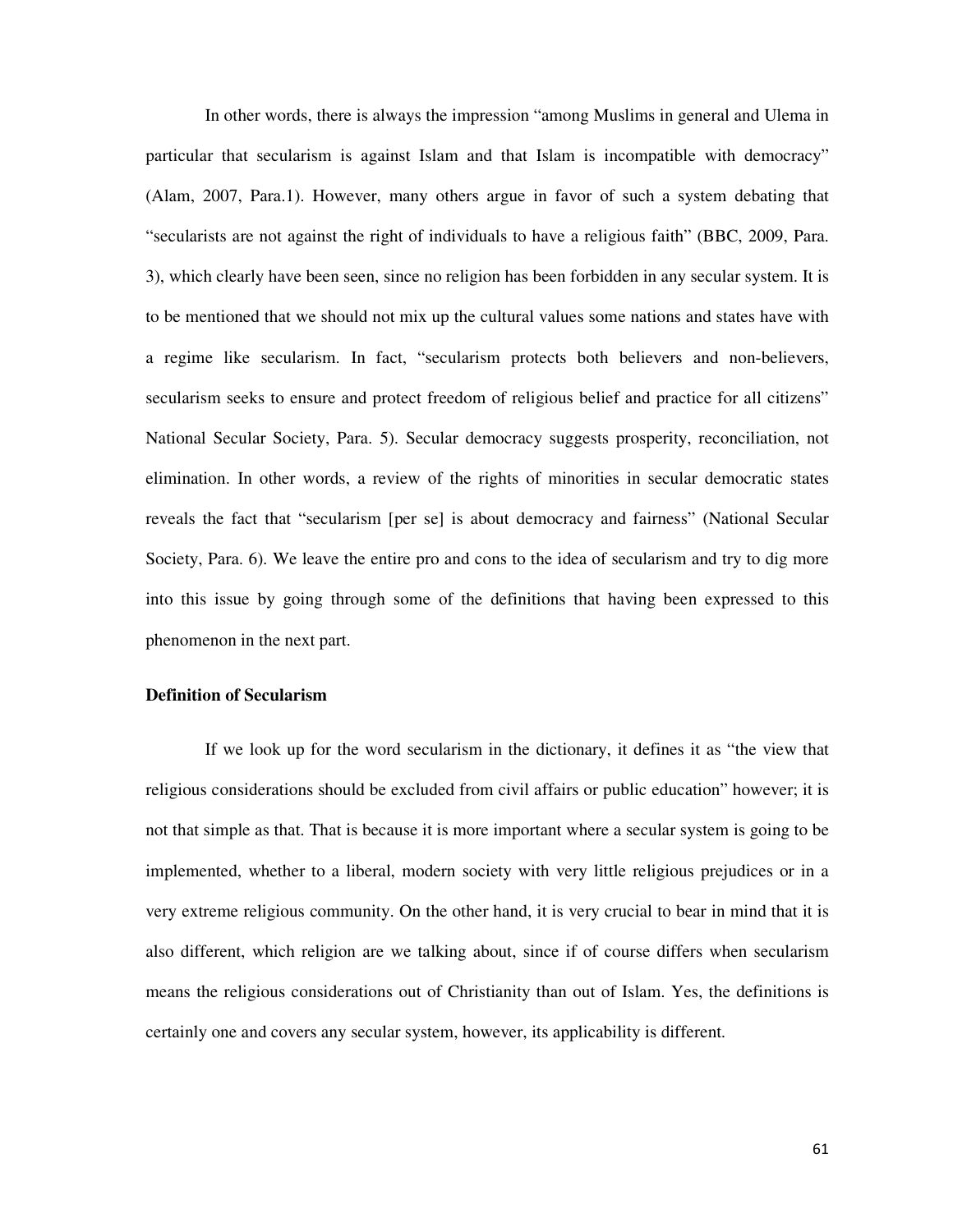In other words, there is always the impression "among Muslims in general and Ulema in particular that secularism is against Islam and that Islam is incompatible with democracy" (Alam, 2007, Para.1). However, many others argue in favor of such a system debating that "secularists are not against the right of individuals to have a religious faith" (BBC, 2009, Para. 3), which clearly have been seen, since no religion has been forbidden in any secular system. It is to be mentioned that we should not mix up the cultural values some nations and states have with a regime like secularism. In fact, "secularism protects both believers and non-believers, secularism seeks to ensure and protect freedom of religious belief and practice for all citizens" National Secular Society, Para. 5). Secular democracy suggests prosperity, reconciliation, not elimination. In other words, a review of the rights of minorities in secular democratic states reveals the fact that "secularism [per se] is about democracy and fairness" (National Secular Society, Para. 6). We leave the entire pro and cons to the idea of secularism and try to dig more into this issue by going through some of the definitions that having been expressed to this phenomenon in the next part.

# **Definition of Secularism**

If we look up for the word secularism in the dictionary, it defines it as "the view that religious considerations should be excluded from civil affairs or public education" however; it is not that simple as that. That is because it is more important where a secular system is going to be implemented, whether to a liberal, modern society with very little religious prejudices or in a very extreme religious community. On the other hand, it is very crucial to bear in mind that it is also different, which religion are we talking about, since if of course differs when secularism means the religious considerations out of Christianity than out of Islam. Yes, the definitions is certainly one and covers any secular system, however, its applicability is different.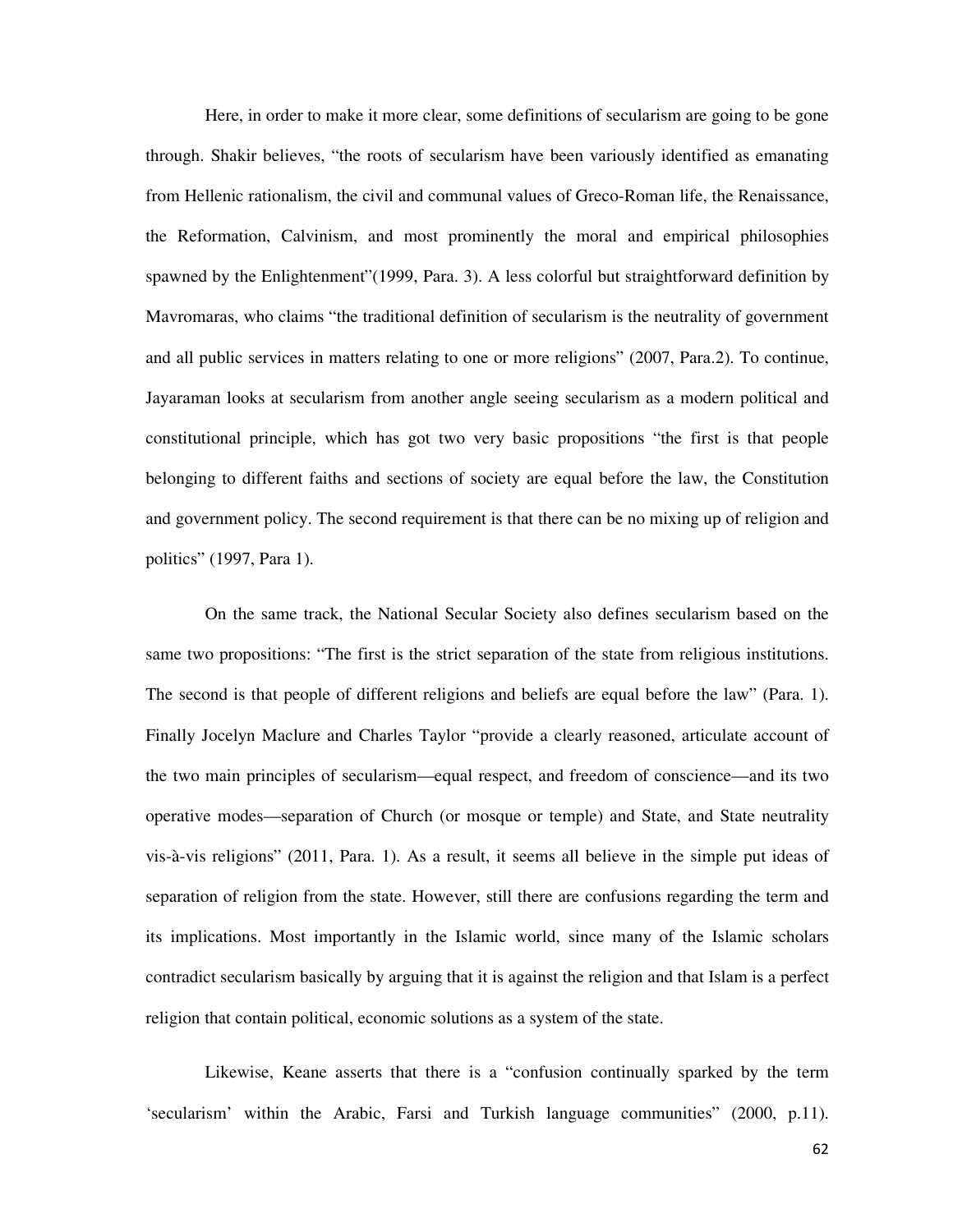Here, in order to make it more clear, some definitions of secularism are going to be gone through. Shakir believes, "the roots of secularism have been variously identified as emanating from Hellenic rationalism, the civil and communal values of Greco-Roman life, the Renaissance, the Reformation, Calvinism, and most prominently the moral and empirical philosophies spawned by the Enlightenment"(1999, Para. 3). A less colorful but straightforward definition by Mavromaras, who claims "the traditional definition of secularism is the neutrality of government and all public services in matters relating to one or more religions" (2007, Para.2). To continue, Jayaraman looks at secularism from another angle seeing secularism as a modern political and constitutional principle, which has got two very basic propositions "the first is that people belonging to different faiths and sections of society are equal before the law, the Constitution and government policy. The second requirement is that there can be no mixing up of religion and politics" (1997, Para 1).

On the same track, the National Secular Society also defines secularism based on the same two propositions: "The first is the strict separation of the state from religious institutions. The second is that people of different religions and beliefs are equal before the law" (Para. 1). Finally Jocelyn Maclure and Charles Taylor "provide a clearly reasoned, articulate account of the two main principles of secularism—equal respect, and freedom of conscience—and its two operative modes—separation of Church (or mosque or temple) and State, and State neutrality vis-à-vis religions" (2011, Para. 1). As a result, it seems all believe in the simple put ideas of separation of religion from the state. However, still there are confusions regarding the term and its implications. Most importantly in the Islamic world, since many of the Islamic scholars contradict secularism basically by arguing that it is against the religion and that Islam is a perfect religion that contain political, economic solutions as a system of the state.

Likewise, Keane asserts that there is a "confusion continually sparked by the term 'secularism' within the Arabic, Farsi and Turkish language communities" (2000, p.11).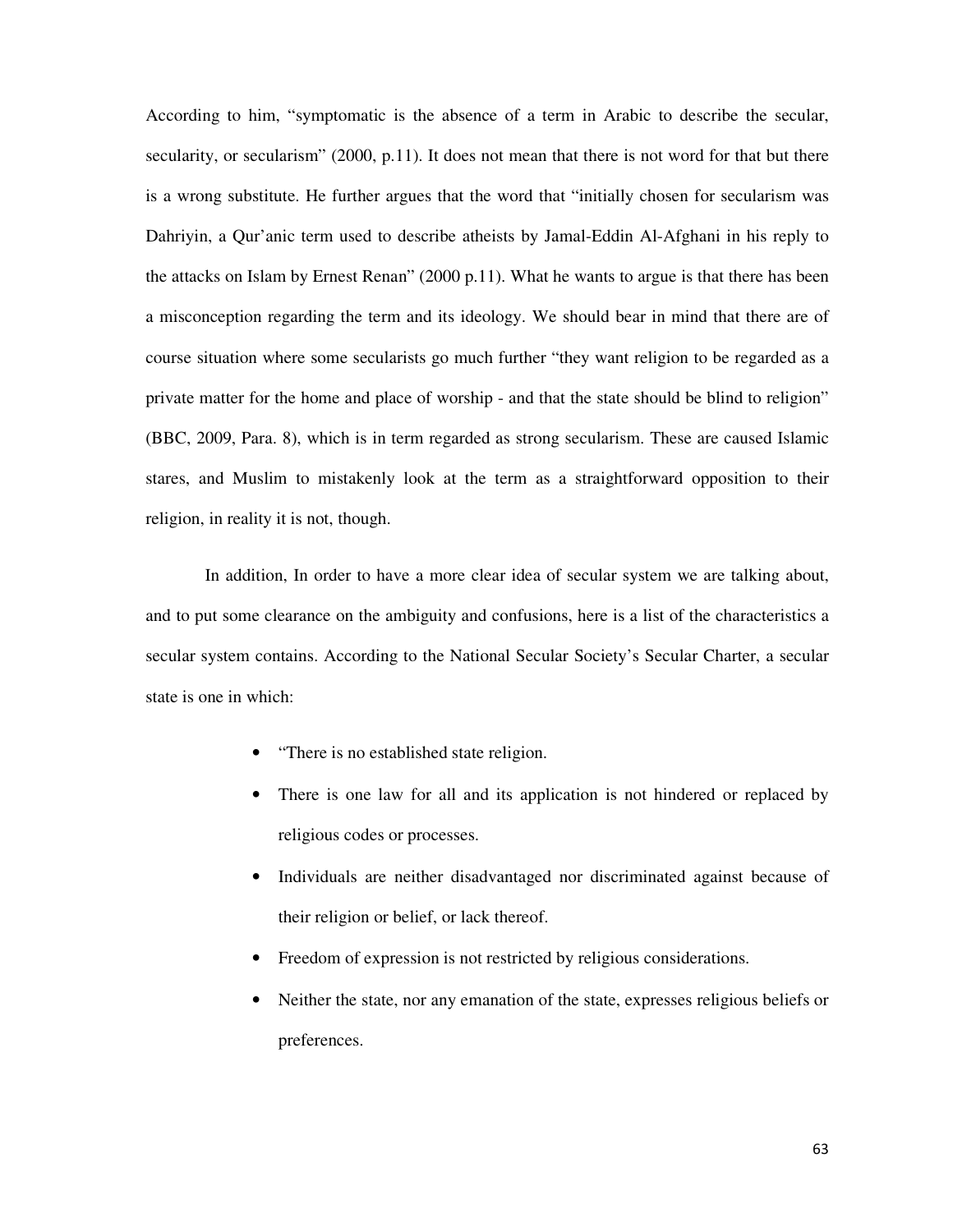According to him, "symptomatic is the absence of a term in Arabic to describe the secular, secularity, or secularism" (2000, p.11). It does not mean that there is not word for that but there is a wrong substitute. He further argues that the word that "initially chosen for secularism was Dahriyin, a Qur'anic term used to describe atheists by Jamal-Eddin Al-Afghani in his reply to the attacks on Islam by Ernest Renan" (2000 p.11). What he wants to argue is that there has been a misconception regarding the term and its ideology. We should bear in mind that there are of course situation where some secularists go much further "they want religion to be regarded as a private matter for the home and place of worship - and that the state should be blind to religion" (BBC, 2009, Para. 8), which is in term regarded as strong secularism. These are caused Islamic stares, and Muslim to mistakenly look at the term as a straightforward opposition to their religion, in reality it is not, though.

In addition, In order to have a more clear idea of secular system we are talking about, and to put some clearance on the ambiguity and confusions, here is a list of the characteristics a secular system contains. According to the National Secular Society's Secular Charter, a secular state is one in which:

- "There is no established state religion.
- There is one law for all and its application is not hindered or replaced by religious codes or processes.
- Individuals are neither disadvantaged nor discriminated against because of their religion or belief, or lack thereof.
- Freedom of expression is not restricted by religious considerations.
- Neither the state, nor any emanation of the state, expresses religious beliefs or preferences.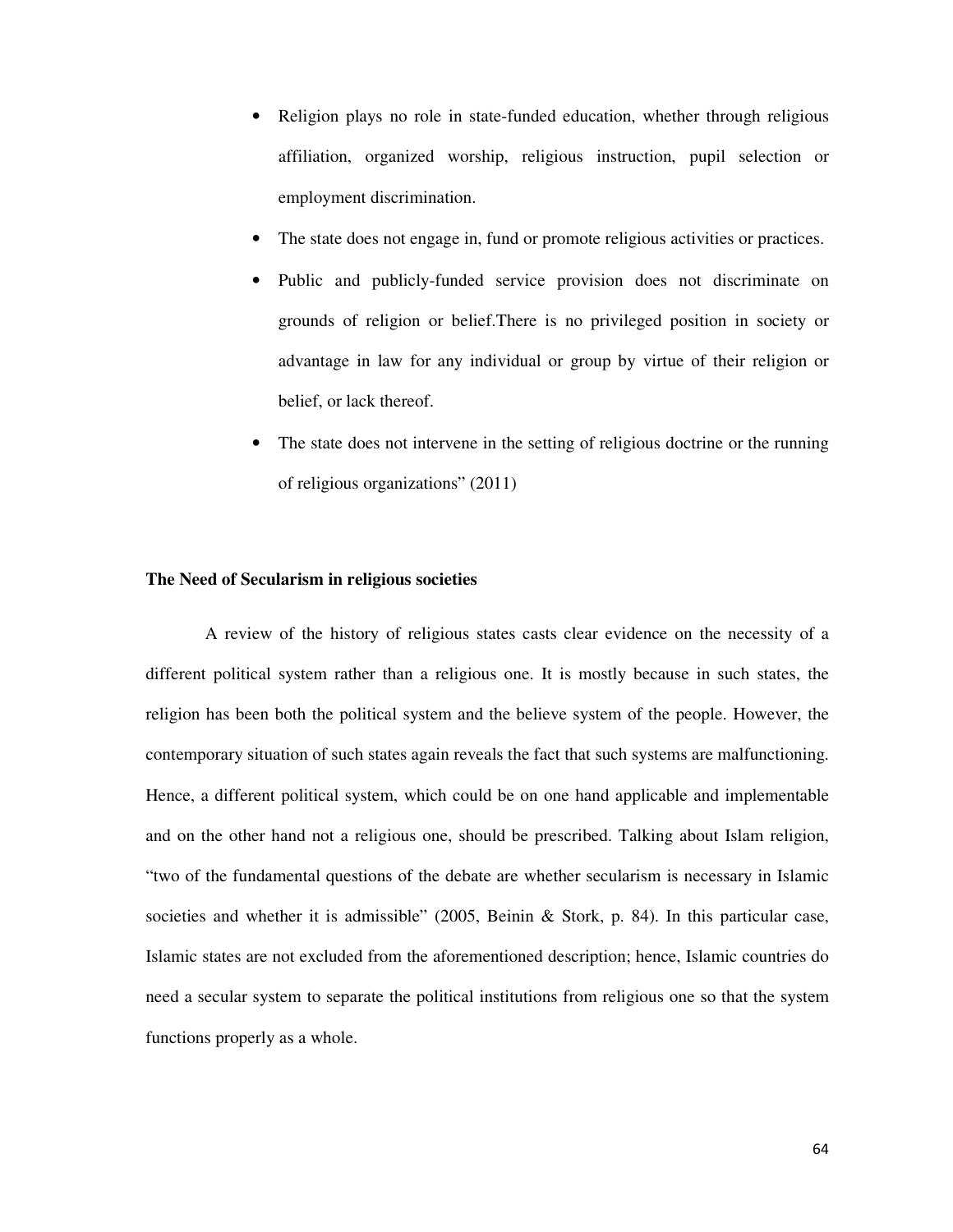- Religion plays no role in state-funded education, whether through religious affiliation, organized worship, religious instruction, pupil selection or employment discrimination.
- The state does not engage in, fund or promote religious activities or practices.
- Public and publicly-funded service provision does not discriminate on grounds of religion or belief.There is no privileged position in society or advantage in law for any individual or group by virtue of their religion or belief, or lack thereof.
- The state does not intervene in the setting of religious doctrine or the running of religious organizations" (2011)

### **The Need of Secularism in religious societies**

A review of the history of religious states casts clear evidence on the necessity of a different political system rather than a religious one. It is mostly because in such states, the religion has been both the political system and the believe system of the people. However, the contemporary situation of such states again reveals the fact that such systems are malfunctioning. Hence, a different political system, which could be on one hand applicable and implementable and on the other hand not a religious one, should be prescribed. Talking about Islam religion, "two of the fundamental questions of the debate are whether secularism is necessary in Islamic societies and whether it is admissible" (2005, Beinin & Stork, p. 84). In this particular case, Islamic states are not excluded from the aforementioned description; hence, Islamic countries do need a secular system to separate the political institutions from religious one so that the system functions properly as a whole.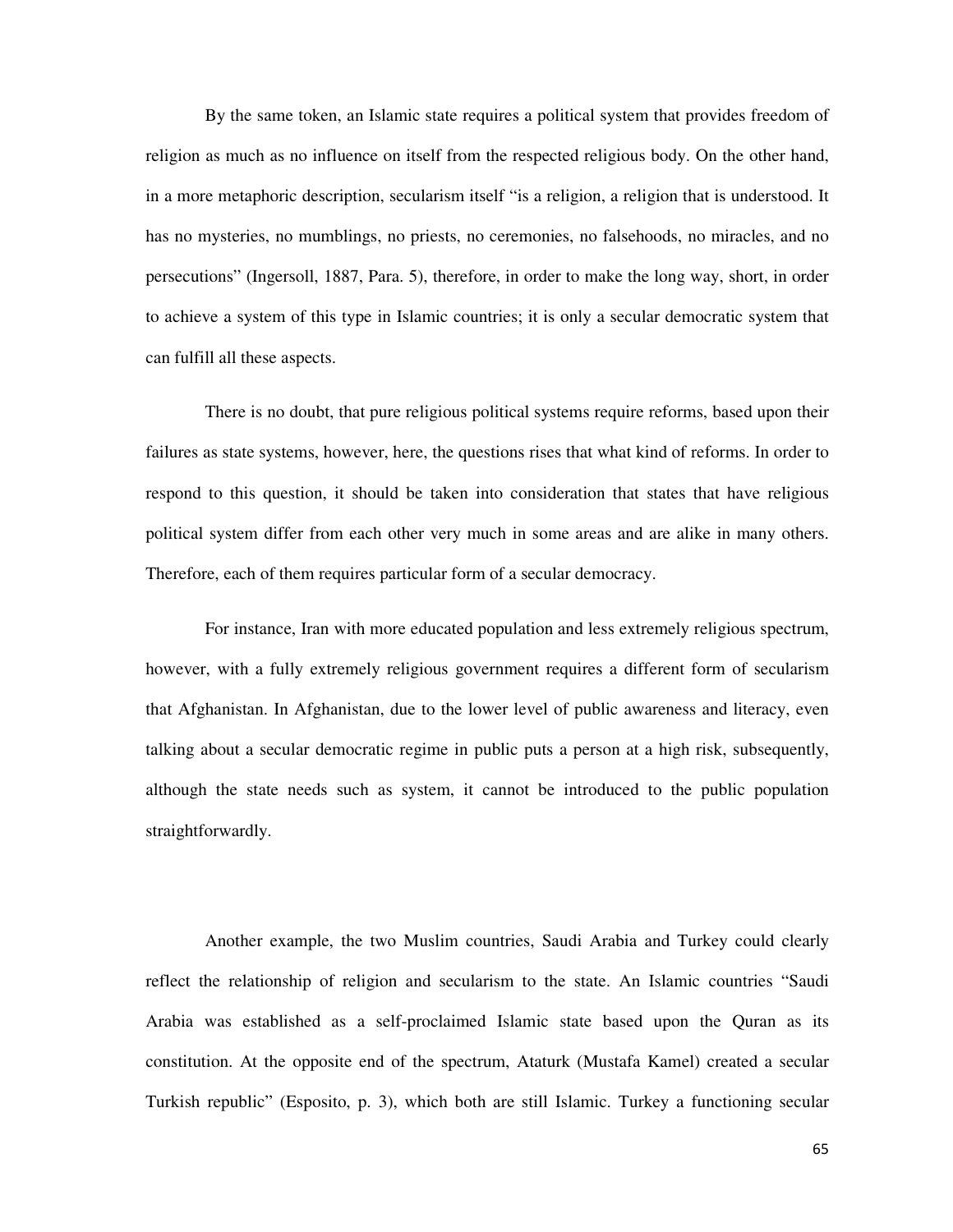By the same token, an Islamic state requires a political system that provides freedom of religion as much as no influence on itself from the respected religious body. On the other hand, in a more metaphoric description, secularism itself "is a religion, a religion that is understood. It has no mysteries, no mumblings, no priests, no ceremonies, no falsehoods, no miracles, and no persecutions" (Ingersoll, 1887, Para. 5), therefore, in order to make the long way, short, in order to achieve a system of this type in Islamic countries; it is only a secular democratic system that can fulfill all these aspects.

There is no doubt, that pure religious political systems require reforms, based upon their failures as state systems, however, here, the questions rises that what kind of reforms. In order to respond to this question, it should be taken into consideration that states that have religious political system differ from each other very much in some areas and are alike in many others. Therefore, each of them requires particular form of a secular democracy.

For instance, Iran with more educated population and less extremely religious spectrum, however, with a fully extremely religious government requires a different form of secularism that Afghanistan. In Afghanistan, due to the lower level of public awareness and literacy, even talking about a secular democratic regime in public puts a person at a high risk, subsequently, although the state needs such as system, it cannot be introduced to the public population straightforwardly.

Another example, the two Muslim countries, Saudi Arabia and Turkey could clearly reflect the relationship of religion and secularism to the state. An Islamic countries "Saudi Arabia was established as a self-proclaimed Islamic state based upon the Quran as its constitution. At the opposite end of the spectrum, Ataturk (Mustafa Kamel) created a secular Turkish republic" (Esposito, p. 3), which both are still Islamic. Turkey a functioning secular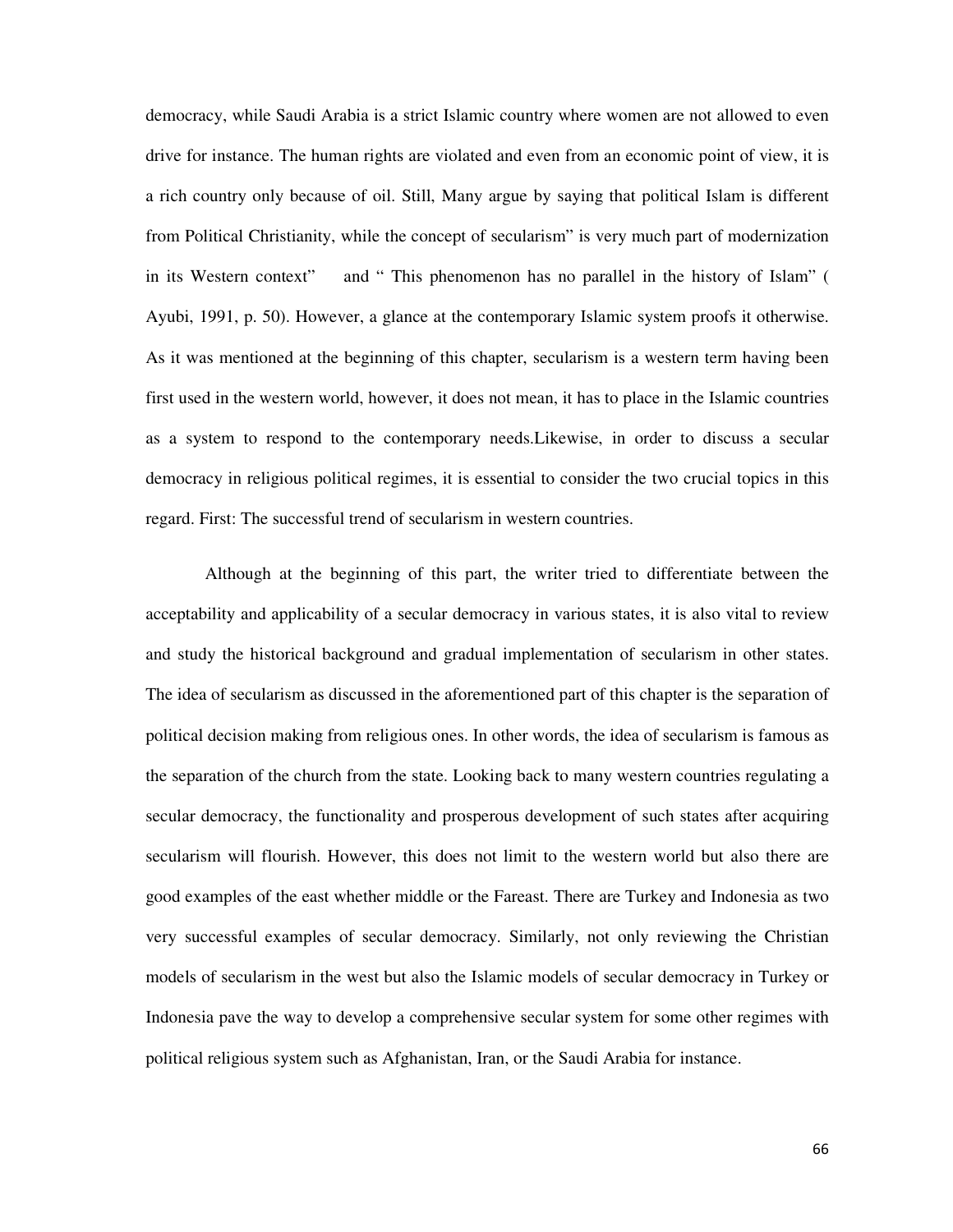democracy, while Saudi Arabia is a strict Islamic country where women are not allowed to even drive for instance. The human rights are violated and even from an economic point of view, it is a rich country only because of oil. Still, Many argue by saying that political Islam is different from Political Christianity, while the concept of secularism" is very much part of modernization in its Western context" and " This phenomenon has no parallel in the history of Islam" ( Ayubi, 1991, p. 50). However, a glance at the contemporary Islamic system proofs it otherwise. As it was mentioned at the beginning of this chapter, secularism is a western term having been first used in the western world, however, it does not mean, it has to place in the Islamic countries as a system to respond to the contemporary needs.Likewise, in order to discuss a secular democracy in religious political regimes, it is essential to consider the two crucial topics in this regard. First: The successful trend of secularism in western countries.

Although at the beginning of this part, the writer tried to differentiate between the acceptability and applicability of a secular democracy in various states, it is also vital to review and study the historical background and gradual implementation of secularism in other states. The idea of secularism as discussed in the aforementioned part of this chapter is the separation of political decision making from religious ones. In other words, the idea of secularism is famous as the separation of the church from the state. Looking back to many western countries regulating a secular democracy, the functionality and prosperous development of such states after acquiring secularism will flourish. However, this does not limit to the western world but also there are good examples of the east whether middle or the Fareast. There are Turkey and Indonesia as two very successful examples of secular democracy. Similarly, not only reviewing the Christian models of secularism in the west but also the Islamic models of secular democracy in Turkey or Indonesia pave the way to develop a comprehensive secular system for some other regimes with political religious system such as Afghanistan, Iran, or the Saudi Arabia for instance.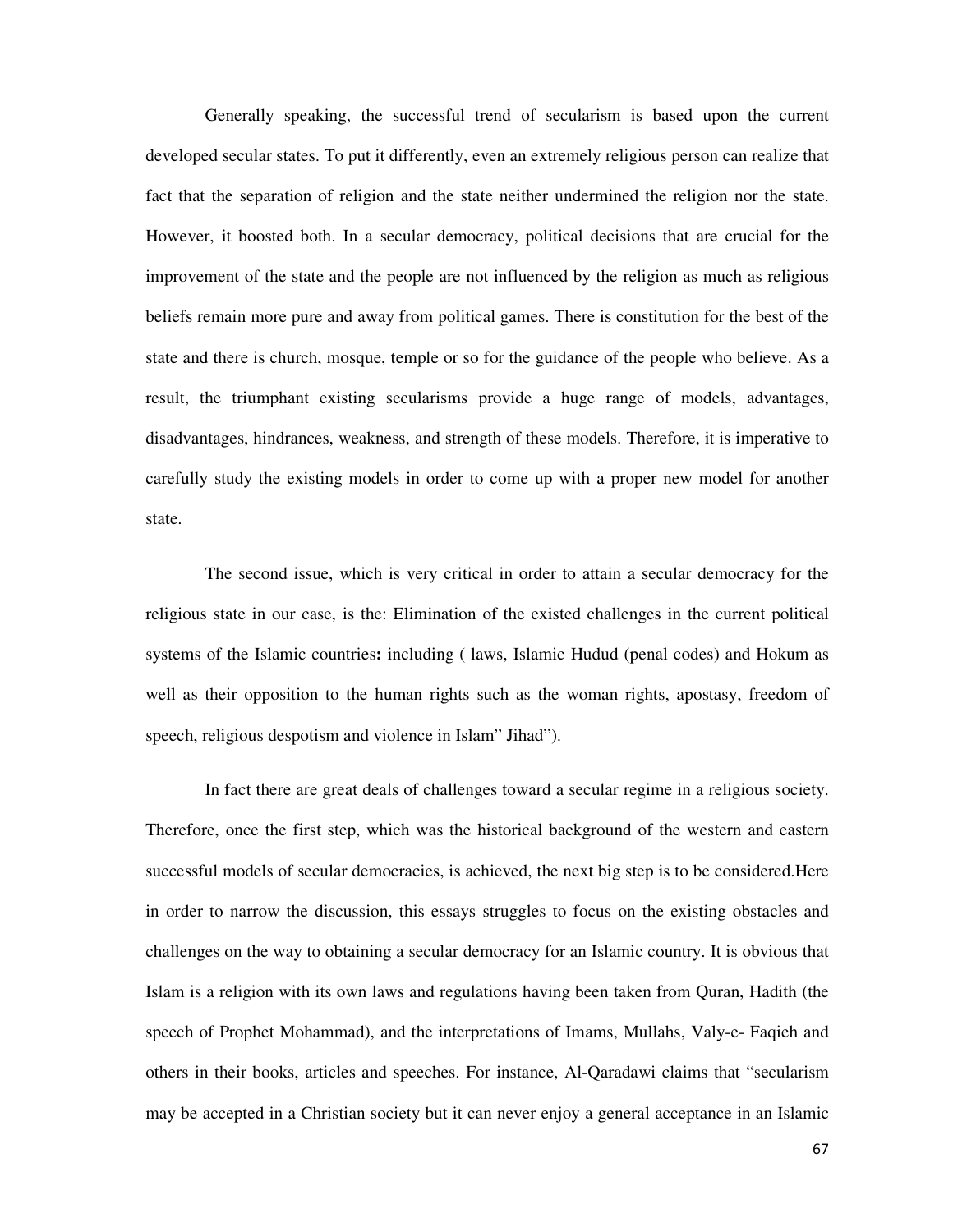Generally speaking, the successful trend of secularism is based upon the current developed secular states. To put it differently, even an extremely religious person can realize that fact that the separation of religion and the state neither undermined the religion nor the state. However, it boosted both. In a secular democracy, political decisions that are crucial for the improvement of the state and the people are not influenced by the religion as much as religious beliefs remain more pure and away from political games. There is constitution for the best of the state and there is church, mosque, temple or so for the guidance of the people who believe. As a result, the triumphant existing secularisms provide a huge range of models, advantages, disadvantages, hindrances, weakness, and strength of these models. Therefore, it is imperative to carefully study the existing models in order to come up with a proper new model for another state.

The second issue, which is very critical in order to attain a secular democracy for the religious state in our case, is the: Elimination of the existed challenges in the current political systems of the Islamic countries**:** including ( laws, Islamic Hudud (penal codes) and Hokum as well as their opposition to the human rights such as the woman rights, apostasy, freedom of speech, religious despotism and violence in Islam" Jihad").

In fact there are great deals of challenges toward a secular regime in a religious society. Therefore, once the first step, which was the historical background of the western and eastern successful models of secular democracies, is achieved, the next big step is to be considered.Here in order to narrow the discussion, this essays struggles to focus on the existing obstacles and challenges on the way to obtaining a secular democracy for an Islamic country. It is obvious that Islam is a religion with its own laws and regulations having been taken from Quran, Hadith (the speech of Prophet Mohammad), and the interpretations of Imams, Mullahs, Valy-e- Faqieh and others in their books, articles and speeches. For instance, Al-Qaradawi claims that "secularism may be accepted in a Christian society but it can never enjoy a general acceptance in an Islamic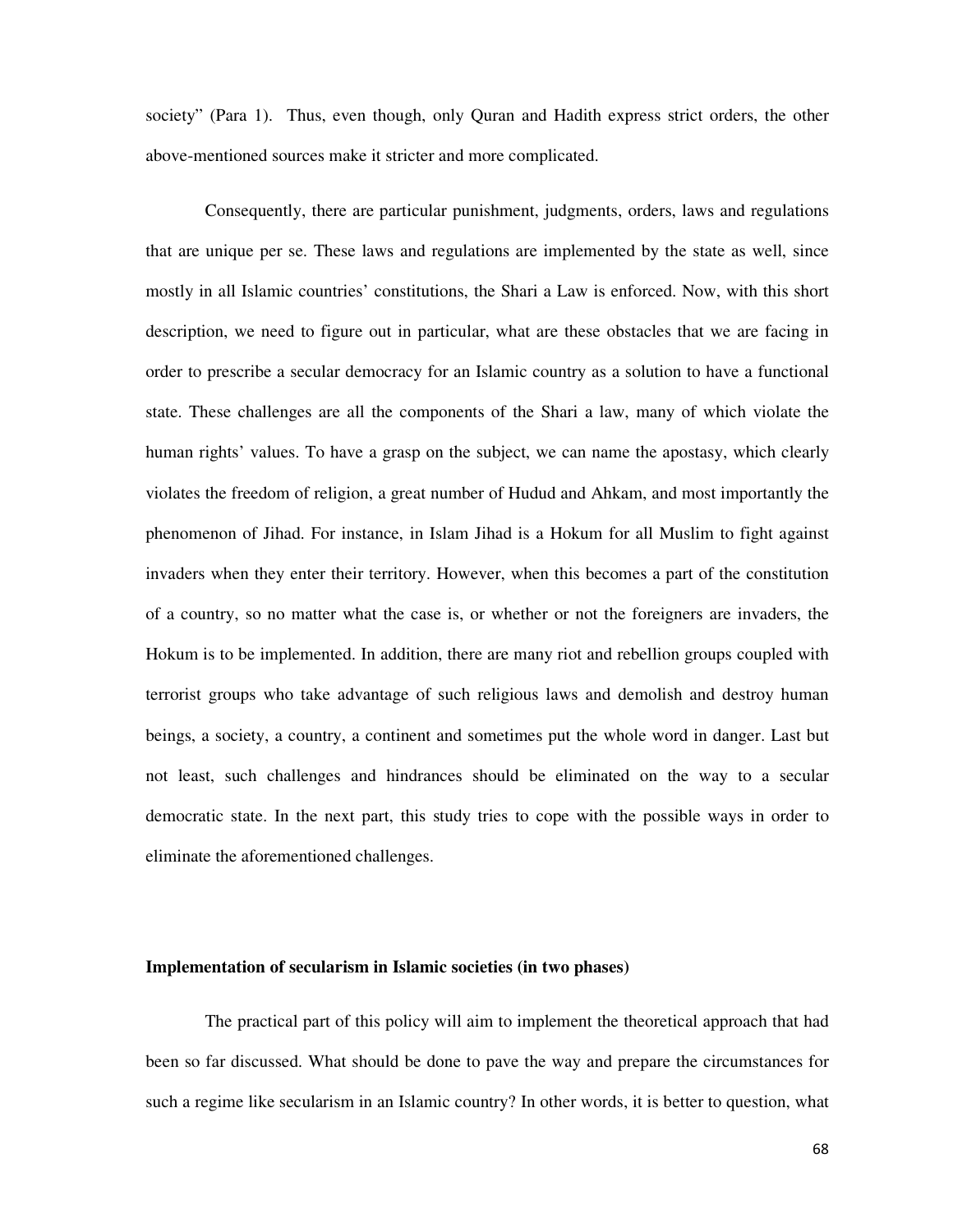society" (Para 1). Thus, even though, only Quran and Hadith express strict orders, the other above-mentioned sources make it stricter and more complicated.

Consequently, there are particular punishment, judgments, orders, laws and regulations that are unique per se. These laws and regulations are implemented by the state as well, since mostly in all Islamic countries' constitutions, the Shari a Law is enforced. Now, with this short description, we need to figure out in particular, what are these obstacles that we are facing in order to prescribe a secular democracy for an Islamic country as a solution to have a functional state. These challenges are all the components of the Shari a law, many of which violate the human rights' values. To have a grasp on the subject, we can name the apostasy, which clearly violates the freedom of religion, a great number of Hudud and Ahkam, and most importantly the phenomenon of Jihad. For instance, in Islam Jihad is a Hokum for all Muslim to fight against invaders when they enter their territory. However, when this becomes a part of the constitution of a country, so no matter what the case is, or whether or not the foreigners are invaders, the Hokum is to be implemented. In addition, there are many riot and rebellion groups coupled with terrorist groups who take advantage of such religious laws and demolish and destroy human beings, a society, a country, a continent and sometimes put the whole word in danger. Last but not least, such challenges and hindrances should be eliminated on the way to a secular democratic state. In the next part, this study tries to cope with the possible ways in order to eliminate the aforementioned challenges.

# **Implementation of secularism in Islamic societies (in two phases)**

The practical part of this policy will aim to implement the theoretical approach that had been so far discussed. What should be done to pave the way and prepare the circumstances for such a regime like secularism in an Islamic country? In other words, it is better to question, what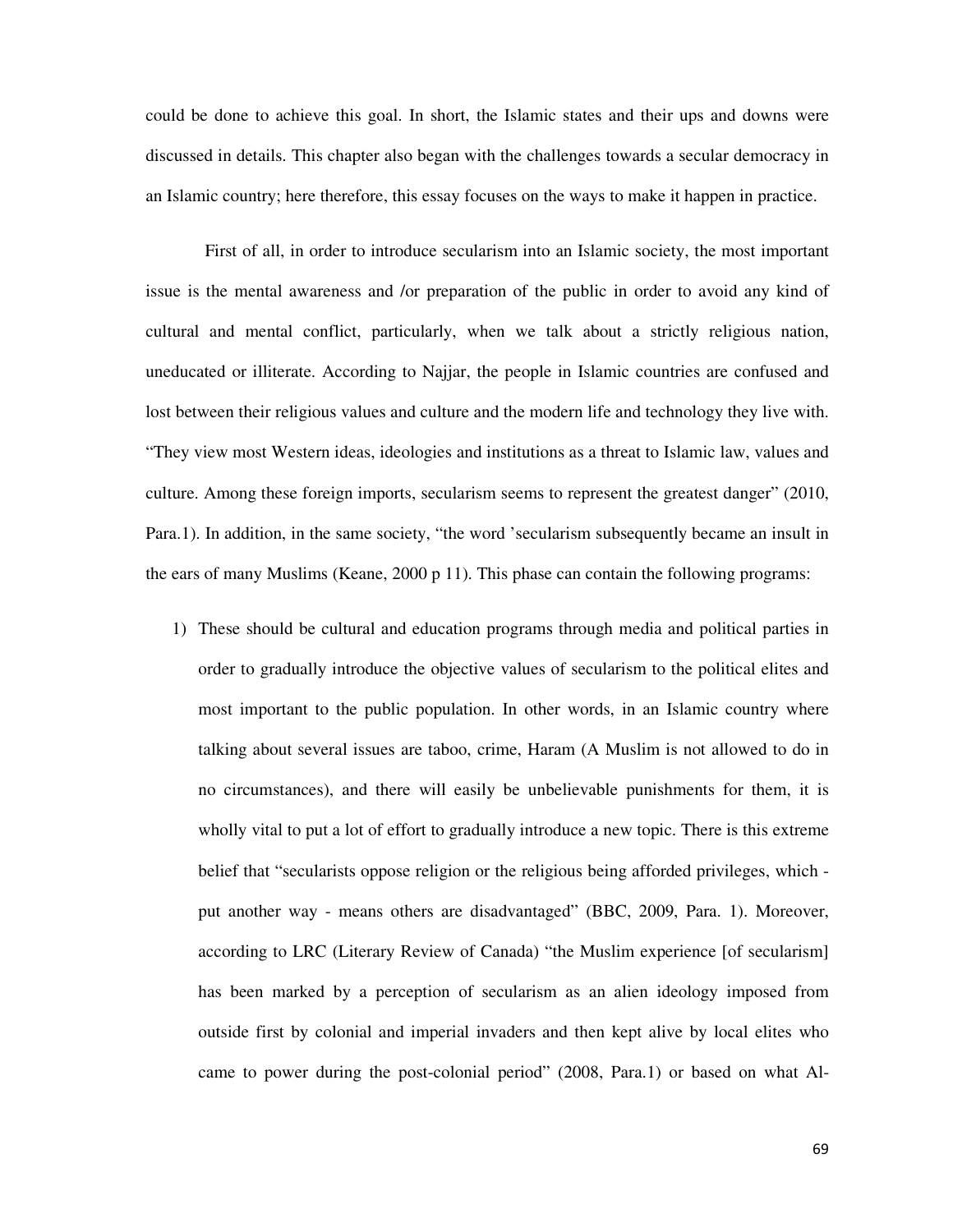could be done to achieve this goal. In short, the Islamic states and their ups and downs were discussed in details. This chapter also began with the challenges towards a secular democracy in an Islamic country; here therefore, this essay focuses on the ways to make it happen in practice.

First of all, in order to introduce secularism into an Islamic society, the most important issue is the mental awareness and /or preparation of the public in order to avoid any kind of cultural and mental conflict, particularly, when we talk about a strictly religious nation, uneducated or illiterate. According to Najjar, the people in Islamic countries are confused and lost between their religious values and culture and the modern life and technology they live with. "They view most Western ideas, ideologies and institutions as a threat to Islamic law, values and culture. Among these foreign imports, secularism seems to represent the greatest danger" (2010, Para.1). In addition, in the same society, "the word 'secularism subsequently became an insult in the ears of many Muslims (Keane, 2000 p 11). This phase can contain the following programs:

1) These should be cultural and education programs through media and political parties in order to gradually introduce the objective values of secularism to the political elites and most important to the public population. In other words, in an Islamic country where talking about several issues are taboo, crime, Haram (A Muslim is not allowed to do in no circumstances), and there will easily be unbelievable punishments for them, it is wholly vital to put a lot of effort to gradually introduce a new topic. There is this extreme belief that "secularists oppose religion or the religious being afforded privileges, which put another way - means others are disadvantaged" (BBC, 2009, Para. 1). Moreover, according to LRC (Literary Review of Canada) "the Muslim experience [of secularism] has been marked by a perception of secularism as an alien ideology imposed from outside first by colonial and imperial invaders and then kept alive by local elites who came to power during the post-colonial period" (2008, Para.1) or based on what Al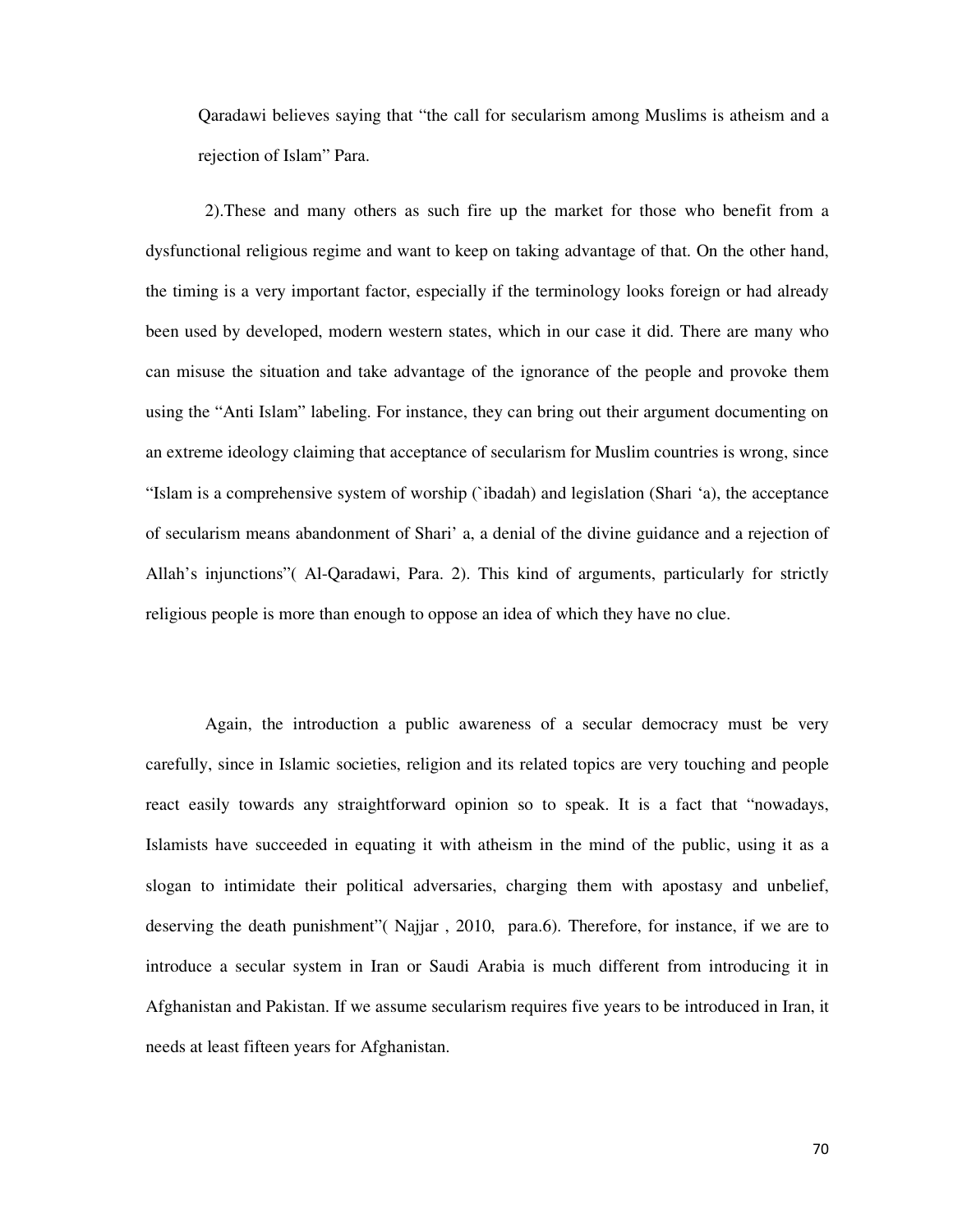Qaradawi believes saying that "the call for secularism among Muslims is atheism and a rejection of Islam" Para.

2).These and many others as such fire up the market for those who benefit from a dysfunctional religious regime and want to keep on taking advantage of that. On the other hand, the timing is a very important factor, especially if the terminology looks foreign or had already been used by developed, modern western states, which in our case it did. There are many who can misuse the situation and take advantage of the ignorance of the people and provoke them using the "Anti Islam" labeling. For instance, they can bring out their argument documenting on an extreme ideology claiming that acceptance of secularism for Muslim countries is wrong, since "Islam is a comprehensive system of worship (`ibadah) and legislation (Shari 'a), the acceptance of secularism means abandonment of Shari' a, a denial of the divine guidance and a rejection of Allah's injunctions"( Al-Qaradawi, Para. 2). This kind of arguments, particularly for strictly religious people is more than enough to oppose an idea of which they have no clue.

Again, the introduction a public awareness of a secular democracy must be very carefully, since in Islamic societies, religion and its related topics are very touching and people react easily towards any straightforward opinion so to speak. It is a fact that "nowadays, Islamists have succeeded in equating it with atheism in the mind of the public, using it as a slogan to intimidate their political adversaries, charging them with apostasy and unbelief, deserving the death punishment"( Najjar , 2010, para.6). Therefore, for instance, if we are to introduce a secular system in Iran or Saudi Arabia is much different from introducing it in Afghanistan and Pakistan. If we assume secularism requires five years to be introduced in Iran, it needs at least fifteen years for Afghanistan.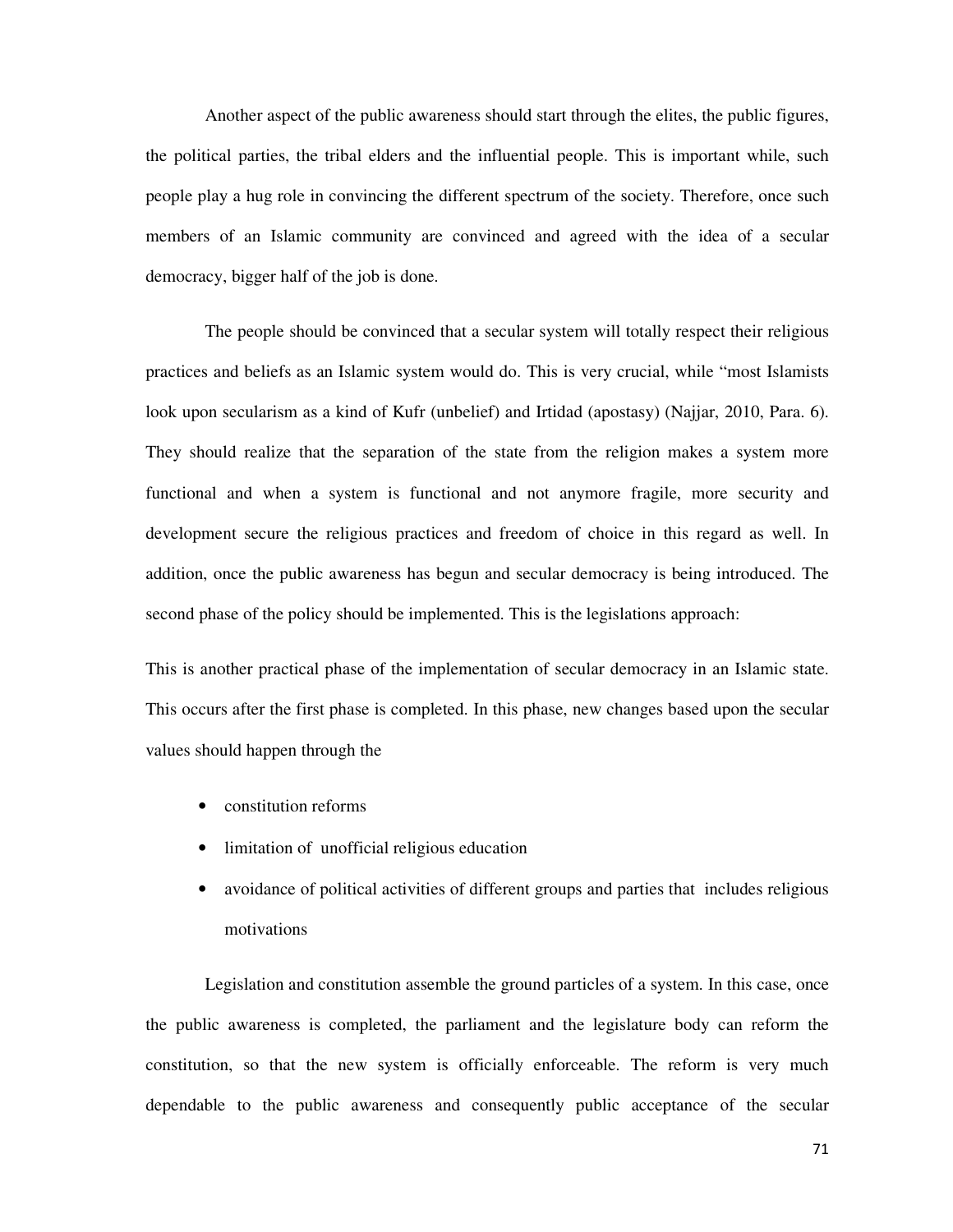Another aspect of the public awareness should start through the elites, the public figures, the political parties, the tribal elders and the influential people. This is important while, such people play a hug role in convincing the different spectrum of the society. Therefore, once such members of an Islamic community are convinced and agreed with the idea of a secular democracy, bigger half of the job is done.

The people should be convinced that a secular system will totally respect their religious practices and beliefs as an Islamic system would do. This is very crucial, while "most Islamists look upon secularism as a kind of Kufr (unbelief) and Irtidad (apostasy) (Najjar, 2010, Para. 6). They should realize that the separation of the state from the religion makes a system more functional and when a system is functional and not anymore fragile, more security and development secure the religious practices and freedom of choice in this regard as well. In addition, once the public awareness has begun and secular democracy is being introduced. The second phase of the policy should be implemented. This is the legislations approach:

This is another practical phase of the implementation of secular democracy in an Islamic state. This occurs after the first phase is completed. In this phase, new changes based upon the secular values should happen through the

- constitution reforms
- limitation of unofficial religious education
- avoidance of political activities of different groups and parties that includes religious motivations

Legislation and constitution assemble the ground particles of a system. In this case, once the public awareness is completed, the parliament and the legislature body can reform the constitution, so that the new system is officially enforceable. The reform is very much dependable to the public awareness and consequently public acceptance of the secular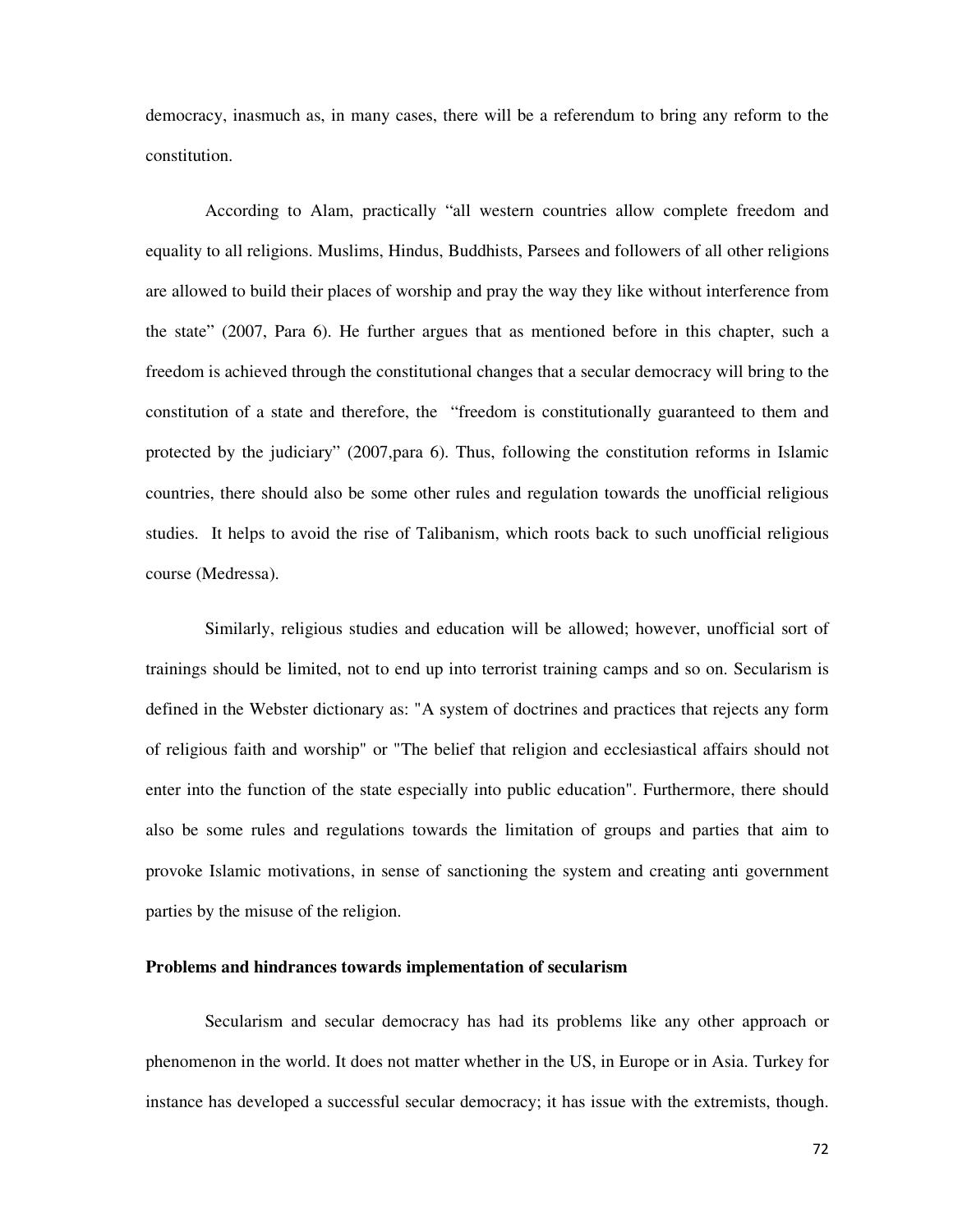democracy, inasmuch as, in many cases, there will be a referendum to bring any reform to the constitution.

According to Alam, practically "all western countries allow complete freedom and equality to all religions. Muslims, Hindus, Buddhists, Parsees and followers of all other religions are allowed to build their places of worship and pray the way they like without interference from the state" (2007, Para 6). He further argues that as mentioned before in this chapter, such a freedom is achieved through the constitutional changes that a secular democracy will bring to the constitution of a state and therefore, the "freedom is constitutionally guaranteed to them and protected by the judiciary" (2007,para 6). Thus, following the constitution reforms in Islamic countries, there should also be some other rules and regulation towards the unofficial religious studies. It helps to avoid the rise of Talibanism, which roots back to such unofficial religious course (Medressa).

Similarly, religious studies and education will be allowed; however, unofficial sort of trainings should be limited, not to end up into terrorist training camps and so on. Secularism is defined in the Webster dictionary as: "A system of doctrines and practices that rejects any form of religious faith and worship" or "The belief that religion and ecclesiastical affairs should not enter into the function of the state especially into public education". Furthermore, there should also be some rules and regulations towards the limitation of groups and parties that aim to provoke Islamic motivations, in sense of sanctioning the system and creating anti government parties by the misuse of the religion.

# **Problems and hindrances towards implementation of secularism**

Secularism and secular democracy has had its problems like any other approach or phenomenon in the world. It does not matter whether in the US, in Europe or in Asia. Turkey for instance has developed a successful secular democracy; it has issue with the extremists, though.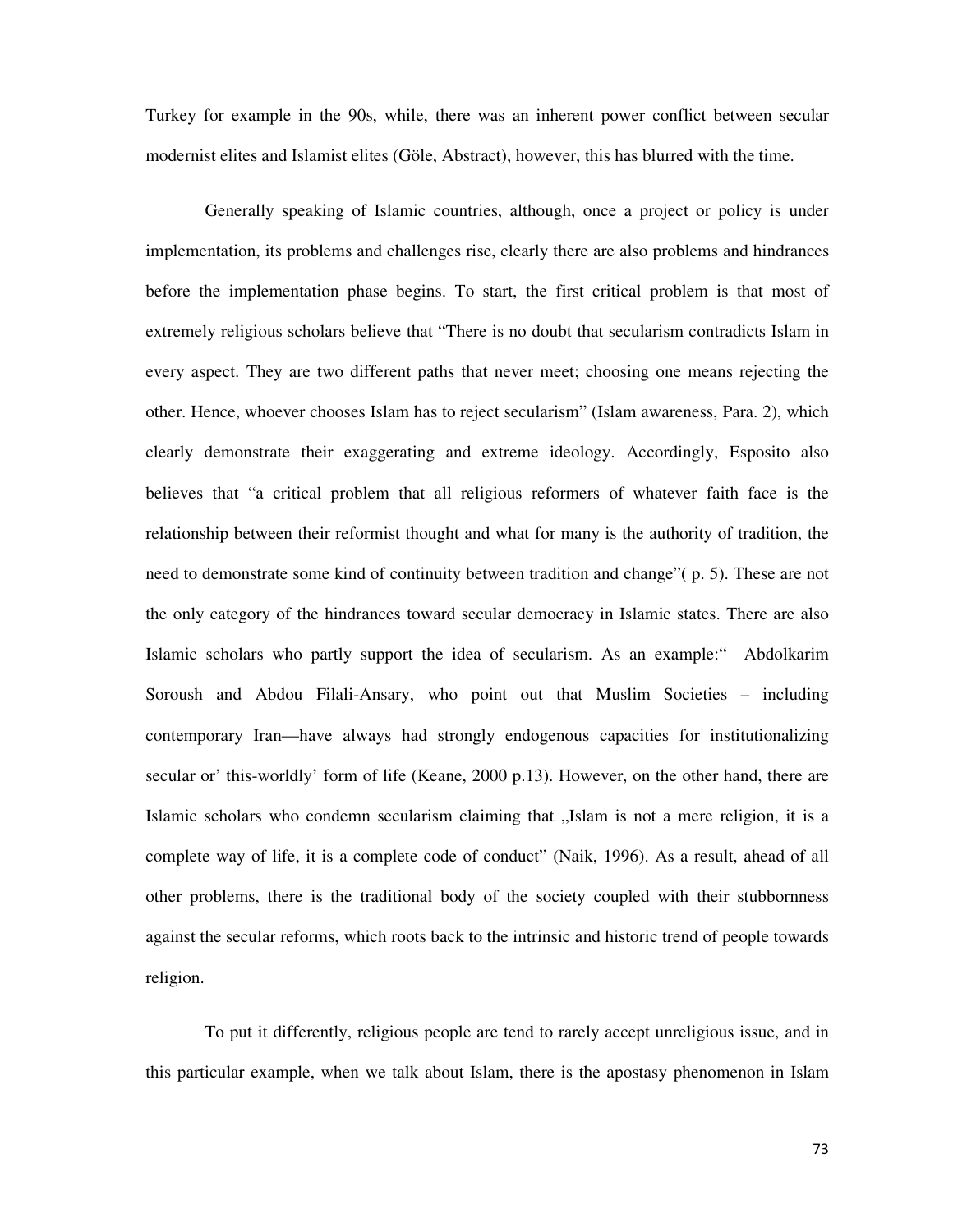Turkey for example in the 90s, while, there was an inherent power conflict between secular modernist elites and Islamist elites (Göle, Abstract), however, this has blurred with the time.

Generally speaking of Islamic countries, although, once a project or policy is under implementation, its problems and challenges rise, clearly there are also problems and hindrances before the implementation phase begins. To start, the first critical problem is that most of extremely religious scholars believe that "There is no doubt that secularism contradicts Islam in every aspect. They are two different paths that never meet; choosing one means rejecting the other. Hence, whoever chooses Islam has to reject secularism" (Islam awareness, Para. 2), which clearly demonstrate their exaggerating and extreme ideology. Accordingly, Esposito also believes that "a critical problem that all religious reformers of whatever faith face is the relationship between their reformist thought and what for many is the authority of tradition, the need to demonstrate some kind of continuity between tradition and change"( p. 5). These are not the only category of the hindrances toward secular democracy in Islamic states. There are also Islamic scholars who partly support the idea of secularism. As an example:" Abdolkarim Soroush and Abdou Filali-Ansary, who point out that Muslim Societies – including contemporary Iran—have always had strongly endogenous capacities for institutionalizing secular or' this-worldly' form of life (Keane, 2000 p.13). However, on the other hand, there are Islamic scholars who condemn secularism claiming that "Islam is not a mere religion, it is a complete way of life, it is a complete code of conduct" (Naik, 1996). As a result, ahead of all other problems, there is the traditional body of the society coupled with their stubbornness against the secular reforms, which roots back to the intrinsic and historic trend of people towards religion.

To put it differently, religious people are tend to rarely accept unreligious issue, and in this particular example, when we talk about Islam, there is the apostasy phenomenon in Islam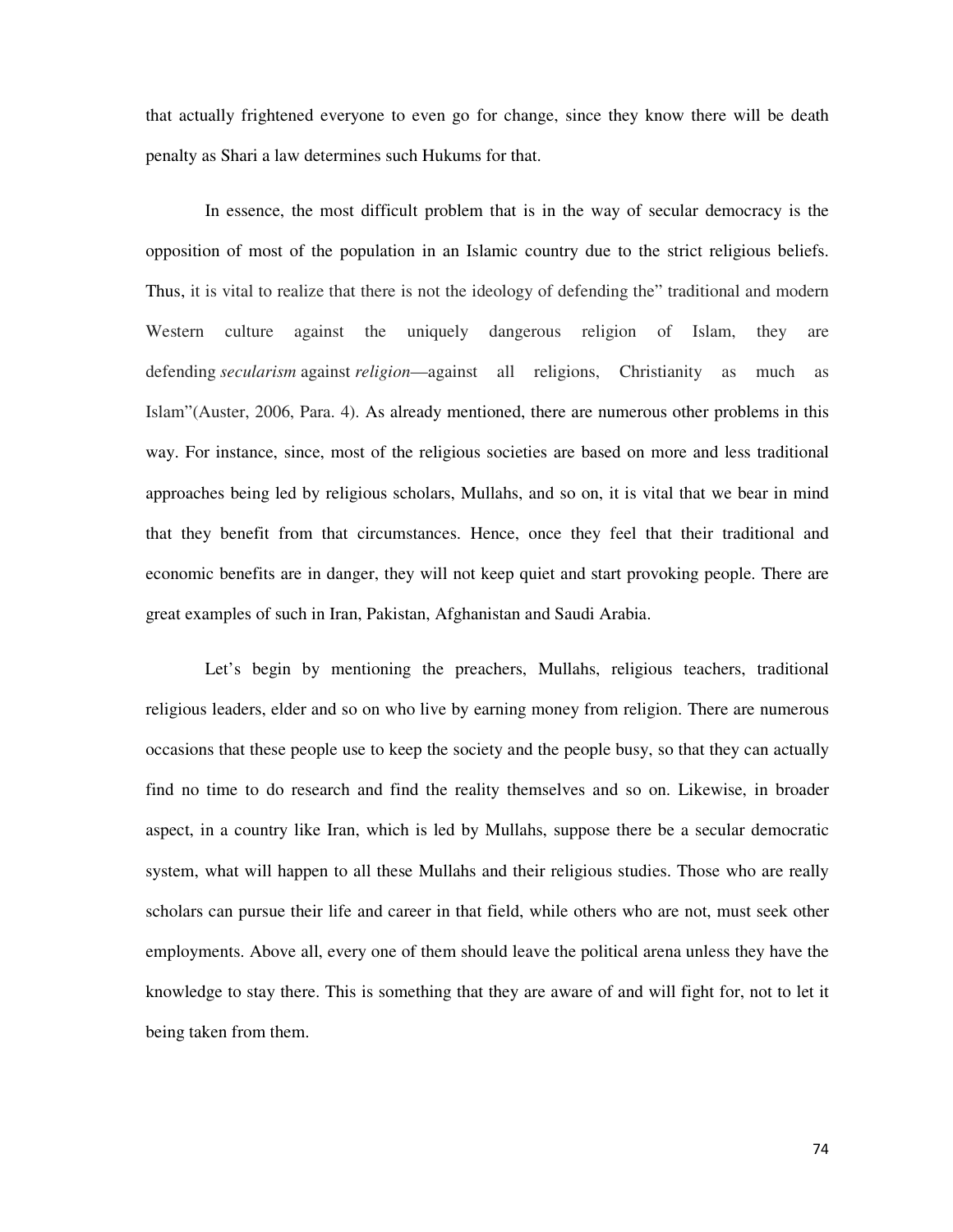that actually frightened everyone to even go for change, since they know there will be death penalty as Shari a law determines such Hukums for that.

In essence, the most difficult problem that is in the way of secular democracy is the opposition of most of the population in an Islamic country due to the strict religious beliefs. Thus, it is vital to realize that there is not the ideology of defending the" traditional and modern Western culture against the uniquely dangerous religion of Islam, they are defending *secularism* against *religion*—against all religions, Christianity as much as Islam"(Auster, 2006, Para. 4). As already mentioned, there are numerous other problems in this way. For instance, since, most of the religious societies are based on more and less traditional approaches being led by religious scholars, Mullahs, and so on, it is vital that we bear in mind that they benefit from that circumstances. Hence, once they feel that their traditional and economic benefits are in danger, they will not keep quiet and start provoking people. There are great examples of such in Iran, Pakistan, Afghanistan and Saudi Arabia.

Let's begin by mentioning the preachers, Mullahs, religious teachers, traditional religious leaders, elder and so on who live by earning money from religion. There are numerous occasions that these people use to keep the society and the people busy, so that they can actually find no time to do research and find the reality themselves and so on. Likewise, in broader aspect, in a country like Iran, which is led by Mullahs, suppose there be a secular democratic system, what will happen to all these Mullahs and their religious studies. Those who are really scholars can pursue their life and career in that field, while others who are not, must seek other employments. Above all, every one of them should leave the political arena unless they have the knowledge to stay there. This is something that they are aware of and will fight for, not to let it being taken from them.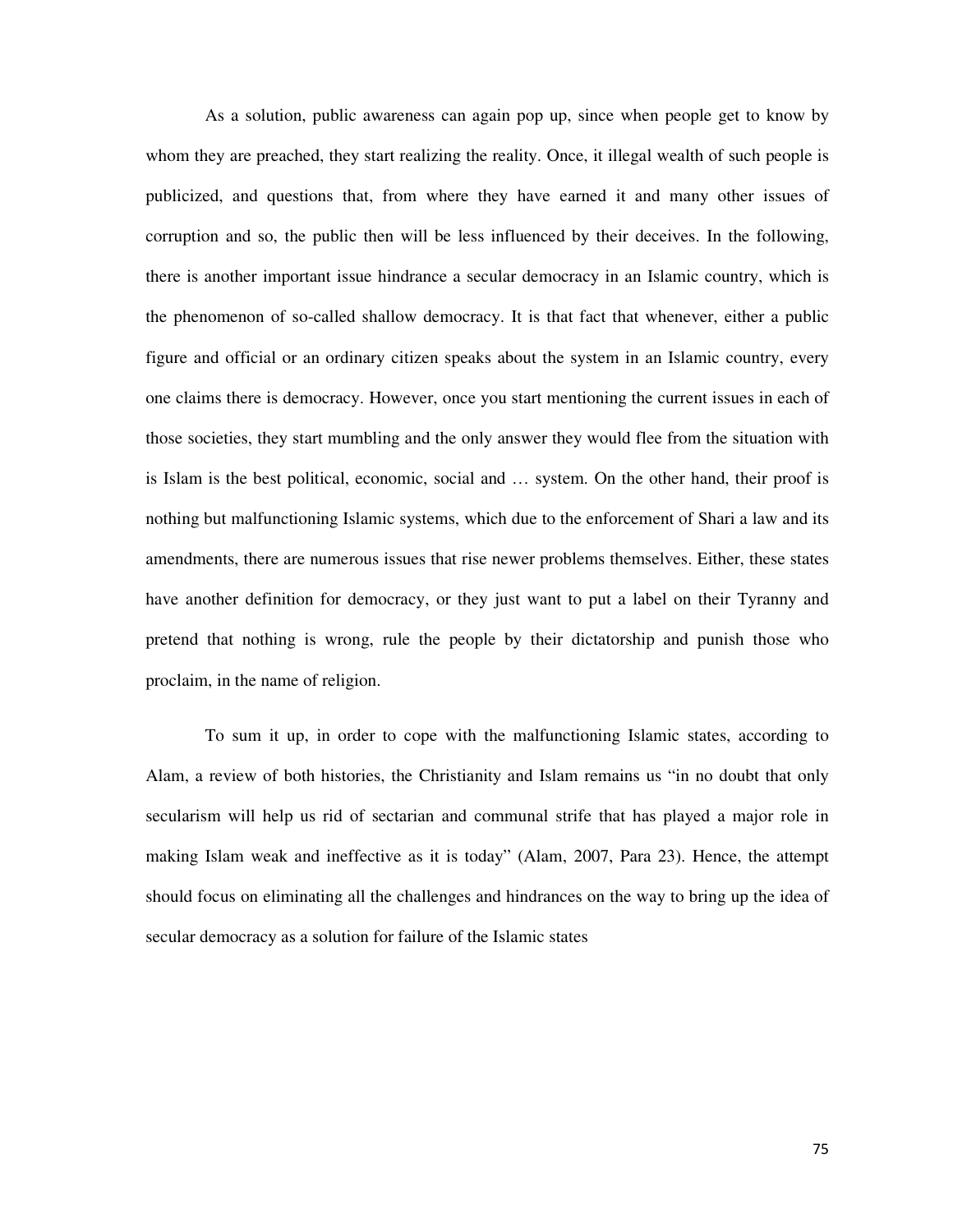As a solution, public awareness can again pop up, since when people get to know by whom they are preached, they start realizing the reality. Once, it illegal wealth of such people is publicized, and questions that, from where they have earned it and many other issues of corruption and so, the public then will be less influenced by their deceives. In the following, there is another important issue hindrance a secular democracy in an Islamic country, which is the phenomenon of so-called shallow democracy. It is that fact that whenever, either a public figure and official or an ordinary citizen speaks about the system in an Islamic country, every one claims there is democracy. However, once you start mentioning the current issues in each of those societies, they start mumbling and the only answer they would flee from the situation with is Islam is the best political, economic, social and … system. On the other hand, their proof is nothing but malfunctioning Islamic systems, which due to the enforcement of Shari a law and its amendments, there are numerous issues that rise newer problems themselves. Either, these states have another definition for democracy, or they just want to put a label on their Tyranny and pretend that nothing is wrong, rule the people by their dictatorship and punish those who proclaim, in the name of religion.

To sum it up, in order to cope with the malfunctioning Islamic states, according to Alam, a review of both histories, the Christianity and Islam remains us "in no doubt that only secularism will help us rid of sectarian and communal strife that has played a major role in making Islam weak and ineffective as it is today" (Alam, 2007, Para 23). Hence, the attempt should focus on eliminating all the challenges and hindrances on the way to bring up the idea of secular democracy as a solution for failure of the Islamic states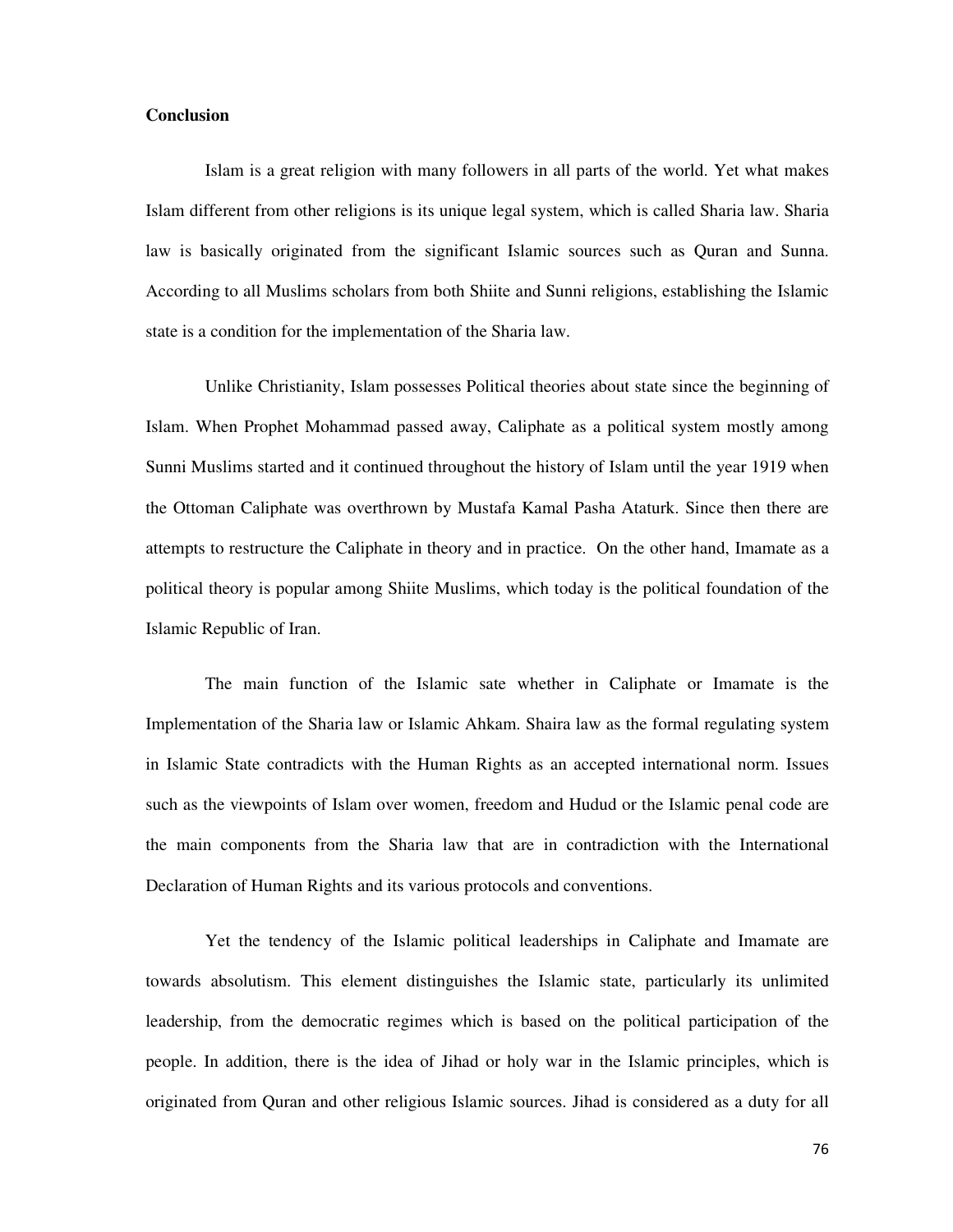## **Conclusion**

Islam is a great religion with many followers in all parts of the world. Yet what makes Islam different from other religions is its unique legal system, which is called Sharia law. Sharia law is basically originated from the significant Islamic sources such as Quran and Sunna. According to all Muslims scholars from both Shiite and Sunni religions, establishing the Islamic state is a condition for the implementation of the Sharia law.

Unlike Christianity, Islam possesses Political theories about state since the beginning of Islam. When Prophet Mohammad passed away, Caliphate as a political system mostly among Sunni Muslims started and it continued throughout the history of Islam until the year 1919 when the Ottoman Caliphate was overthrown by Mustafa Kamal Pasha Ataturk. Since then there are attempts to restructure the Caliphate in theory and in practice. On the other hand, Imamate as a political theory is popular among Shiite Muslims, which today is the political foundation of the Islamic Republic of Iran.

The main function of the Islamic sate whether in Caliphate or Imamate is the Implementation of the Sharia law or Islamic Ahkam. Shaira law as the formal regulating system in Islamic State contradicts with the Human Rights as an accepted international norm. Issues such as the viewpoints of Islam over women, freedom and Hudud or the Islamic penal code are the main components from the Sharia law that are in contradiction with the International Declaration of Human Rights and its various protocols and conventions.

Yet the tendency of the Islamic political leaderships in Caliphate and Imamate are towards absolutism. This element distinguishes the Islamic state, particularly its unlimited leadership, from the democratic regimes which is based on the political participation of the people. In addition, there is the idea of Jihad or holy war in the Islamic principles, which is originated from Quran and other religious Islamic sources. Jihad is considered as a duty for all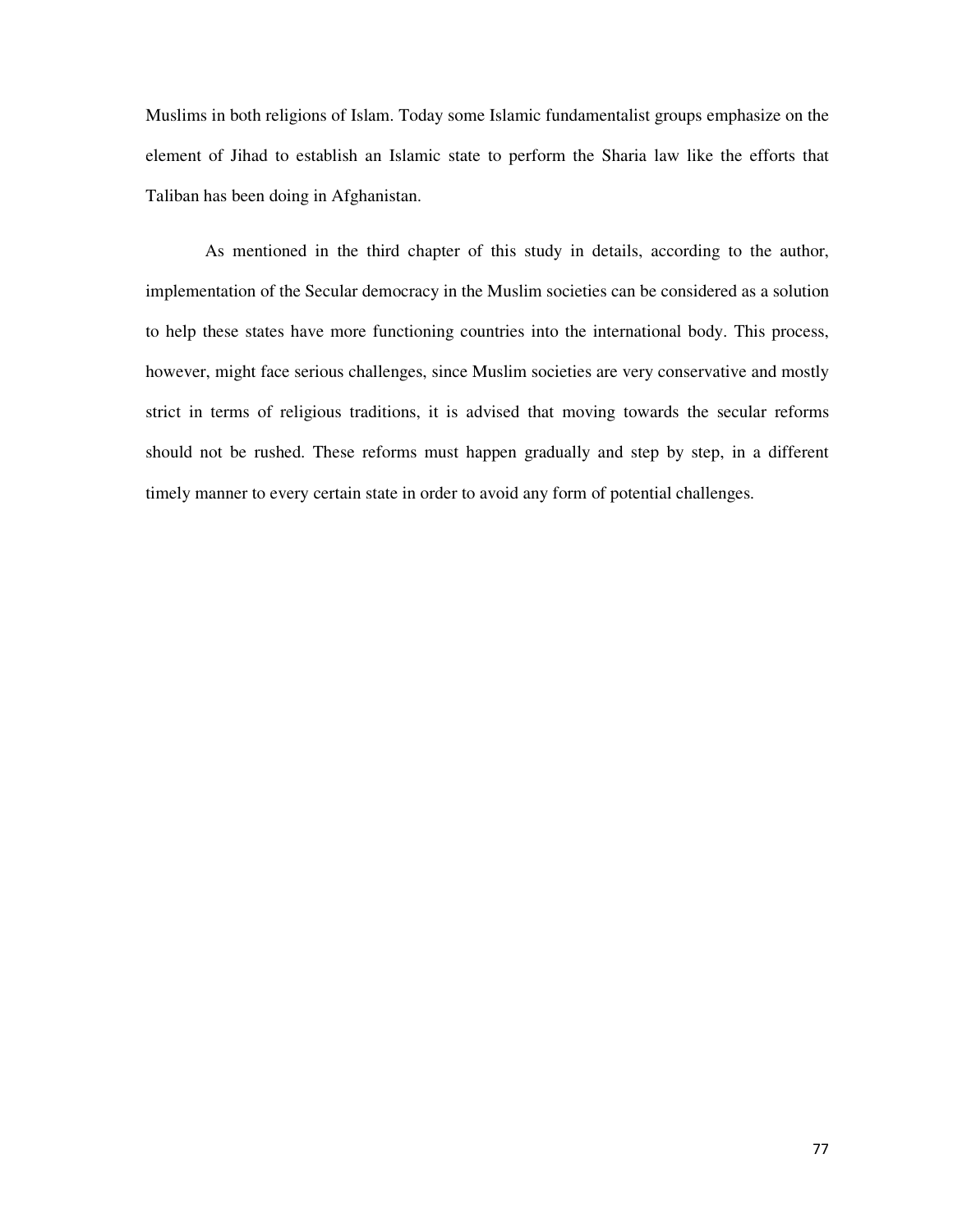Muslims in both religions of Islam. Today some Islamic fundamentalist groups emphasize on the element of Jihad to establish an Islamic state to perform the Sharia law like the efforts that Taliban has been doing in Afghanistan.

As mentioned in the third chapter of this study in details, according to the author, implementation of the Secular democracy in the Muslim societies can be considered as a solution to help these states have more functioning countries into the international body. This process, however, might face serious challenges, since Muslim societies are very conservative and mostly strict in terms of religious traditions, it is advised that moving towards the secular reforms should not be rushed. These reforms must happen gradually and step by step, in a different timely manner to every certain state in order to avoid any form of potential challenges.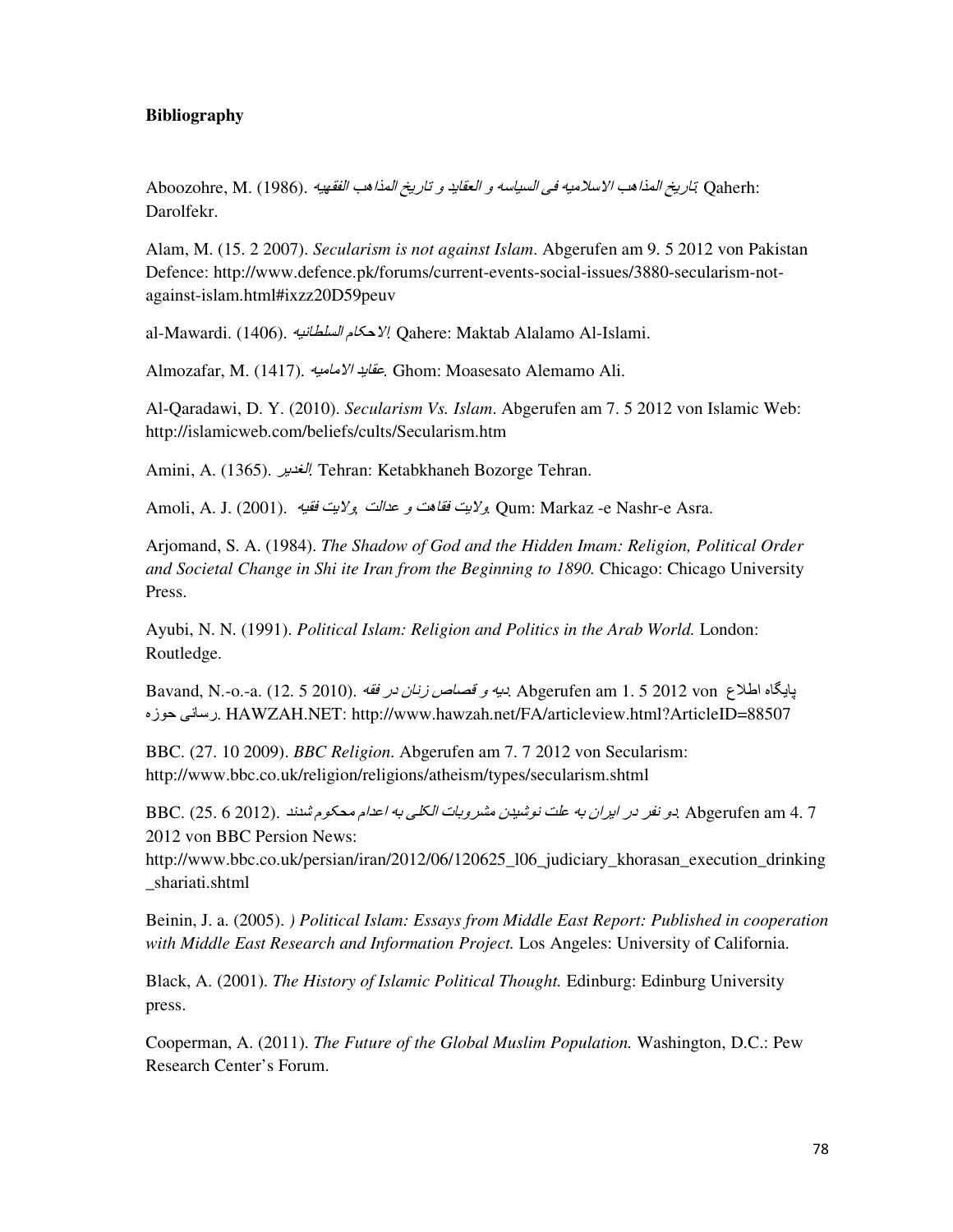## **Bibliography**

Aboozohre, M. (1986). )\*+,-#\$./0\$12#\$.34567.8.946,:#\$.8.);6\*<#\$.=>.)\*&?;@\$./0\$12#\$.34567*.* Qaherh: Darolfekr.

Alam, M. (15. 2 2007). *Secularism is not against Islam*. Abgerufen am 9. 5 2012 von Pakistan Defence: http://www.defence.pk/forums/current-events-social-issues/3880-secularism-notagainst-islam.html#ixzz20D59peuv

al-Mawardi. (1406). الاحكام *السلطانية* Qahere: Maktab Alalamo Al-Islami.

Almozafar, M. (1417). )\*&6&@\$.946,G*.* Ghom: Moasesato Alemamo Ali.

Al-Qaradawi, D. Y. (2010). *Secularism Vs. Islam*. Abgerufen am 7. 5 2012 von Islamic Web: http://islamicweb.com/beliefs/cults/Secularism.htm

Amini, A. (1365). H49I#\$*.* Tehran: Ketabkhaneh Bozorge Tehran.

Amoli, A. J. (2001). .)\*,>.J4@8*,* J#\$9G.8.J06,>.J4@8*.* Qum: Markaz -e Nashr-e Asra.

Arjomand, S. A. (1984). *The Shadow of God and the Hidden Imam: Religion, Political Order and Societal Change in Shi ite Iran from the Beginning to 1890.* Chicago: Chicago University Press.

Ayubi, N. N. (1991). *Political Islam: Religion and Politics in the Arab World.* London: Routledge.

<u>Bavand, N.-o.-a. (12. 5 2010). في مصاص *زنان در فقه.* (12. 5 2010). 4K. Abgerufen am 1. 5 2012 von .</u> SM%F.=A6;5. HAWZAH.NET: http://www.hawzah.net/FA/articleview.html?ArticleID=88507

BBC. (27. 10 2009). *BBC Religion*. Abgerufen am 7. 7 2012 von Secularism: http://www.bbc.co.uk/religion/religions/atheism/types/secularism.shtml

BBC. (25. 6 2012). 9A بو نفر در ايران به علت نوشيدن مشروبات الكلي به اعدام محكوم شدند. Abgerufen am 4. 7 2012 von BBC Persion News:

http://www.bbc.co.uk/persian/iran/2012/06/120625\_l06\_judiciary\_khorasan\_execution\_drinking \_shariati.shtml

Beinin, J. a. (2005). *) Political Islam: Essays from Middle East Report: Published in cooperation with Middle East Research and Information Project.* Los Angeles: University of California.

Black, A. (2001). *The History of Islamic Political Thought.* Edinburg: Edinburg University press.

Cooperman, A. (2011). *The Future of the Global Muslim Population.* Washington, D.C.: Pew Research Center's Forum.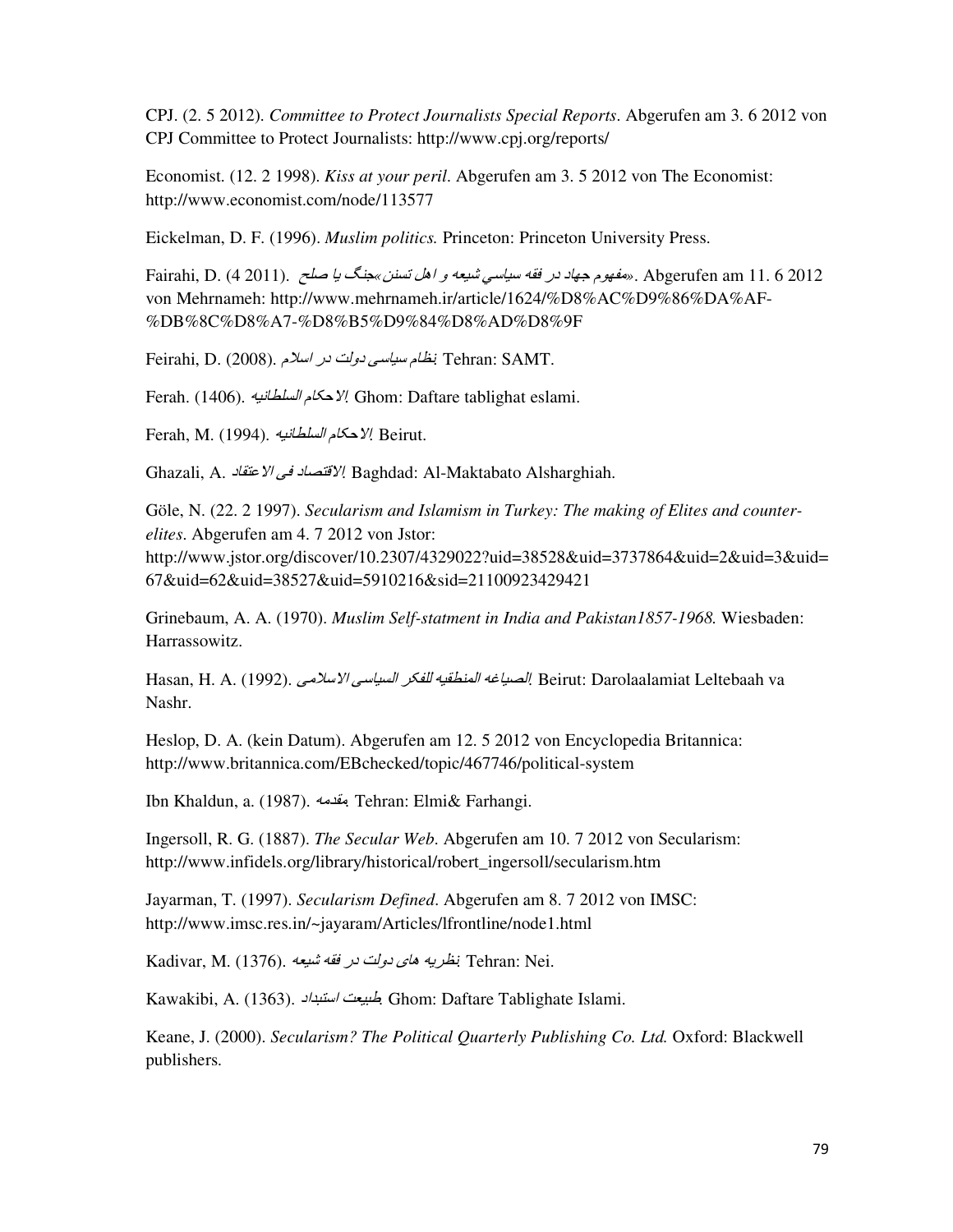CPJ. (2. 5 2012). *Committee to Protect Journalists Special Reports*. Abgerufen am 3. 6 2012 von CPJ Committee to Protect Journalists: http://www.cpj.org/reports/

Economist. (12. 2 1998). *Kiss at your peril*. Abgerufen am 3. 5 2012 von The Economist: http://www.economist.com/node/113577

Eickelman, D. F. (1996). *Muslim politics.* Princeton: Princeton University Press.

Fairahi, D. (4 2011). مقهوم جهاد در فقه سيا*سي شيعه و اهل تسنن »جنگ با صلح ...(*4 7011). 6 Fairahi, D von Mehrnameh: http://www.mehrnameh.ir/article/1624/%D8%AC%D9%86%DA%AF- %DB%8C%D8%A7-%D8%B5%D9%84%D8%AD%D8%9F

Feirahi, D. (2008). الخام سيا*سي دولت در اسلا*م .Feirahi, D. (2008).

Ferah. (1406). الإحكام *السلطانية* (1406). 47 Ghom: Daftare tablighat eslami.

Ferah, M. (1994). *السلطانيه*. *Y!* Beirut.

Ghazali, A. K6,cG@\$.=>.K6OcP@\$*.* Baghdad: Al-Maktabato Alsharghiah.

Göle, N. (22. 2 1997). *Secularism and Islamism in Turkey: The making of Elites and counterelites*. Abgerufen am 4. 7 2012 von Jstor: http://www.jstor.org/discover/10.2307/4329022?uid=38528&uid=3737864&uid=2&uid=3&uid= 67&uid=62&uid=38527&uid=5910216&sid=21100923429421

Grinebaum, A. A. (1970). *Muslim Self-statment in India and Pakistan1857-1968.* Wiesbaden: Harrassowitz.

Hasan, H. A. (1992). الصياغه المنطقيه للفكر السياسي الإسلامي, Hasan, H. A. (1992). assan, H Nashr.

Heslop, D. A. (kein Datum). Abgerufen am 12. 5 2012 von Encyclopedia Britannica: http://www.britannica.com/EBchecked/topic/467746/political-system

Ibn Khaldun, a. (1987). )&9,&*.* Tehran: Elmi& Farhangi.

Ingersoll, R. G. (1887). *The Secular Web*. Abgerufen am 10. 7 2012 von Secularism: http://www.infidels.org/library/historical/robert\_ingersoll/secularism.htm

Jayarman, T. (1997). *Secularism Defined*. Abgerufen am 8. 7 2012 von IMSC: http://www.imsc.res.in/~jayaram/Articles/lfrontline/node1.html

Kadivar, M. (1376). نظريه ه*اى دولت در فقه شيعه* Kadivar, M. (1376).

Kawakibi, A. (1363). ي*حليعت استنداد*, Ghom: Daftare Tablighate Islami.

Keane, J. (2000). *Secularism? The Political Quarterly Publishing Co. Ltd.* Oxford: Blackwell publishers.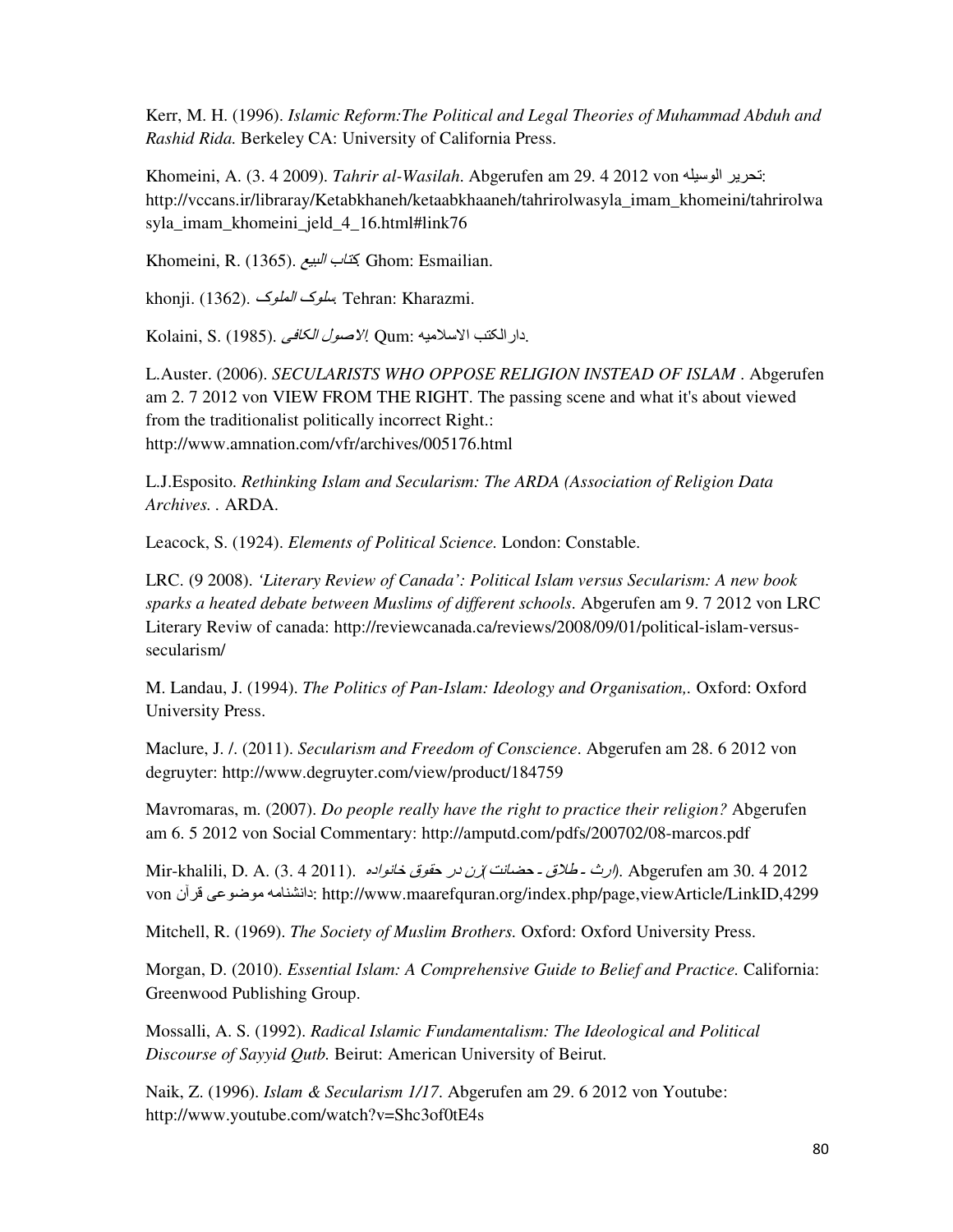Kerr, M. H. (1996). *Islamic Reform:The Political and Legal Theories of Muhammad Abduh and Rashid Rida.* Berkeley CA: University of California Press.

Khomeini, A. (3. 4 2009). *Tahrir al-Wasilah*. Abgerufen am 29. 4 2012 von فيترير الوسيلة: http://vccans.ir/libraray/Ketabkhaneh/ketaabkhaaneh/tahrirolwasyla\_imam\_khomeini/tahrirolwa syla\_imam\_khomeini\_jeld\_4\_16.html#link76

Khomeini, R. (1365). g\*f#\$.h6ci*.* Ghom: Esmailian.

khonji. (1362). *بىلوك الملو*ك. (1362). khonji. (1362

Kolaini, S. (1985). =>6E#\$.k%\@\$*.* Qum: )\*&?;@\$./cE#\$5\$K.

L.Auster. (2006). *SECULARISTS WHO OPPOSE RELIGION INSTEAD OF ISLAM* . Abgerufen am 2. 7 2012 von VIEW FROM THE RIGHT. The passing scene and what it's about viewed from the traditionalist politically incorrect Right.: http://www.amnation.com/vfr/archives/005176.html

L.J.Esposito. *Rethinking Islam and Secularism: The ARDA (Association of Religion Data Archives. .* ARDA.

Leacock, S. (1924). *Elements of Political Science.* London: Constable.

LRC. (9 2008). *'Literary Review of Canada': Political Islam versus Secularism: A new book sparks a heated debate between Muslims of different schools*. Abgerufen am 9. 7 2012 von LRC Literary Reviw of canada: http://reviewcanada.ca/reviews/2008/09/01/political-islam-versussecularism/

M. Landau, J. (1994). *The Politics of Pan-Islam: Ideology and Organisation,.* Oxford: Oxford University Press.

Maclure, J. /. (2011). *Secularism and Freedom of Conscience*. Abgerufen am 28. 6 2012 von degruyter: http://www.degruyter.com/view/product/184759

Mavromaras, m. (2007). *Do people really have the right to practice their religion?* Abgerufen am 6. 5 2012 von Social Commentary: http://amputd.com/pdfs/200702/08-marcos.pdf

Mir-khalili, D. A. (3. 4 2011). .SK\$%A6l.m%,F.5K.LM*(*JA6nF.o.m?R.o.p5\$*)*. Abgerufen am 30. 4 2012 von نانشنامه موضوعى قرآن http://www.maarefquran.org/index.php/page,viewArticle/LinkID,4299

Mitchell, R. (1969). *The Society of Muslim Brothers.* Oxford: Oxford University Press.

Morgan, D. (2010). *Essential Islam: A Comprehensive Guide to Belief and Practice.* California: Greenwood Publishing Group.

Mossalli, A. S. (1992). *Radical Islamic Fundamentalism: The Ideological and Political Discourse of Sayyid Qutb.* Beirut: American University of Beirut.

Naik, Z. (1996). *Islam & Secularism 1/17*. Abgerufen am 29. 6 2012 von Youtube: http://www.youtube.com/watch?v=Shc3of0tE4s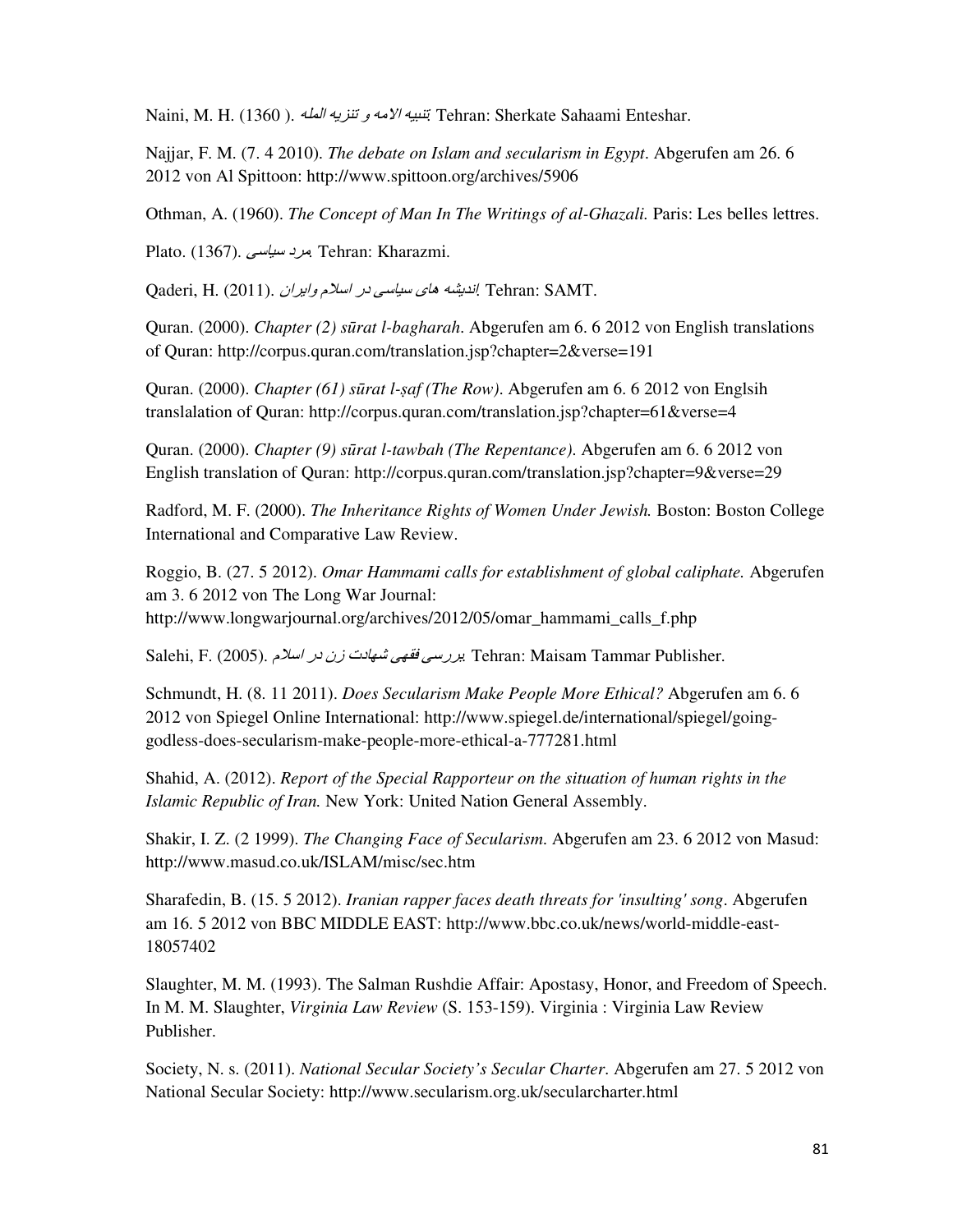Naini, M. H. (1360 ). *لتبيه الأمه و تنزيه المله*. (1360 ). *A.* H. (1360 ). *A.)*  $V^2$ 

Najjar, F. M. (7. 4 2010). *The debate on Islam and secularism in Egypt*. Abgerufen am 26. 6 2012 von Al Spittoon: http://www.spittoon.org/archives/5906

Othman, A. (1960). *The Concept of Man In The Writings of al-Ghazali.* Paris: Les belles lettres.

Plato. (1367). برد *سياسي*. Tehran: Kharazmi.

Qaderi, H. (2011). L\$H4\$8.D?;\$.5K.=;6\*;.e60.)W49A\$*.* Tehran: SAMT.

Quran. (2000). *Chapter (2) s*"*rat l-bagharah*. Abgerufen am 6. 6 2012 von English translations of Quran: http://corpus.quran.com/translation.jsp?chapter=2&verse=191

Quran. (2000). *Chapter (61) s*"*rat l-*#*af (The Row)*. Abgerufen am 6. 6 2012 von Englsih translalation of Quran: http://corpus.quran.com/translation.jsp?chapter=61&verse=4

Quran. (2000). *Chapter (9) s*"*rat l-tawbah (The Repentance)*. Abgerufen am 6. 6 2012 von English translation of Quran: http://corpus.quran.com/translation.jsp?chapter=9&verse=29

Radford, M. F. (2000). *The Inheritance Rights of Women Under Jewish.* Boston: Boston College International and Comparative Law Review.

Roggio, B. (27. 5 2012). *Omar Hammami calls for establishment of global caliphate.* Abgerufen am 3. 6 2012 von The Long War Journal: http://www.longwarjournal.org/archives/2012/05/omar\_hammami\_calls\_f.php

Salehi, F. (2005). D?;\$.5K.LM.ZK6+X.t+,>.t;5HV*.* Tehran: Maisam Tammar Publisher.

Schmundt, H. (8. 11 2011). *Does Secularism Make People More Ethical?* Abgerufen am 6. 6 2012 von Spiegel Online International: http://www.spiegel.de/international/spiegel/goinggodless-does-secularism-make-people-more-ethical-a-777281.html

Shahid, A. (2012). *Report of the Special Rapporteur on the situation of human rights in the Islamic Republic of Iran.* New York: United Nation General Assembly.

Shakir, I. Z. (2 1999). *The Changing Face of Secularism*. Abgerufen am 23. 6 2012 von Masud: http://www.masud.co.uk/ISLAM/misc/sec.htm

Sharafedin, B. (15. 5 2012). *Iranian rapper faces death threats for 'insulting' song*. Abgerufen am 16. 5 2012 von BBC MIDDLE EAST: http://www.bbc.co.uk/news/world-middle-east-18057402

Slaughter, M. M. (1993). The Salman Rushdie Affair: Apostasy, Honor, and Freedom of Speech. In M. M. Slaughter, *Virginia Law Review* (S. 153-159). Virginia : Virginia Law Review Publisher.

Society, N. s. (2011). *National Secular Society's Secular Charter*. Abgerufen am 27. 5 2012 von National Secular Society: http://www.secularism.org.uk/secularcharter.html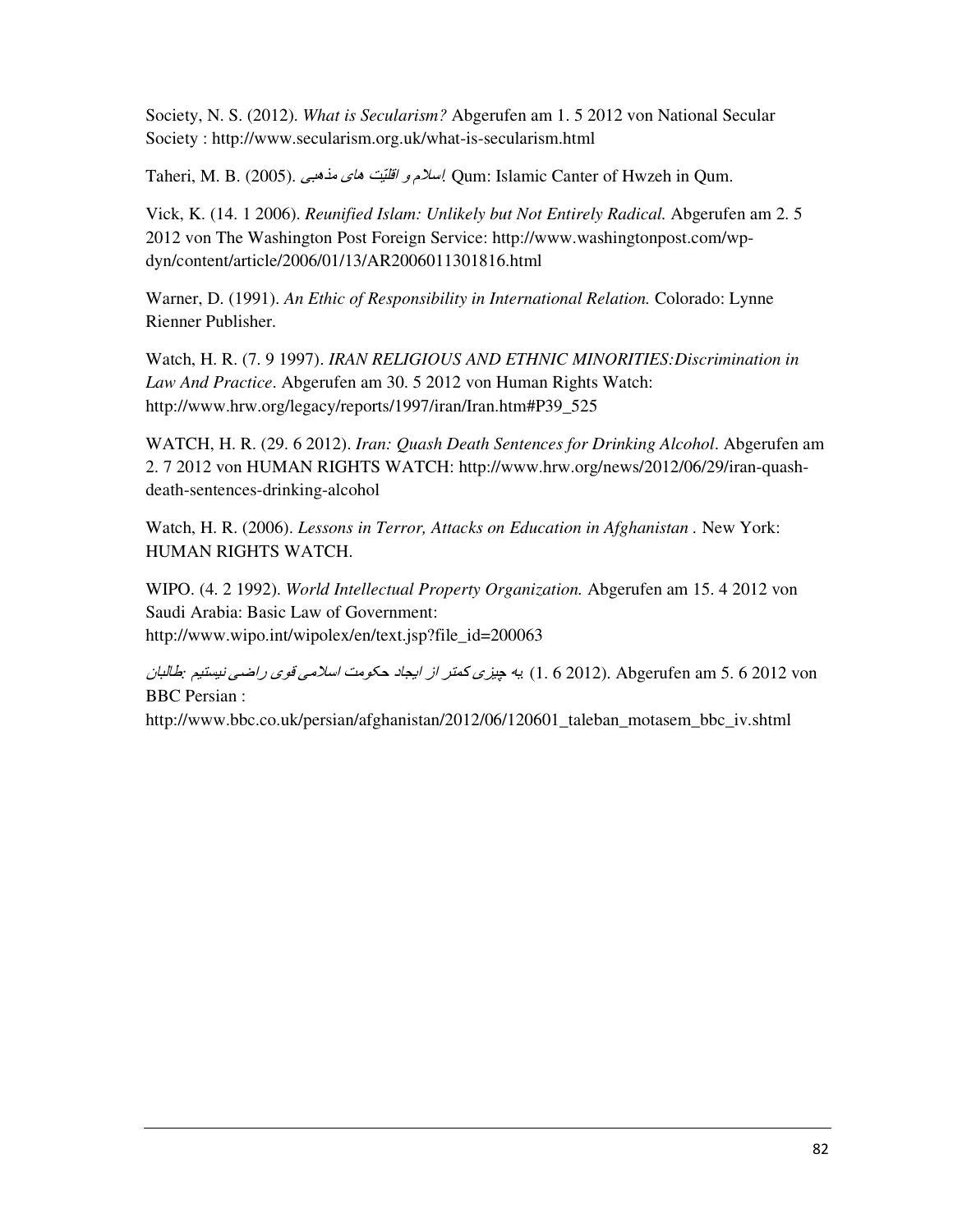Society, N. S. (2012). *What is Secularism?* Abgerufen am 1. 5 2012 von National Secular Society : http://www.secularism.org.uk/what-is-secularism.html

Taheri, M. B. (2005). tf01&.u60.Jv\*CP\$.8.D?;\$*.* Qum: Islamic Canter of Hwzeh in Qum.

Vick, K. (14. 1 2006). *Reunified Islam: Unlikely but Not Entirely Radical.* Abgerufen am 2. 5 2012 von The Washington Post Foreign Service: http://www.washingtonpost.com/wpdyn/content/article/2006/01/13/AR2006011301816.html

Warner, D. (1991). *An Ethic of Responsibility in International Relation.* Colorado: Lynne Rienner Publisher.

Watch, H. R. (7. 9 1997). *IRAN RELIGIOUS AND ETHNIC MINORITIES:Discrimination in Law And Practice*. Abgerufen am 30. 5 2012 von Human Rights Watch: http://www.hrw.org/legacy/reports/1997/iran/Iran.htm#P39\_525

WATCH, H. R. (29. 6 2012). *Iran: Quash Death Sentences for Drinking Alcohol*. Abgerufen am 2. 7 2012 von HUMAN RIGHTS WATCH: http://www.hrw.org/news/2012/06/29/iran-quashdeath-sentences-drinking-alcohol

Watch, H. R. (2006). *Lessons in Terror, Attacks on Education in Afghanistan .* New York: HUMAN RIGHTS WATCH.

WIPO. (4. 2 1992). *World Intellectual Property Organization.* Abgerufen am 15. 4 2012 von Saudi Arabia: Basic Law of Government: http://www.wipo.int/wipolex/en/text.jsp?file\_id=200063

L6f#6R*:* w\*c<\*A.=r\$5.e%P.=&?;\$.J&%EF.K6x4\$.M\$.Hc2i.es\*y.)V*.* (1. 6 2012). Abgerufen am 5. 6 2012 von BBC Persian :

http://www.bbc.co.uk/persian/afghanistan/2012/06/120601 taleban motasem bbc iv.shtml